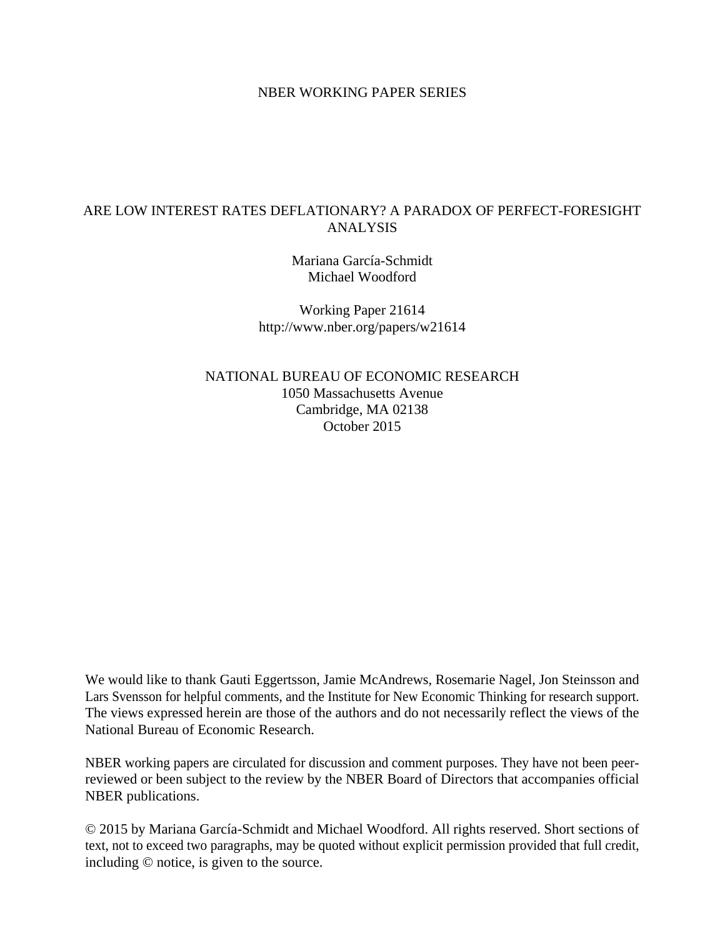#### NBER WORKING PAPER SERIES

## ARE LOW INTEREST RATES DEFLATIONARY? A PARADOX OF PERFECT-FORESIGHT ANALYSIS

Mariana García-Schmidt Michael Woodford

Working Paper 21614 http://www.nber.org/papers/w21614

NATIONAL BUREAU OF ECONOMIC RESEARCH 1050 Massachusetts Avenue Cambridge, MA 02138 October 2015

We would like to thank Gauti Eggertsson, Jamie McAndrews, Rosemarie Nagel, Jon Steinsson and Lars Svensson for helpful comments, and the Institute for New Economic Thinking for research support. The views expressed herein are those of the authors and do not necessarily reflect the views of the National Bureau of Economic Research.

NBER working papers are circulated for discussion and comment purposes. They have not been peerreviewed or been subject to the review by the NBER Board of Directors that accompanies official NBER publications.

© 2015 by Mariana García-Schmidt and Michael Woodford. All rights reserved. Short sections of text, not to exceed two paragraphs, may be quoted without explicit permission provided that full credit, including © notice, is given to the source.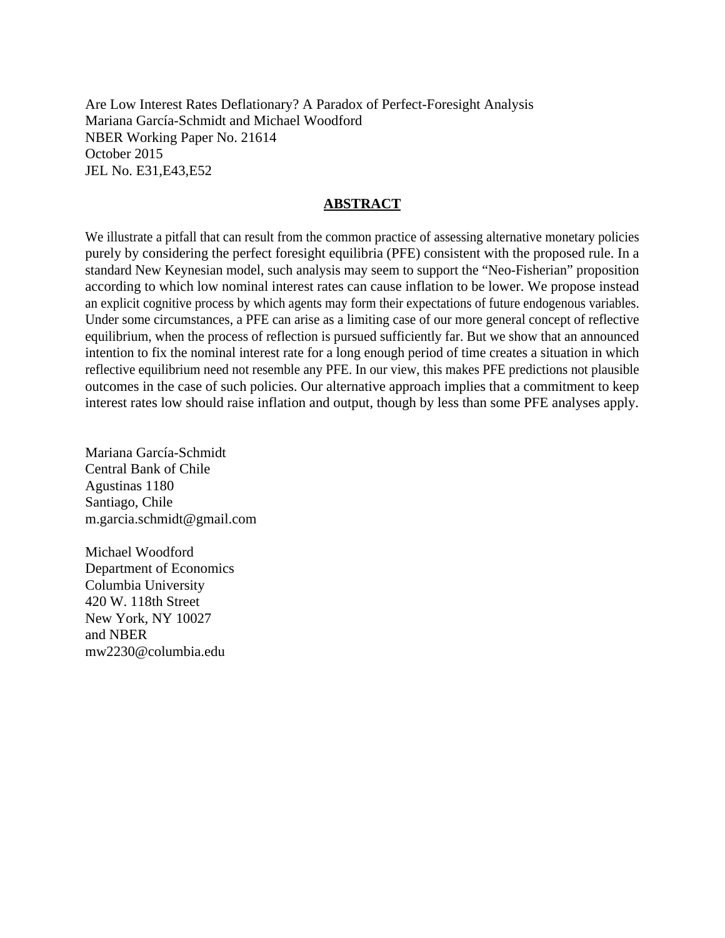Are Low Interest Rates Deflationary? A Paradox of Perfect-Foresight Analysis Mariana García-Schmidt and Michael Woodford NBER Working Paper No. 21614 October 2015 JEL No. E31,E43,E52

#### **ABSTRACT**

We illustrate a pitfall that can result from the common practice of assessing alternative monetary policies purely by considering the perfect foresight equilibria (PFE) consistent with the proposed rule. In a standard New Keynesian model, such analysis may seem to support the "Neo-Fisherian" proposition according to which low nominal interest rates can cause inflation to be lower. We propose instead an explicit cognitive process by which agents may form their expectations of future endogenous variables. Under some circumstances, a PFE can arise as a limiting case of our more general concept of reflective equilibrium, when the process of reflection is pursued sufficiently far. But we show that an announced intention to fix the nominal interest rate for a long enough period of time creates a situation in which reflective equilibrium need not resemble any PFE. In our view, this makes PFE predictions not plausible outcomes in the case of such policies. Our alternative approach implies that a commitment to keep interest rates low should raise inflation and output, though by less than some PFE analyses apply.

Mariana García-Schmidt Central Bank of Chile Agustinas 1180 Santiago, Chile m.garcia.schmidt@gmail.com

Michael Woodford Department of Economics Columbia University 420 W. 118th Street New York, NY 10027 and NBER mw2230@columbia.edu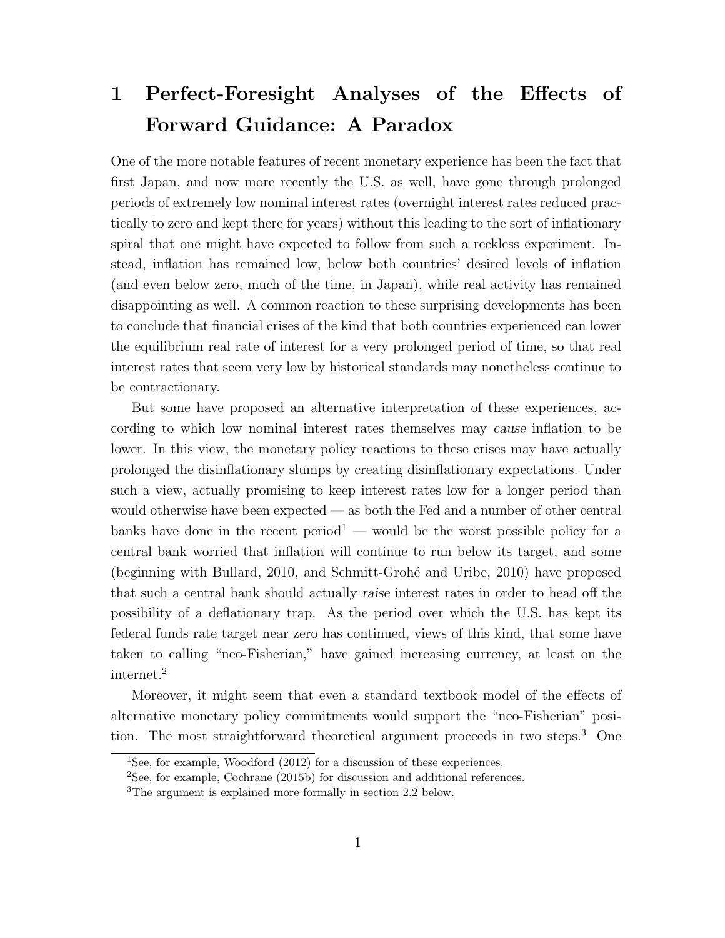1 Perfect-Foresight Analyses of the Effects of Forward Guidance: A Paradox

One of the more notable features of recent monetary experience has been the fact that first Japan, and now more recently the U.S. as well, have gone through prolonged periods of extremely low nominal interest rates (overnight interest rates reduced practically to zero and kept there for years) without this leading to the sort of inflationary spiral that one might have expected to follow from such a reckless experiment. Instead, inflation has remained low, below both countries' desired levels of inflation (and even below zero, much of the time, in Japan), while real activity has remained disappointing as well. A common reaction to these surprising developments has been to conclude that financial crises of the kind that both countries experienced can lower the equilibrium real rate of interest for a very prolonged period of time, so that real interest rates that seem very low by historical standards may nonetheless continue to be contractionary.

But some have proposed an alternative interpretation of these experiences, according to which low nominal interest rates themselves may cause inflation to be lower. In this view, the monetary policy reactions to these crises may have actually prolonged the disinflationary slumps by creating disinflationary expectations. Under such a view, actually promising to keep interest rates low for a longer period than would otherwise have been expected — as both the Fed and a number of other central banks have done in the recent period<sup>1</sup> — would be the worst possible policy for a central bank worried that inflation will continue to run below its target, and some (beginning with Bullard, 2010, and Schmitt-Grohé and Uribe, 2010) have proposed that such a central bank should actually raise interest rates in order to head off the possibility of a deflationary trap. As the period over which the U.S. has kept its federal funds rate target near zero has continued, views of this kind, that some have taken to calling "neo-Fisherian," have gained increasing currency, at least on the internet.<sup>2</sup>

Moreover, it might seem that even a standard textbook model of the effects of alternative monetary policy commitments would support the "neo-Fisherian" position. The most straightforward theoretical argument proceeds in two steps.<sup>3</sup> One

<sup>&</sup>lt;sup>1</sup>See, for example, Woodford  $(2012)$  for a discussion of these experiences.

<sup>2</sup>See, for example, Cochrane (2015b) for discussion and additional references.

<sup>3</sup>The argument is explained more formally in section 2.2 below.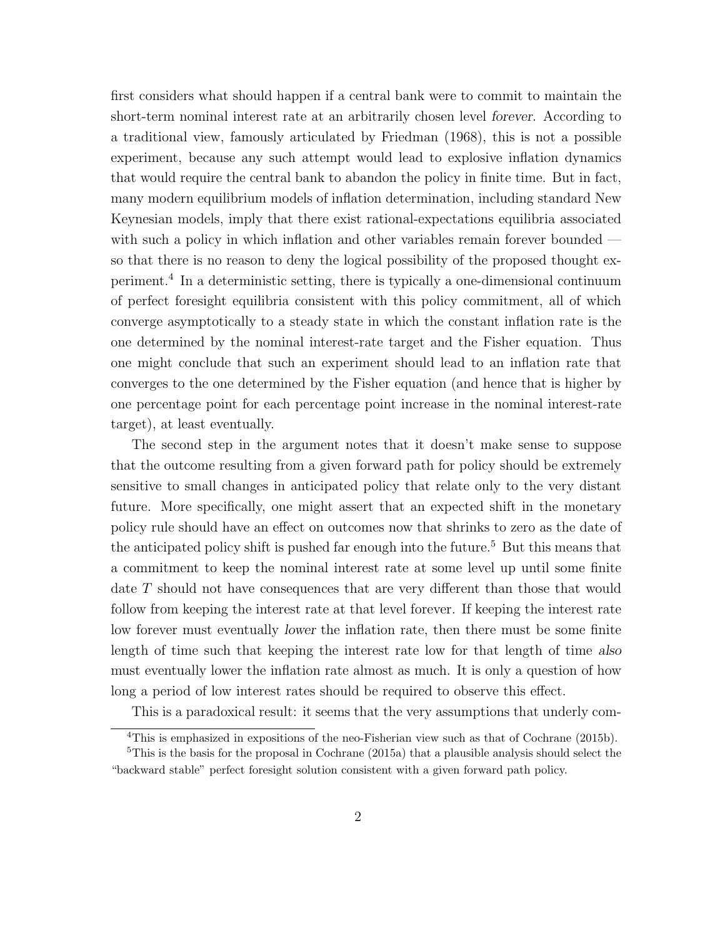first considers what should happen if a central bank were to commit to maintain the short-term nominal interest rate at an arbitrarily chosen level forever. According to a traditional view, famously articulated by Friedman (1968), this is not a possible experiment, because any such attempt would lead to explosive inflation dynamics that would require the central bank to abandon the policy in finite time. But in fact, many modern equilibrium models of inflation determination, including standard New Keynesian models, imply that there exist rational-expectations equilibria associated with such a policy in which inflation and other variables remain forever bounded so that there is no reason to deny the logical possibility of the proposed thought experiment.<sup>4</sup> In a deterministic setting, there is typically a one-dimensional continuum of perfect foresight equilibria consistent with this policy commitment, all of which converge asymptotically to a steady state in which the constant inflation rate is the one determined by the nominal interest-rate target and the Fisher equation. Thus one might conclude that such an experiment should lead to an inflation rate that converges to the one determined by the Fisher equation (and hence that is higher by one percentage point for each percentage point increase in the nominal interest-rate target), at least eventually.

The second step in the argument notes that it doesn't make sense to suppose that the outcome resulting from a given forward path for policy should be extremely sensitive to small changes in anticipated policy that relate only to the very distant future. More specifically, one might assert that an expected shift in the monetary policy rule should have an effect on outcomes now that shrinks to zero as the date of the anticipated policy shift is pushed far enough into the future.<sup>5</sup> But this means that a commitment to keep the nominal interest rate at some level up until some finite date T should not have consequences that are very different than those that would follow from keeping the interest rate at that level forever. If keeping the interest rate low forever must eventually lower the inflation rate, then there must be some finite length of time such that keeping the interest rate low for that length of time also must eventually lower the inflation rate almost as much. It is only a question of how long a period of low interest rates should be required to observe this effect.

This is a paradoxical result: it seems that the very assumptions that underly com-

<sup>4</sup>This is emphasized in expositions of the neo-Fisherian view such as that of Cochrane (2015b).

<sup>5</sup>This is the basis for the proposal in Cochrane (2015a) that a plausible analysis should select the "backward stable" perfect foresight solution consistent with a given forward path policy.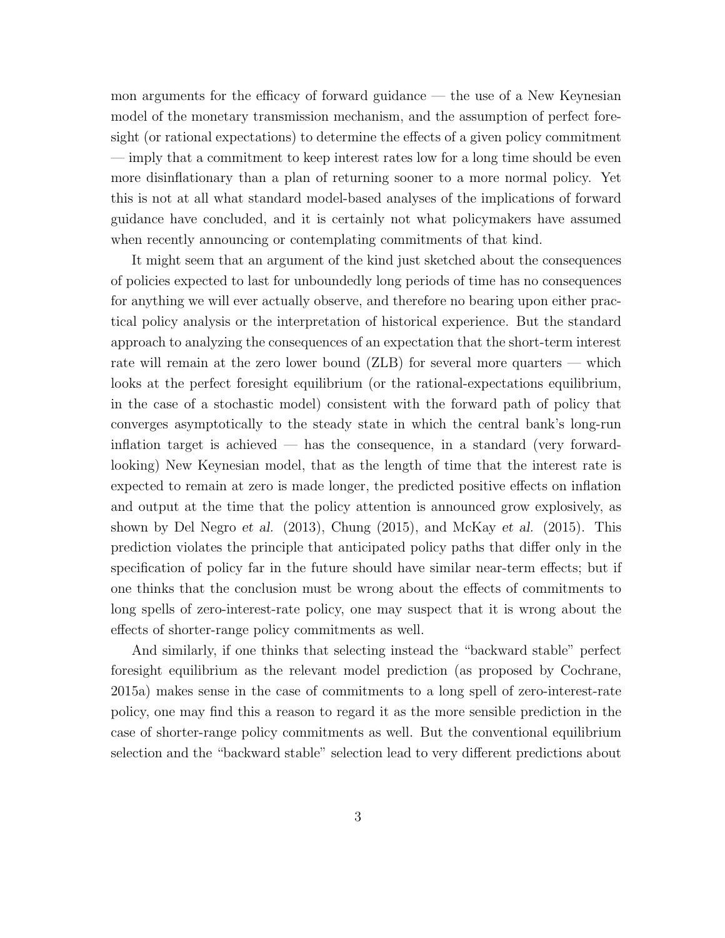mon arguments for the efficacy of forward guidance — the use of a New Keynesian model of the monetary transmission mechanism, and the assumption of perfect foresight (or rational expectations) to determine the effects of a given policy commitment — imply that a commitment to keep interest rates low for a long time should be even more disinflationary than a plan of returning sooner to a more normal policy. Yet this is not at all what standard model-based analyses of the implications of forward guidance have concluded, and it is certainly not what policymakers have assumed when recently announcing or contemplating commitments of that kind.

It might seem that an argument of the kind just sketched about the consequences of policies expected to last for unboundedly long periods of time has no consequences for anything we will ever actually observe, and therefore no bearing upon either practical policy analysis or the interpretation of historical experience. But the standard approach to analyzing the consequences of an expectation that the short-term interest rate will remain at the zero lower bound (ZLB) for several more quarters — which looks at the perfect foresight equilibrium (or the rational-expectations equilibrium, in the case of a stochastic model) consistent with the forward path of policy that converges asymptotically to the steady state in which the central bank's long-run inflation target is achieved — has the consequence, in a standard (very forwardlooking) New Keynesian model, that as the length of time that the interest rate is expected to remain at zero is made longer, the predicted positive effects on inflation and output at the time that the policy attention is announced grow explosively, as shown by Del Negro et al. (2013), Chung (2015), and McKay et al. (2015). This prediction violates the principle that anticipated policy paths that differ only in the specification of policy far in the future should have similar near-term effects; but if one thinks that the conclusion must be wrong about the effects of commitments to long spells of zero-interest-rate policy, one may suspect that it is wrong about the effects of shorter-range policy commitments as well.

And similarly, if one thinks that selecting instead the "backward stable" perfect foresight equilibrium as the relevant model prediction (as proposed by Cochrane, 2015a) makes sense in the case of commitments to a long spell of zero-interest-rate policy, one may find this a reason to regard it as the more sensible prediction in the case of shorter-range policy commitments as well. But the conventional equilibrium selection and the "backward stable" selection lead to very different predictions about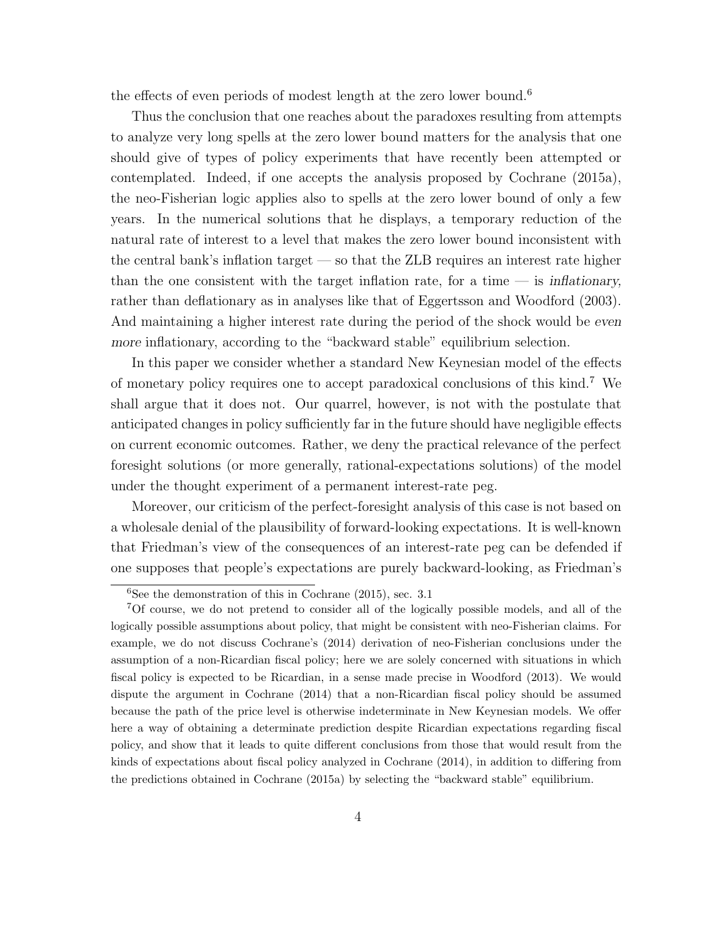the effects of even periods of modest length at the zero lower bound.<sup>6</sup>

Thus the conclusion that one reaches about the paradoxes resulting from attempts to analyze very long spells at the zero lower bound matters for the analysis that one should give of types of policy experiments that have recently been attempted or contemplated. Indeed, if one accepts the analysis proposed by Cochrane (2015a), the neo-Fisherian logic applies also to spells at the zero lower bound of only a few years. In the numerical solutions that he displays, a temporary reduction of the natural rate of interest to a level that makes the zero lower bound inconsistent with the central bank's inflation target — so that the ZLB requires an interest rate higher than the one consistent with the target inflation rate, for a time  $-$  is inflationary, rather than deflationary as in analyses like that of Eggertsson and Woodford (2003). And maintaining a higher interest rate during the period of the shock would be even more inflationary, according to the "backward stable" equilibrium selection.

In this paper we consider whether a standard New Keynesian model of the effects of monetary policy requires one to accept paradoxical conclusions of this kind.<sup>7</sup> We shall argue that it does not. Our quarrel, however, is not with the postulate that anticipated changes in policy sufficiently far in the future should have negligible effects on current economic outcomes. Rather, we deny the practical relevance of the perfect foresight solutions (or more generally, rational-expectations solutions) of the model under the thought experiment of a permanent interest-rate peg.

Moreover, our criticism of the perfect-foresight analysis of this case is not based on a wholesale denial of the plausibility of forward-looking expectations. It is well-known that Friedman's view of the consequences of an interest-rate peg can be defended if one supposes that people's expectations are purely backward-looking, as Friedman's

 ${}^{6}$ See the demonstration of this in Cochrane (2015), sec. 3.1

<sup>7</sup>Of course, we do not pretend to consider all of the logically possible models, and all of the logically possible assumptions about policy, that might be consistent with neo-Fisherian claims. For example, we do not discuss Cochrane's (2014) derivation of neo-Fisherian conclusions under the assumption of a non-Ricardian fiscal policy; here we are solely concerned with situations in which fiscal policy is expected to be Ricardian, in a sense made precise in Woodford (2013). We would dispute the argument in Cochrane (2014) that a non-Ricardian fiscal policy should be assumed because the path of the price level is otherwise indeterminate in New Keynesian models. We offer here a way of obtaining a determinate prediction despite Ricardian expectations regarding fiscal policy, and show that it leads to quite different conclusions from those that would result from the kinds of expectations about fiscal policy analyzed in Cochrane (2014), in addition to differing from the predictions obtained in Cochrane (2015a) by selecting the "backward stable" equilibrium.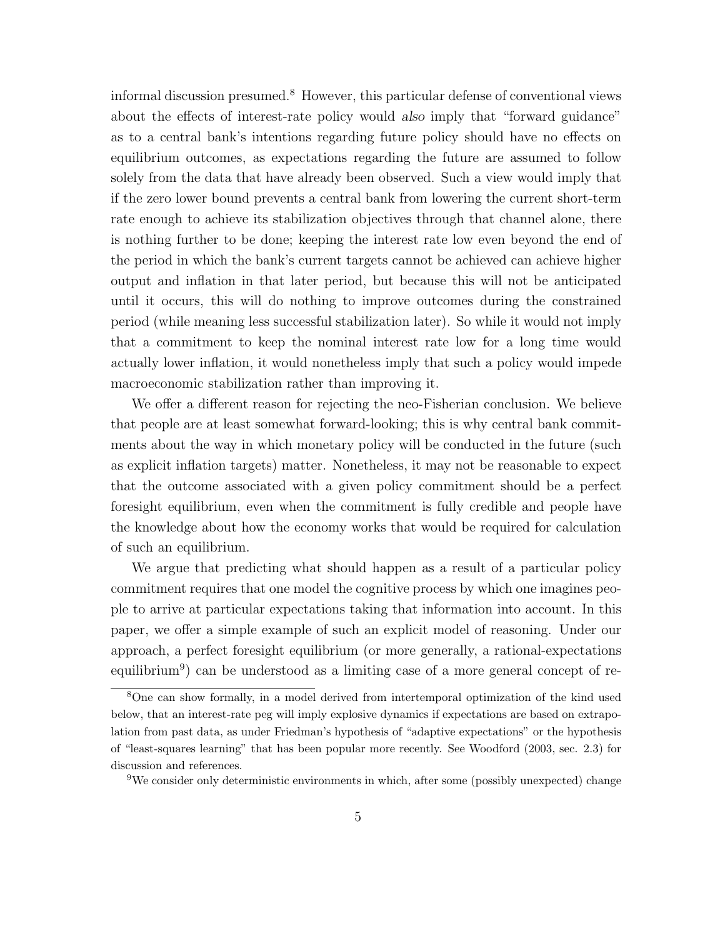informal discussion presumed.<sup>8</sup> However, this particular defense of conventional views about the effects of interest-rate policy would also imply that "forward guidance" as to a central bank's intentions regarding future policy should have no effects on equilibrium outcomes, as expectations regarding the future are assumed to follow solely from the data that have already been observed. Such a view would imply that if the zero lower bound prevents a central bank from lowering the current short-term rate enough to achieve its stabilization objectives through that channel alone, there is nothing further to be done; keeping the interest rate low even beyond the end of the period in which the bank's current targets cannot be achieved can achieve higher output and inflation in that later period, but because this will not be anticipated until it occurs, this will do nothing to improve outcomes during the constrained period (while meaning less successful stabilization later). So while it would not imply that a commitment to keep the nominal interest rate low for a long time would actually lower inflation, it would nonetheless imply that such a policy would impede macroeconomic stabilization rather than improving it.

We offer a different reason for rejecting the neo-Fisherian conclusion. We believe that people are at least somewhat forward-looking; this is why central bank commitments about the way in which monetary policy will be conducted in the future (such as explicit inflation targets) matter. Nonetheless, it may not be reasonable to expect that the outcome associated with a given policy commitment should be a perfect foresight equilibrium, even when the commitment is fully credible and people have the knowledge about how the economy works that would be required for calculation of such an equilibrium.

We argue that predicting what should happen as a result of a particular policy commitment requires that one model the cognitive process by which one imagines people to arrive at particular expectations taking that information into account. In this paper, we offer a simple example of such an explicit model of reasoning. Under our approach, a perfect foresight equilibrium (or more generally, a rational-expectations equilibrium<sup>9</sup>) can be understood as a limiting case of a more general concept of re-

<sup>8</sup>One can show formally, in a model derived from intertemporal optimization of the kind used below, that an interest-rate peg will imply explosive dynamics if expectations are based on extrapolation from past data, as under Friedman's hypothesis of "adaptive expectations" or the hypothesis of "least-squares learning" that has been popular more recently. See Woodford (2003, sec. 2.3) for discussion and references.

<sup>9</sup>We consider only deterministic environments in which, after some (possibly unexpected) change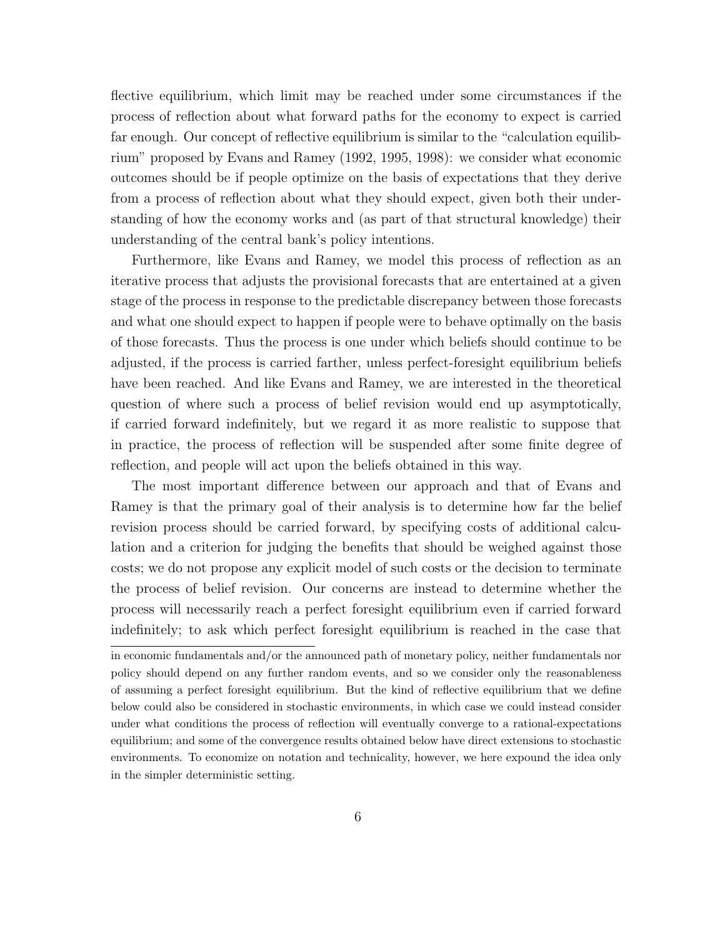flective equilibrium, which limit may be reached under some circumstances if the process of reflection about what forward paths for the economy to expect is carried far enough. Our concept of reflective equilibrium is similar to the "calculation equilibrium" proposed by Evans and Ramey (1992, 1995, 1998): we consider what economic outcomes should be if people optimize on the basis of expectations that they derive from a process of reflection about what they should expect, given both their understanding of how the economy works and (as part of that structural knowledge) their understanding of the central bank's policy intentions.

Furthermore, like Evans and Ramey, we model this process of reflection as an iterative process that adjusts the provisional forecasts that are entertained at a given stage of the process in response to the predictable discrepancy between those forecasts and what one should expect to happen if people were to behave optimally on the basis of those forecasts. Thus the process is one under which beliefs should continue to be adjusted, if the process is carried farther, unless perfect-foresight equilibrium beliefs have been reached. And like Evans and Ramey, we are interested in the theoretical question of where such a process of belief revision would end up asymptotically, if carried forward indefinitely, but we regard it as more realistic to suppose that in practice, the process of reflection will be suspended after some finite degree of reflection, and people will act upon the beliefs obtained in this way.

The most important difference between our approach and that of Evans and Ramey is that the primary goal of their analysis is to determine how far the belief revision process should be carried forward, by specifying costs of additional calculation and a criterion for judging the benefits that should be weighed against those costs; we do not propose any explicit model of such costs or the decision to terminate the process of belief revision. Our concerns are instead to determine whether the process will necessarily reach a perfect foresight equilibrium even if carried forward indefinitely; to ask which perfect foresight equilibrium is reached in the case that

in economic fundamentals and/or the announced path of monetary policy, neither fundamentals nor policy should depend on any further random events, and so we consider only the reasonableness of assuming a perfect foresight equilibrium. But the kind of reflective equilibrium that we define below could also be considered in stochastic environments, in which case we could instead consider under what conditions the process of reflection will eventually converge to a rational-expectations equilibrium; and some of the convergence results obtained below have direct extensions to stochastic environments. To economize on notation and technicality, however, we here expound the idea only in the simpler deterministic setting.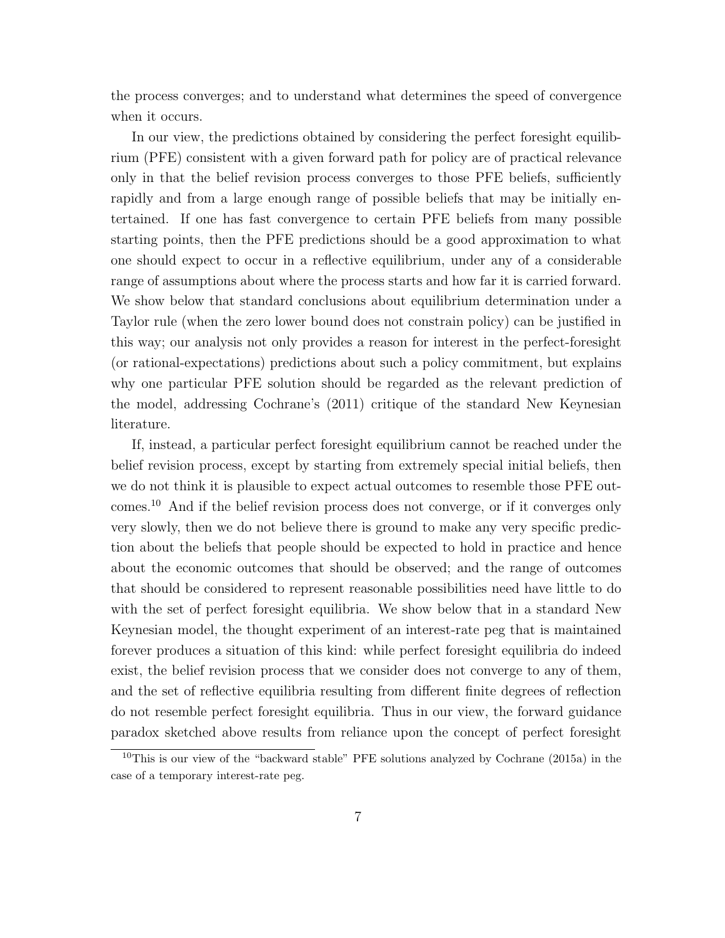the process converges; and to understand what determines the speed of convergence when it occurs.

In our view, the predictions obtained by considering the perfect foresight equilibrium (PFE) consistent with a given forward path for policy are of practical relevance only in that the belief revision process converges to those PFE beliefs, sufficiently rapidly and from a large enough range of possible beliefs that may be initially entertained. If one has fast convergence to certain PFE beliefs from many possible starting points, then the PFE predictions should be a good approximation to what one should expect to occur in a reflective equilibrium, under any of a considerable range of assumptions about where the process starts and how far it is carried forward. We show below that standard conclusions about equilibrium determination under a Taylor rule (when the zero lower bound does not constrain policy) can be justified in this way; our analysis not only provides a reason for interest in the perfect-foresight (or rational-expectations) predictions about such a policy commitment, but explains why one particular PFE solution should be regarded as the relevant prediction of the model, addressing Cochrane's (2011) critique of the standard New Keynesian literature.

If, instead, a particular perfect foresight equilibrium cannot be reached under the belief revision process, except by starting from extremely special initial beliefs, then we do not think it is plausible to expect actual outcomes to resemble those PFE outcomes.<sup>10</sup> And if the belief revision process does not converge, or if it converges only very slowly, then we do not believe there is ground to make any very specific prediction about the beliefs that people should be expected to hold in practice and hence about the economic outcomes that should be observed; and the range of outcomes that should be considered to represent reasonable possibilities need have little to do with the set of perfect foresight equilibria. We show below that in a standard New Keynesian model, the thought experiment of an interest-rate peg that is maintained forever produces a situation of this kind: while perfect foresight equilibria do indeed exist, the belief revision process that we consider does not converge to any of them, and the set of reflective equilibria resulting from different finite degrees of reflection do not resemble perfect foresight equilibria. Thus in our view, the forward guidance paradox sketched above results from reliance upon the concept of perfect foresight

<sup>10</sup>This is our view of the "backward stable" PFE solutions analyzed by Cochrane (2015a) in the case of a temporary interest-rate peg.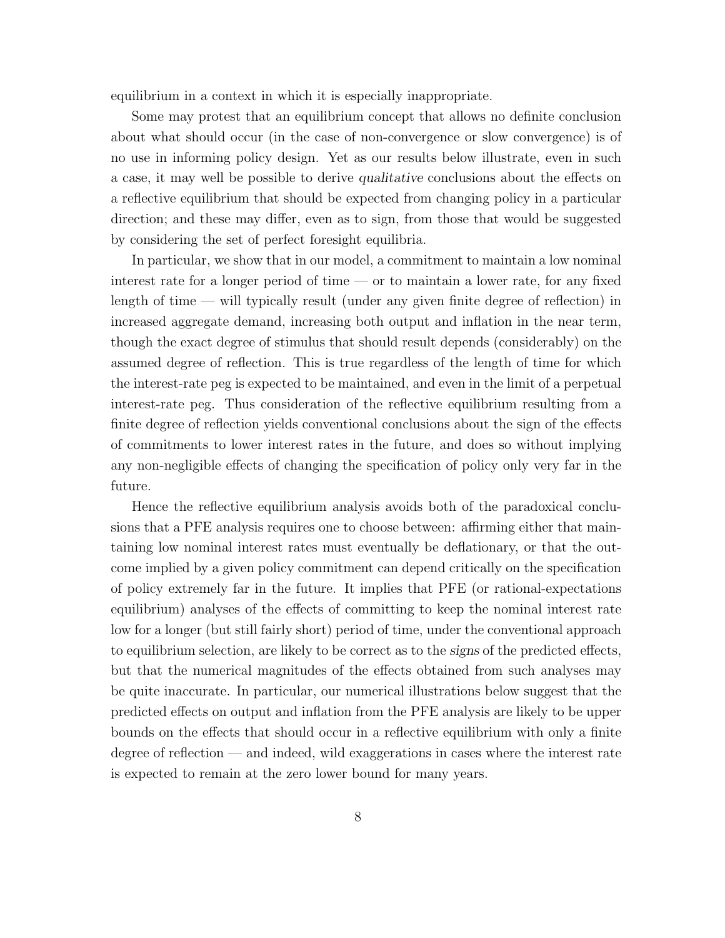equilibrium in a context in which it is especially inappropriate.

Some may protest that an equilibrium concept that allows no definite conclusion about what should occur (in the case of non-convergence or slow convergence) is of no use in informing policy design. Yet as our results below illustrate, even in such a case, it may well be possible to derive qualitative conclusions about the effects on a reflective equilibrium that should be expected from changing policy in a particular direction; and these may differ, even as to sign, from those that would be suggested by considering the set of perfect foresight equilibria.

In particular, we show that in our model, a commitment to maintain a low nominal interest rate for a longer period of time — or to maintain a lower rate, for any fixed length of time — will typically result (under any given finite degree of reflection) in increased aggregate demand, increasing both output and inflation in the near term, though the exact degree of stimulus that should result depends (considerably) on the assumed degree of reflection. This is true regardless of the length of time for which the interest-rate peg is expected to be maintained, and even in the limit of a perpetual interest-rate peg. Thus consideration of the reflective equilibrium resulting from a finite degree of reflection yields conventional conclusions about the sign of the effects of commitments to lower interest rates in the future, and does so without implying any non-negligible effects of changing the specification of policy only very far in the future.

Hence the reflective equilibrium analysis avoids both of the paradoxical conclusions that a PFE analysis requires one to choose between: affirming either that maintaining low nominal interest rates must eventually be deflationary, or that the outcome implied by a given policy commitment can depend critically on the specification of policy extremely far in the future. It implies that PFE (or rational-expectations equilibrium) analyses of the effects of committing to keep the nominal interest rate low for a longer (but still fairly short) period of time, under the conventional approach to equilibrium selection, are likely to be correct as to the signs of the predicted effects, but that the numerical magnitudes of the effects obtained from such analyses may be quite inaccurate. In particular, our numerical illustrations below suggest that the predicted effects on output and inflation from the PFE analysis are likely to be upper bounds on the effects that should occur in a reflective equilibrium with only a finite degree of reflection — and indeed, wild exaggerations in cases where the interest rate is expected to remain at the zero lower bound for many years.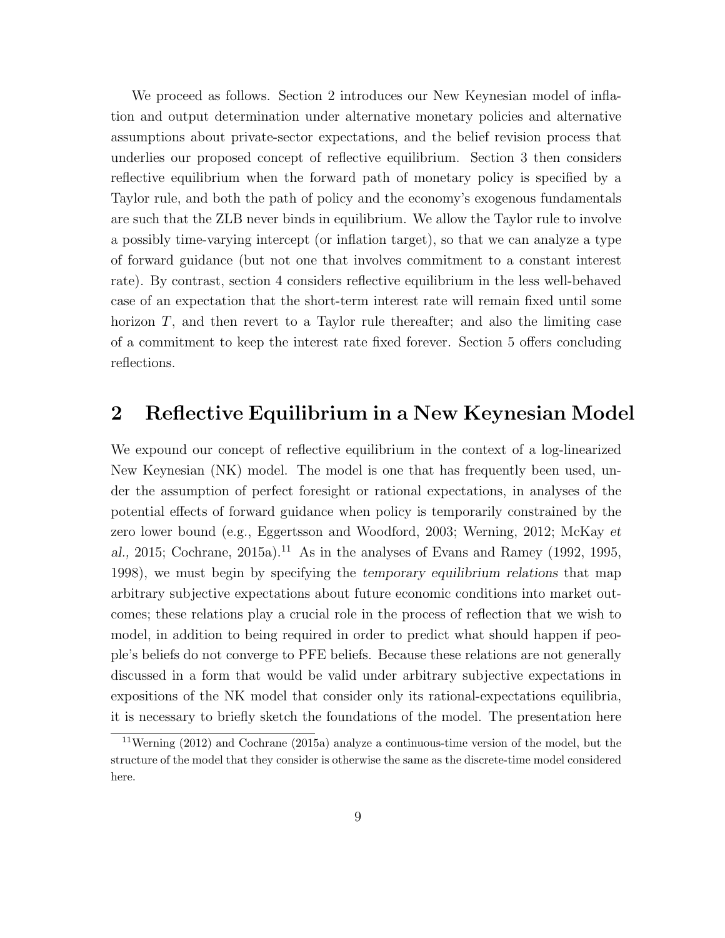We proceed as follows. Section 2 introduces our New Keynesian model of inflation and output determination under alternative monetary policies and alternative assumptions about private-sector expectations, and the belief revision process that underlies our proposed concept of reflective equilibrium. Section 3 then considers reflective equilibrium when the forward path of monetary policy is specified by a Taylor rule, and both the path of policy and the economy's exogenous fundamentals are such that the ZLB never binds in equilibrium. We allow the Taylor rule to involve a possibly time-varying intercept (or inflation target), so that we can analyze a type of forward guidance (but not one that involves commitment to a constant interest rate). By contrast, section 4 considers reflective equilibrium in the less well-behaved case of an expectation that the short-term interest rate will remain fixed until some horizon T, and then revert to a Taylor rule thereafter; and also the limiting case of a commitment to keep the interest rate fixed forever. Section 5 offers concluding reflections.

# 2 Reflective Equilibrium in a New Keynesian Model

We expound our concept of reflective equilibrium in the context of a log-linearized New Keynesian (NK) model. The model is one that has frequently been used, under the assumption of perfect foresight or rational expectations, in analyses of the potential effects of forward guidance when policy is temporarily constrained by the zero lower bound (e.g., Eggertsson and Woodford, 2003; Werning, 2012; McKay et al., 2015; Cochrane, 2015a).<sup>11</sup> As in the analyses of Evans and Ramey (1992, 1995, 1998), we must begin by specifying the temporary equilibrium relations that map arbitrary subjective expectations about future economic conditions into market outcomes; these relations play a crucial role in the process of reflection that we wish to model, in addition to being required in order to predict what should happen if people's beliefs do not converge to PFE beliefs. Because these relations are not generally discussed in a form that would be valid under arbitrary subjective expectations in expositions of the NK model that consider only its rational-expectations equilibria, it is necessary to briefly sketch the foundations of the model. The presentation here

<sup>11</sup>Werning (2012) and Cochrane (2015a) analyze a continuous-time version of the model, but the structure of the model that they consider is otherwise the same as the discrete-time model considered here.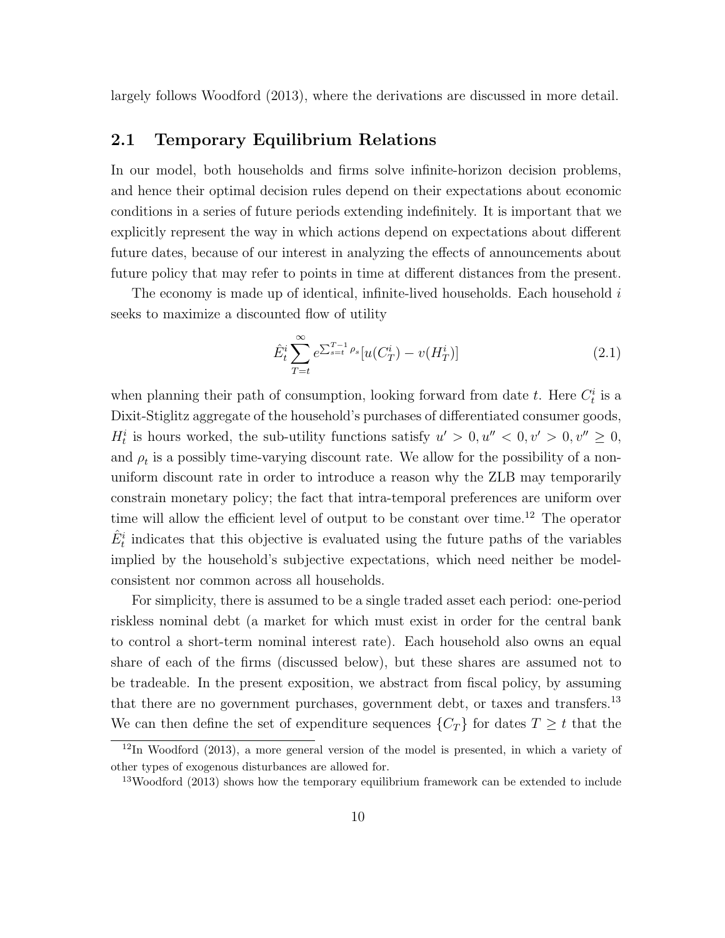largely follows Woodford (2013), where the derivations are discussed in more detail.

#### 2.1 Temporary Equilibrium Relations

In our model, both households and firms solve infinite-horizon decision problems, and hence their optimal decision rules depend on their expectations about economic conditions in a series of future periods extending indefinitely. It is important that we explicitly represent the way in which actions depend on expectations about different future dates, because of our interest in analyzing the effects of announcements about future policy that may refer to points in time at different distances from the present.

The economy is made up of identical, infinite-lived households. Each household i seeks to maximize a discounted flow of utility

$$
\hat{E}_t^i \sum_{T=t}^{\infty} e^{\sum_{s=t}^{T-1} \rho_s} [u(C_T^i) - v(H_T^i)] \tag{2.1}
$$

when planning their path of consumption, looking forward from date  $t$ . Here  $C_t^i$  is a Dixit-Stiglitz aggregate of the household's purchases of differentiated consumer goods,  $H_t^i$  is hours worked, the sub-utility functions satisfy  $u' > 0, u'' < 0, v' > 0, v'' \ge 0$ , and  $\rho_t$  is a possibly time-varying discount rate. We allow for the possibility of a nonuniform discount rate in order to introduce a reason why the ZLB may temporarily constrain monetary policy; the fact that intra-temporal preferences are uniform over time will allow the efficient level of output to be constant over time.<sup>12</sup> The operator  $\hat{E}^i_t$  indicates that this objective is evaluated using the future paths of the variables implied by the household's subjective expectations, which need neither be modelconsistent nor common across all households.

For simplicity, there is assumed to be a single traded asset each period: one-period riskless nominal debt (a market for which must exist in order for the central bank to control a short-term nominal interest rate). Each household also owns an equal share of each of the firms (discussed below), but these shares are assumed not to be tradeable. In the present exposition, we abstract from fiscal policy, by assuming that there are no government purchases, government debt, or taxes and transfers.<sup>13</sup> We can then define the set of expenditure sequences  $\{C_T\}$  for dates  $T \geq t$  that the

 $12$ In Woodford (2013), a more general version of the model is presented, in which a variety of other types of exogenous disturbances are allowed for.

<sup>&</sup>lt;sup>13</sup>Woodford (2013) shows how the temporary equilibrium framework can be extended to include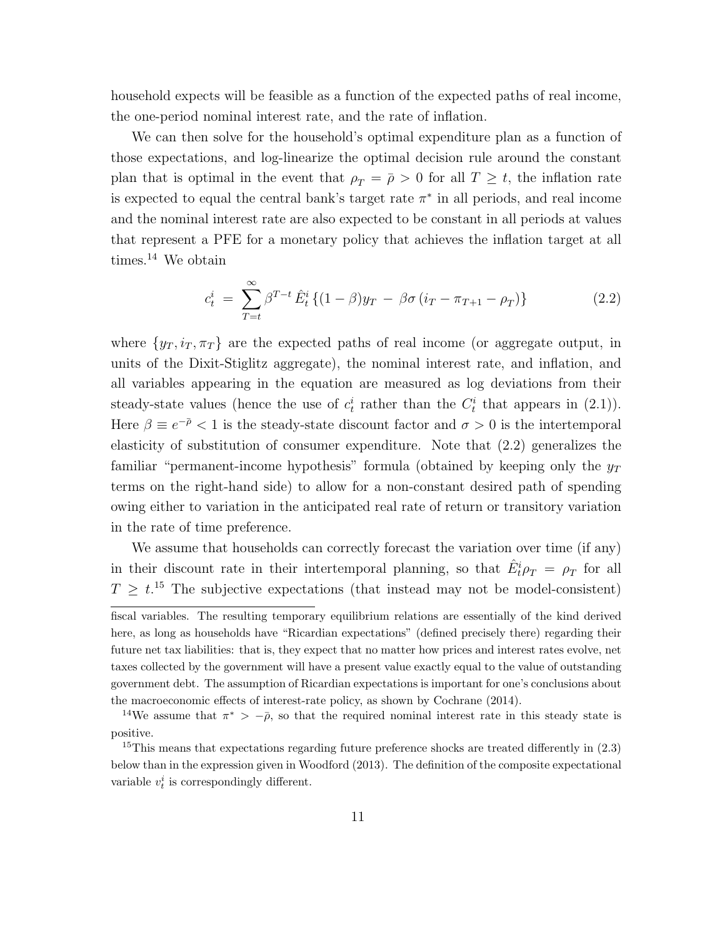household expects will be feasible as a function of the expected paths of real income, the one-period nominal interest rate, and the rate of inflation.

We can then solve for the household's optimal expenditure plan as a function of those expectations, and log-linearize the optimal decision rule around the constant plan that is optimal in the event that  $\rho_T = \overline{\rho} > 0$  for all  $T \geq t$ , the inflation rate is expected to equal the central bank's target rate  $\pi^*$  in all periods, and real income and the nominal interest rate are also expected to be constant in all periods at values that represent a PFE for a monetary policy that achieves the inflation target at all times.<sup>14</sup> We obtain

$$
c_t^i = \sum_{T=t}^{\infty} \beta^{T-t} \hat{E}_t^i \{ (1-\beta)y_T - \beta \sigma (i_T - \pi_{T+1} - \rho_T) \}
$$
(2.2)

where  $\{y_T, i_T, \pi_T\}$  are the expected paths of real income (or aggregate output, in units of the Dixit-Stiglitz aggregate), the nominal interest rate, and inflation, and all variables appearing in the equation are measured as log deviations from their steady-state values (hence the use of  $c_t^i$  rather than the  $C_t^i$  that appears in (2.1)). Here  $\beta \equiv e^{-\bar{\rho}} < 1$  is the steady-state discount factor and  $\sigma > 0$  is the intertemporal elasticity of substitution of consumer expenditure. Note that (2.2) generalizes the familiar "permanent-income hypothesis" formula (obtained by keeping only the  $y_T$ terms on the right-hand side) to allow for a non-constant desired path of spending owing either to variation in the anticipated real rate of return or transitory variation in the rate of time preference.

We assume that households can correctly forecast the variation over time (if any) in their discount rate in their intertemporal planning, so that  $\hat{E}_t^i \rho_T = \rho_T$  for all  $T \geq t^{15}$  The subjective expectations (that instead may not be model-consistent)

fiscal variables. The resulting temporary equilibrium relations are essentially of the kind derived here, as long as households have "Ricardian expectations" (defined precisely there) regarding their future net tax liabilities: that is, they expect that no matter how prices and interest rates evolve, net taxes collected by the government will have a present value exactly equal to the value of outstanding government debt. The assumption of Ricardian expectations is important for one's conclusions about the macroeconomic effects of interest-rate policy, as shown by Cochrane (2014).

<sup>&</sup>lt;sup>14</sup>We assume that  $\pi^*$  >  $-\bar{\rho}$ , so that the required nominal interest rate in this steady state is positive.

<sup>&</sup>lt;sup>15</sup>This means that expectations regarding future preference shocks are treated differently in  $(2.3)$ below than in the expression given in Woodford (2013). The definition of the composite expectational variable  $v_t^i$  is correspondingly different.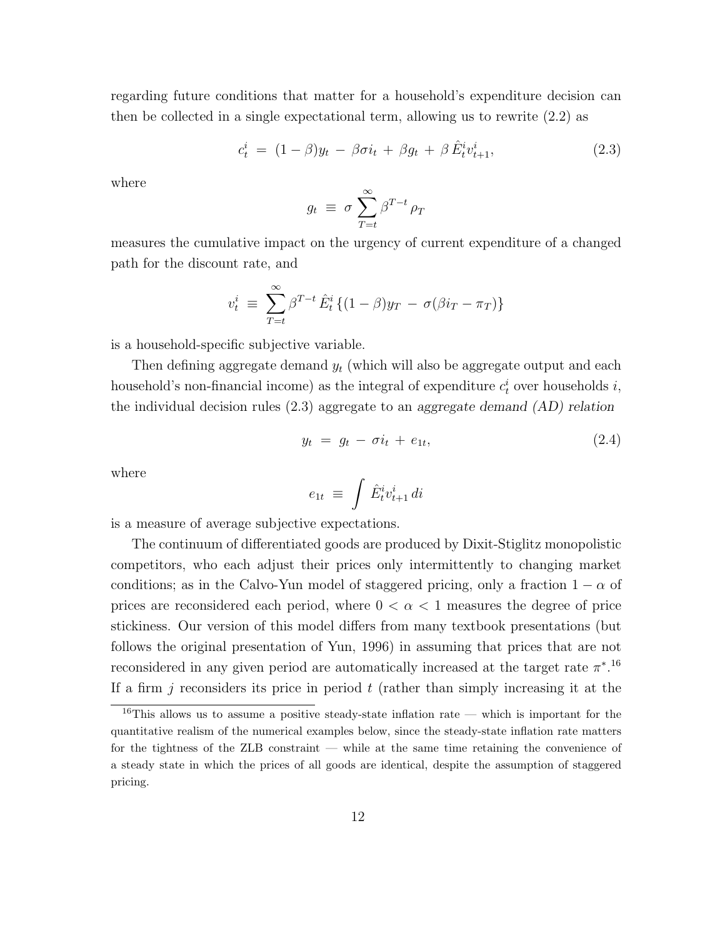regarding future conditions that matter for a household's expenditure decision can then be collected in a single expectational term, allowing us to rewrite (2.2) as

$$
c_t^i = (1 - \beta)y_t - \beta \sigma i_t + \beta g_t + \beta \hat{E}_t^i v_{t+1}^i, \tag{2.3}
$$

where

$$
g_t \equiv \sigma \sum_{T=t}^{\infty} \beta^{T-t} \rho_T
$$

measures the cumulative impact on the urgency of current expenditure of a changed path for the discount rate, and

$$
v_t^i \equiv \sum_{T=t}^{\infty} \beta^{T-t} \hat{E}_t^i \{ (1-\beta)y_T - \sigma(\beta i_T - \pi_T) \}
$$

is a household-specific subjective variable.

Then defining aggregate demand  $y_t$  (which will also be aggregate output and each household's non-financial income) as the integral of expenditure  $c_t^i$  over households  $i$ , the individual decision rules (2.3) aggregate to an aggregate demand (AD) relation

$$
y_t = g_t - \sigma i_t + e_{1t}, \qquad (2.4)
$$

where

$$
e_{1t} \equiv \int \hat{E}_t^i v_{t+1}^i \, di
$$

is a measure of average subjective expectations.

The continuum of differentiated goods are produced by Dixit-Stiglitz monopolistic competitors, who each adjust their prices only intermittently to changing market conditions; as in the Calvo-Yun model of staggered pricing, only a fraction  $1 - \alpha$  of prices are reconsidered each period, where  $0 < \alpha < 1$  measures the degree of price stickiness. Our version of this model differs from many textbook presentations (but follows the original presentation of Yun, 1996) in assuming that prices that are not reconsidered in any given period are automatically increased at the target rate  $\pi^*$ .<sup>16</sup> If a firm  $j$  reconsiders its price in period  $t$  (rather than simply increasing it at the

<sup>&</sup>lt;sup>16</sup>This allows us to assume a positive steady-state inflation rate — which is important for the quantitative realism of the numerical examples below, since the steady-state inflation rate matters for the tightness of the ZLB constraint — while at the same time retaining the convenience of a steady state in which the prices of all goods are identical, despite the assumption of staggered pricing.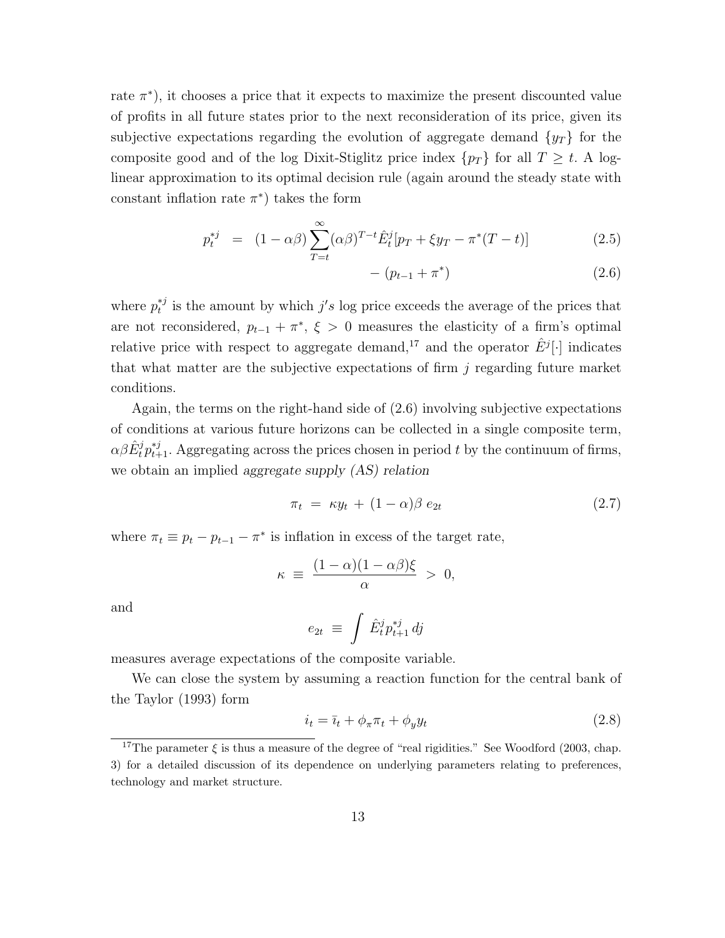rate  $\pi^*$ ), it chooses a price that it expects to maximize the present discounted value of profits in all future states prior to the next reconsideration of its price, given its subjective expectations regarding the evolution of aggregate demand  $\{y_T\}$  for the composite good and of the log Dixit-Stiglitz price index  $\{p_T\}$  for all  $T \geq t$ . A loglinear approximation to its optimal decision rule (again around the steady state with constant inflation rate  $\pi^*$ ) takes the form

$$
p_t^{*j} = (1 - \alpha \beta) \sum_{T=t}^{\infty} (\alpha \beta)^{T-t} \hat{E}_t^j [p_T + \xi y_T - \pi^* (T - t)] \tag{2.5}
$$

$$
-(p_{t-1} + \pi^*)
$$
\n(2.6)

where  $p_t^{*j}$  $t_i^{*j}$  is the amount by which  $j's$  log price exceeds the average of the prices that are not reconsidered,  $p_{t-1} + \pi^*, \xi > 0$  measures the elasticity of a firm's optimal relative price with respect to aggregate demand,<sup>17</sup> and the operator  $\hat{E}^{j}[\cdot]$  indicates that what matter are the subjective expectations of firm  $j$  regarding future market conditions.

Again, the terms on the right-hand side of (2.6) involving subjective expectations of conditions at various future horizons can be collected in a single composite term,  $\alpha\beta \hat{E}^j_t p^{*j}_{t+1}$ . Aggregating across the prices chosen in period t by the continuum of firms, we obtain an implied aggregate supply (AS) relation

$$
\pi_t = \kappa y_t + (1 - \alpha)\beta \, e_{2t} \tag{2.7}
$$

where  $\pi_t \equiv p_t - p_{t-1} - \pi^*$  is inflation in excess of the target rate,

$$
\kappa \equiv \frac{(1-\alpha)(1-\alpha\beta)\xi}{\alpha} > 0,
$$

and

$$
e_{2t} \equiv \int \hat{E}_t^j p_{t+1}^{*j} \, dj
$$

measures average expectations of the composite variable.

We can close the system by assuming a reaction function for the central bank of the Taylor (1993) form

$$
i_t = \bar{i}_t + \phi_\pi \pi_t + \phi_y y_t \tag{2.8}
$$

<sup>&</sup>lt;sup>17</sup>The parameter  $\xi$  is thus a measure of the degree of "real rigidities." See Woodford (2003, chap. 3) for a detailed discussion of its dependence on underlying parameters relating to preferences, technology and market structure.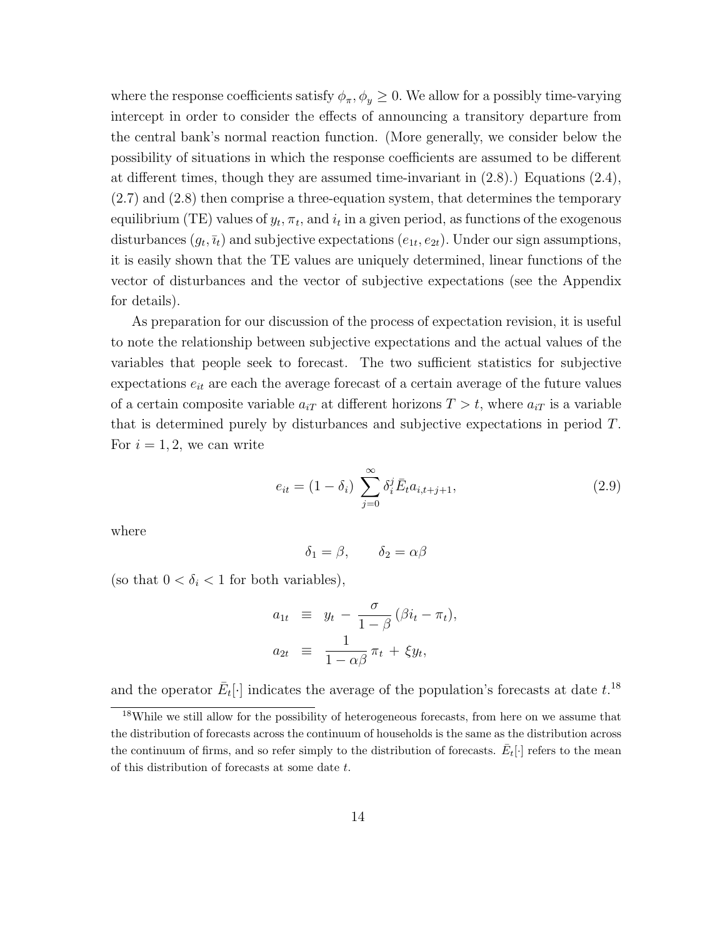where the response coefficients satisfy  $\phi_{\pi}$ ,  $\phi_{y} \ge 0$ . We allow for a possibly time-varying intercept in order to consider the effects of announcing a transitory departure from the central bank's normal reaction function. (More generally, we consider below the possibility of situations in which the response coefficients are assumed to be different at different times, though they are assumed time-invariant in  $(2.8)$ .) Equations  $(2.4)$ , (2.7) and (2.8) then comprise a three-equation system, that determines the temporary equilibrium (TE) values of  $y_t, \pi_t$ , and  $i_t$  in a given period, as functions of the exogenous disturbances  $(g_t, \bar{u}_t)$  and subjective expectations  $(e_{1t}, e_{2t})$ . Under our sign assumptions, it is easily shown that the TE values are uniquely determined, linear functions of the vector of disturbances and the vector of subjective expectations (see the Appendix for details).

As preparation for our discussion of the process of expectation revision, it is useful to note the relationship between subjective expectations and the actual values of the variables that people seek to forecast. The two sufficient statistics for subjective expectations  $e_{it}$  are each the average forecast of a certain average of the future values of a certain composite variable  $a_{iT}$  at different horizons  $T > t$ , where  $a_{iT}$  is a variable that is determined purely by disturbances and subjective expectations in period T. For  $i = 1, 2$ , we can write

$$
e_{it} = (1 - \delta_i) \sum_{j=0}^{\infty} \delta_i^j \bar{E}_t a_{i, t+j+1},
$$
\n(2.9)

where

$$
\delta_1 = \beta, \qquad \delta_2 = \alpha \beta
$$

(so that  $0 < \delta_i < 1$  for both variables),

$$
a_{1t} \equiv y_t - \frac{\sigma}{1-\beta} (\beta i_t - \pi_t),
$$
  

$$
a_{2t} \equiv \frac{1}{1-\alpha\beta} \pi_t + \xi y_t,
$$

and the operator  $\bar{E}_t[\cdot]$  indicates the average of the population's forecasts at date  $t.^{18}$ .

<sup>&</sup>lt;sup>18</sup>While we still allow for the possibility of heterogeneous forecasts, from here on we assume that the distribution of forecasts across the continuum of households is the same as the distribution across the continuum of firms, and so refer simply to the distribution of forecasts.  $\bar{E}_t[\cdot]$  refers to the mean of this distribution of forecasts at some date t.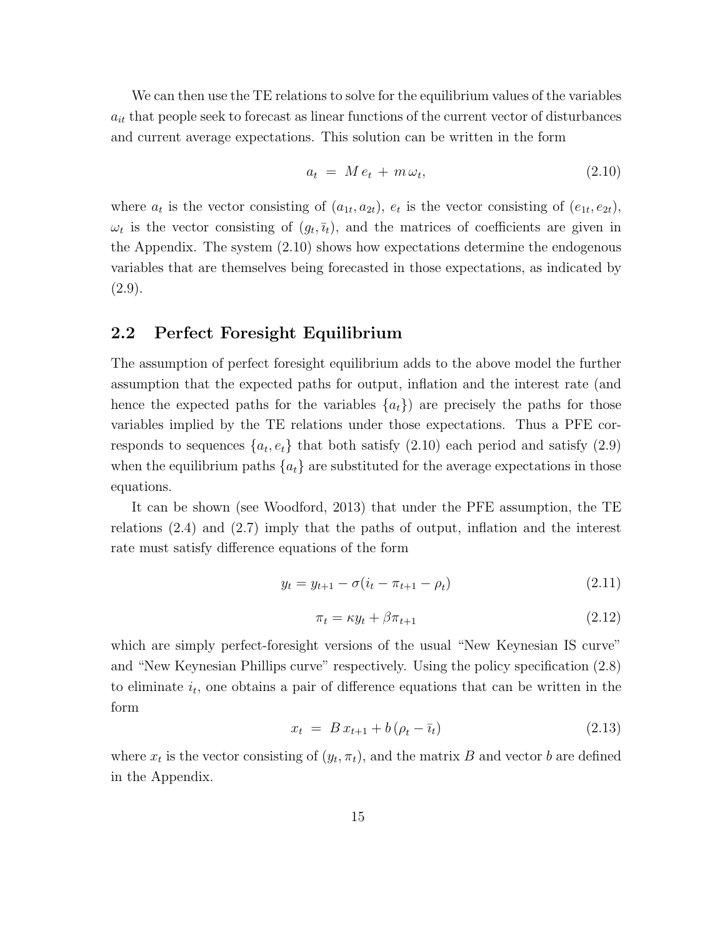We can then use the TE relations to solve for the equilibrium values of the variables  $a_{it}$  that people seek to forecast as linear functions of the current vector of disturbances and current average expectations. This solution can be written in the form

$$
a_t = M e_t + m \omega_t, \qquad (2.10)
$$

where  $a_t$  is the vector consisting of  $(a_{1t}, a_{2t}), e_t$  is the vector consisting of  $(e_{1t}, e_{2t}),$  $\omega_t$  is the vector consisting of  $(g_t, \bar{\iota}_t)$ , and the matrices of coefficients are given in the Appendix. The system (2.10) shows how expectations determine the endogenous variables that are themselves being forecasted in those expectations, as indicated by  $(2.9).$ 

#### 2.2 Perfect Foresight Equilibrium

The assumption of perfect foresight equilibrium adds to the above model the further assumption that the expected paths for output, inflation and the interest rate (and hence the expected paths for the variables  $\{a_t\}$  are precisely the paths for those variables implied by the TE relations under those expectations. Thus a PFE corresponds to sequences  $\{a_t, e_t\}$  that both satisfy  $(2.10)$  each period and satisfy  $(2.9)$ when the equilibrium paths  ${a_t}$  are substituted for the average expectations in those equations.

It can be shown (see Woodford, 2013) that under the PFE assumption, the TE relations (2.4) and (2.7) imply that the paths of output, inflation and the interest rate must satisfy difference equations of the form

$$
y_t = y_{t+1} - \sigma(i_t - \pi_{t+1} - \rho_t)
$$
\n(2.11)

$$
\pi_t = \kappa y_t + \beta \pi_{t+1} \tag{2.12}
$$

which are simply perfect-foresight versions of the usual "New Keynesian IS curve" and "New Keynesian Phillips curve" respectively. Using the policy specification (2.8) to eliminate  $i_t$ , one obtains a pair of difference equations that can be written in the form

$$
x_t = B x_{t+1} + b (\rho_t - \bar{u}_t) \tag{2.13}
$$

where  $x_t$  is the vector consisting of  $(y_t, \pi_t)$ , and the matrix B and vector b are defined in the Appendix.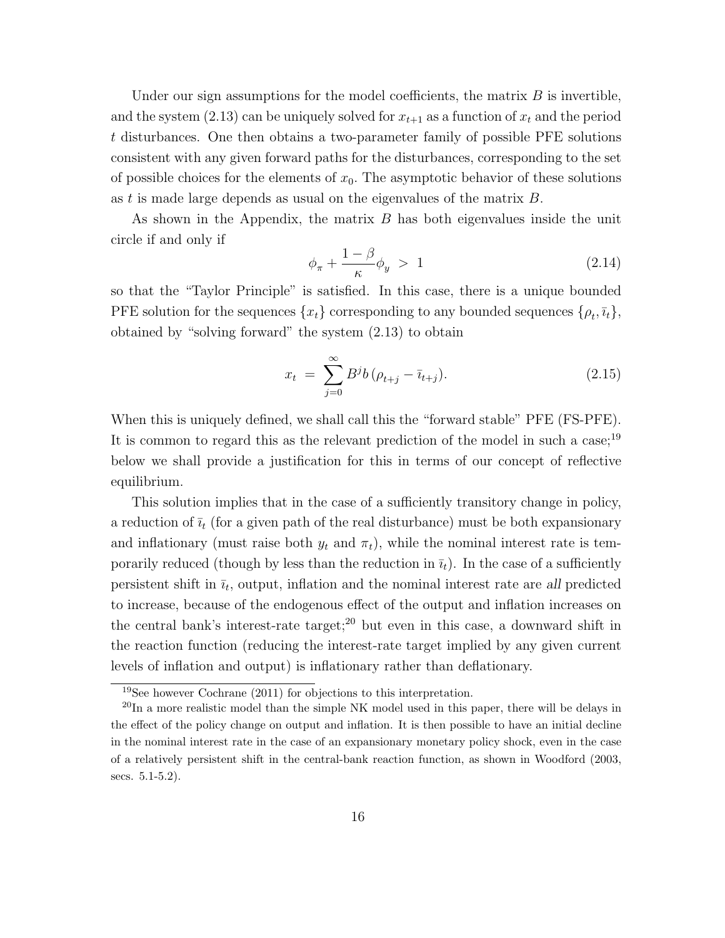Under our sign assumptions for the model coefficients, the matrix  $B$  is invertible, and the system (2.13) can be uniquely solved for  $x_{t+1}$  as a function of  $x_t$  and the period t disturbances. One then obtains a two-parameter family of possible PFE solutions consistent with any given forward paths for the disturbances, corresponding to the set of possible choices for the elements of  $x_0$ . The asymptotic behavior of these solutions as t is made large depends as usual on the eigenvalues of the matrix  $B$ .

As shown in the Appendix, the matrix B has both eigenvalues inside the unit circle if and only if

$$
\phi_{\pi} + \frac{1 - \beta}{\kappa} \phi_y > 1 \tag{2.14}
$$

so that the "Taylor Principle" is satisfied. In this case, there is a unique bounded PFE solution for the sequences  $\{x_t\}$  corresponding to any bounded sequences  $\{\rho_t, \bar{\iota}_t\},$ obtained by "solving forward" the system (2.13) to obtain

$$
x_t = \sum_{j=0}^{\infty} B^j b \left( \rho_{t+j} - \bar{\imath}_{t+j} \right).
$$
 (2.15)

When this is uniquely defined, we shall call this the "forward stable" PFE (FS-PFE). It is common to regard this as the relevant prediction of the model in such a case;<sup>19</sup> below we shall provide a justification for this in terms of our concept of reflective equilibrium.

This solution implies that in the case of a sufficiently transitory change in policy, a reduction of  $\bar{i}_t$  (for a given path of the real disturbance) must be both expansionary and inflationary (must raise both  $y_t$  and  $\pi_t$ ), while the nominal interest rate is temporarily reduced (though by less than the reduction in  $\bar{i}_t$ ). In the case of a sufficiently persistent shift in  $\bar{i}_t$ , output, inflation and the nominal interest rate are all predicted to increase, because of the endogenous effect of the output and inflation increases on the central bank's interest-rate target;<sup>20</sup> but even in this case, a downward shift in the reaction function (reducing the interest-rate target implied by any given current levels of inflation and output) is inflationary rather than deflationary.

<sup>19</sup>See however Cochrane (2011) for objections to this interpretation.

 $^{20}$ In a more realistic model than the simple NK model used in this paper, there will be delays in the effect of the policy change on output and inflation. It is then possible to have an initial decline in the nominal interest rate in the case of an expansionary monetary policy shock, even in the case of a relatively persistent shift in the central-bank reaction function, as shown in Woodford (2003, secs. 5.1-5.2).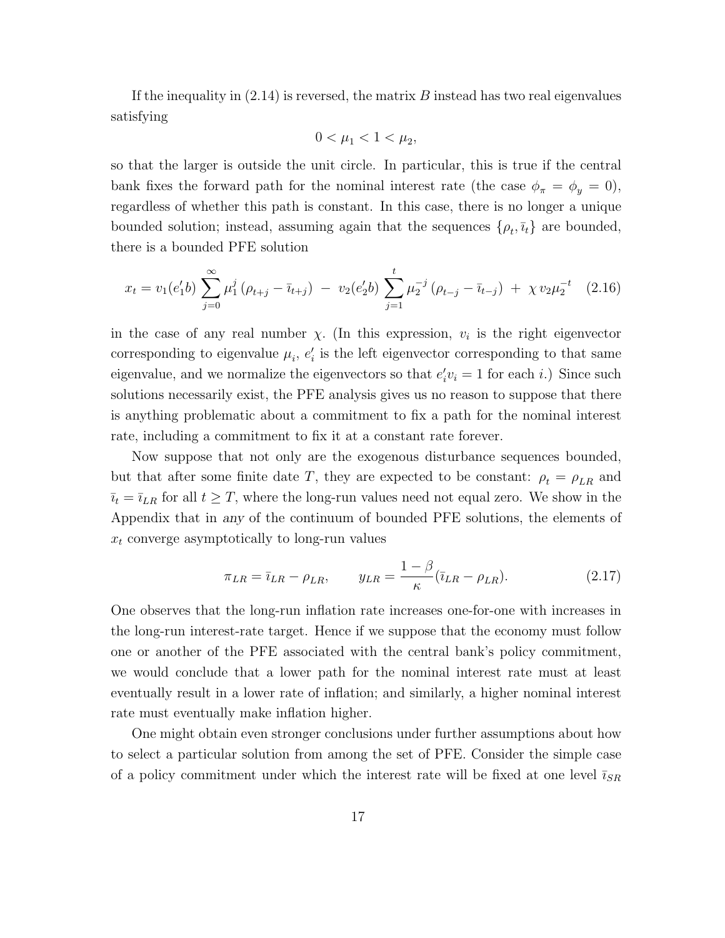If the inequality in  $(2.14)$  is reversed, the matrix B instead has two real eigenvalues satisfying

$$
0 < \mu_1 < 1 < \mu_2,
$$

so that the larger is outside the unit circle. In particular, this is true if the central bank fixes the forward path for the nominal interest rate (the case  $\phi_{\pi} = \phi_y = 0$ ), regardless of whether this path is constant. In this case, there is no longer a unique bounded solution; instead, assuming again that the sequences  $\{\rho_t, \bar{\iota}_t\}$  are bounded, there is a bounded PFE solution

$$
x_{t} = v_{1}(e_{1}'b) \sum_{j=0}^{\infty} \mu_{1}^{j} (\rho_{t+j} - \bar{\imath}_{t+j}) - v_{2}(e_{2}'b) \sum_{j=1}^{t} \mu_{2}^{-j} (\rho_{t-j} - \bar{\imath}_{t-j}) + \chi v_{2} \mu_{2}^{-t} \quad (2.16)
$$

in the case of any real number  $\chi$ . (In this expression,  $v_i$  is the right eigenvector corresponding to eigenvalue  $\mu_i$ ,  $e'_i$  is the left eigenvector corresponding to that same eigenvalue, and we normalize the eigenvectors so that  $e'_i v_i = 1$  for each *i*.) Since such solutions necessarily exist, the PFE analysis gives us no reason to suppose that there is anything problematic about a commitment to fix a path for the nominal interest rate, including a commitment to fix it at a constant rate forever.

Now suppose that not only are the exogenous disturbance sequences bounded, but that after some finite date T, they are expected to be constant:  $\rho_t = \rho_{LR}$  and  $\bar{u}_t = \bar{u}_{LR}$  for all  $t \geq T$ , where the long-run values need not equal zero. We show in the Appendix that in any of the continuum of bounded PFE solutions, the elements of  $x_t$  converge asymptotically to long-run values

$$
\pi_{LR} = \overline{i}_{LR} - \rho_{LR}, \qquad y_{LR} = \frac{1 - \beta}{\kappa} (\overline{i}_{LR} - \rho_{LR}). \tag{2.17}
$$

One observes that the long-run inflation rate increases one-for-one with increases in the long-run interest-rate target. Hence if we suppose that the economy must follow one or another of the PFE associated with the central bank's policy commitment, we would conclude that a lower path for the nominal interest rate must at least eventually result in a lower rate of inflation; and similarly, a higher nominal interest rate must eventually make inflation higher.

One might obtain even stronger conclusions under further assumptions about how to select a particular solution from among the set of PFE. Consider the simple case of a policy commitment under which the interest rate will be fixed at one level  $\bar{i}_{SR}$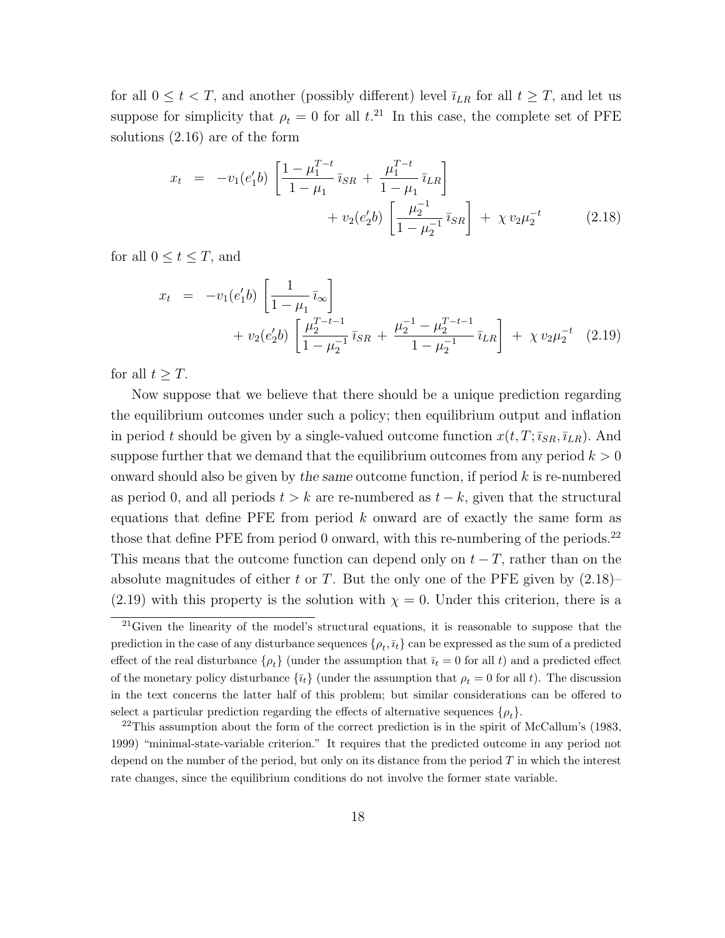for all  $0 \leq t < T$ , and another (possibly different) level  $\overline{i}_{LR}$  for all  $t \geq T$ , and let us suppose for simplicity that  $\rho_t = 0$  for all  $t^{21}$ . In this case, the complete set of PFE solutions (2.16) are of the form

$$
x_{t} = -v_{1}(e_{1}'b) \left[ \frac{1 - \mu_{1}^{T-t}}{1 - \mu_{1}} \bar{\imath}_{SR} + \frac{\mu_{1}^{T-t}}{1 - \mu_{1}} \bar{\imath}_{LR} \right] + v_{2}(e_{2}'b) \left[ \frac{\mu_{2}^{-1}}{1 - \mu_{2}^{-1}} \bar{\imath}_{SR} \right] + \chi v_{2} \mu_{2}^{-t} \qquad (2.18)
$$

for all  $0 \le t \le T$ , and

$$
x_t = -v_1(e'_1b) \left[ \frac{1}{1 - \mu_1} \bar{\imath}_{\infty} \right] + v_2(e'_2b) \left[ \frac{\mu_2^{T-t-1}}{1 - \mu_2^{-1}} \bar{\imath}_{SR} + \frac{\mu_2^{T-t-1}}{1 - \mu_2^{-1}} \bar{\imath}_{LR} \right] + \chi v_2 \mu_2^{-t} \quad (2.19)
$$

for all  $t \geq T$ .

Now suppose that we believe that there should be a unique prediction regarding the equilibrium outcomes under such a policy; then equilibrium output and inflation in period t should be given by a single-valued outcome function  $x(t, T; \bar{\imath}_{SR}, \bar{\imath}_{LR})$ . And suppose further that we demand that the equilibrium outcomes from any period  $k > 0$ onward should also be given by the same outcome function, if period  $k$  is re-numbered as period 0, and all periods  $t > k$  are re-numbered as  $t - k$ , given that the structural equations that define  $PFE$  from period k onward are of exactly the same form as those that define PFE from period 0 onward, with this re-numbering of the periods.<sup>22</sup> This means that the outcome function can depend only on  $t-T$ , rather than on the absolute magnitudes of either t or T. But the only one of the PFE given by  $(2.18)$ (2.19) with this property is the solution with  $\chi = 0$ . Under this criterion, there is a

 $21$  Given the linearity of the model's structural equations, it is reasonable to suppose that the prediction in the case of any disturbance sequences  $\{\rho_t, \bar{\imath}_t\}$  can be expressed as the sum of a predicted effect of the real disturbance  $\{\rho_t\}$  (under the assumption that  $\bar{i}_t = 0$  for all t) and a predicted effect of the monetary policy disturbance  $\{\bar{i}_t\}$  (under the assumption that  $\rho_t = 0$  for all t). The discussion in the text concerns the latter half of this problem; but similar considerations can be offered to select a particular prediction regarding the effects of alternative sequences  $\{\rho_t\}$ .

 $^{22}$ This assumption about the form of the correct prediction is in the spirit of McCallum's (1983, 1999) "minimal-state-variable criterion." It requires that the predicted outcome in any period not depend on the number of the period, but only on its distance from the period  $T$  in which the interest rate changes, since the equilibrium conditions do not involve the former state variable.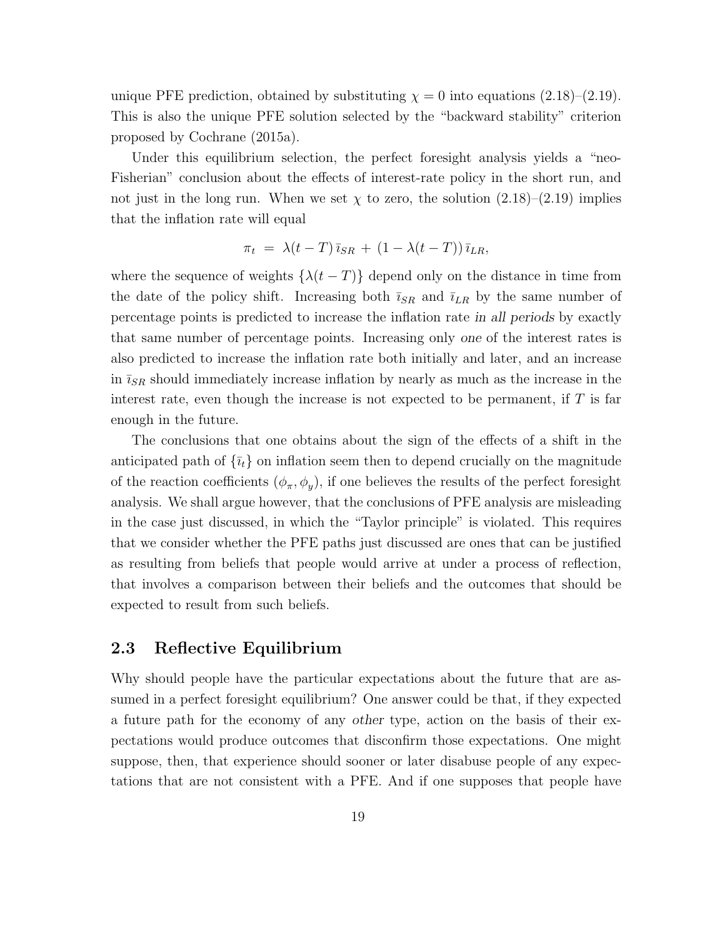unique PFE prediction, obtained by substituting  $\chi = 0$  into equations (2.18)–(2.19). This is also the unique PFE solution selected by the "backward stability" criterion proposed by Cochrane (2015a).

Under this equilibrium selection, the perfect foresight analysis yields a "neo-Fisherian" conclusion about the effects of interest-rate policy in the short run, and not just in the long run. When we set  $\chi$  to zero, the solution  $(2.18)$ – $(2.19)$  implies that the inflation rate will equal

$$
\pi_t = \lambda(t - T)\overline{\imath}_{SR} + (1 - \lambda(t - T))\overline{\imath}_{LR},
$$

where the sequence of weights  $\{\lambda(t-T)\}\$  depend only on the distance in time from the date of the policy shift. Increasing both  $\bar{i}_{SR}$  and  $\bar{i}_{LR}$  by the same number of percentage points is predicted to increase the inflation rate in all periods by exactly that same number of percentage points. Increasing only one of the interest rates is also predicted to increase the inflation rate both initially and later, and an increase in  $\bar{\imath}_{SR}$  should immediately increase inflation by nearly as much as the increase in the interest rate, even though the increase is not expected to be permanent, if  $T$  is far enough in the future.

The conclusions that one obtains about the sign of the effects of a shift in the anticipated path of  $\{\bar{i}_t\}$  on inflation seem then to depend crucially on the magnitude of the reaction coefficients  $(\phi_{\pi}, \phi_y)$ , if one believes the results of the perfect foresight analysis. We shall argue however, that the conclusions of PFE analysis are misleading in the case just discussed, in which the "Taylor principle" is violated. This requires that we consider whether the PFE paths just discussed are ones that can be justified as resulting from beliefs that people would arrive at under a process of reflection, that involves a comparison between their beliefs and the outcomes that should be expected to result from such beliefs.

#### 2.3 Reflective Equilibrium

Why should people have the particular expectations about the future that are assumed in a perfect foresight equilibrium? One answer could be that, if they expected a future path for the economy of any other type, action on the basis of their expectations would produce outcomes that disconfirm those expectations. One might suppose, then, that experience should sooner or later disabuse people of any expectations that are not consistent with a PFE. And if one supposes that people have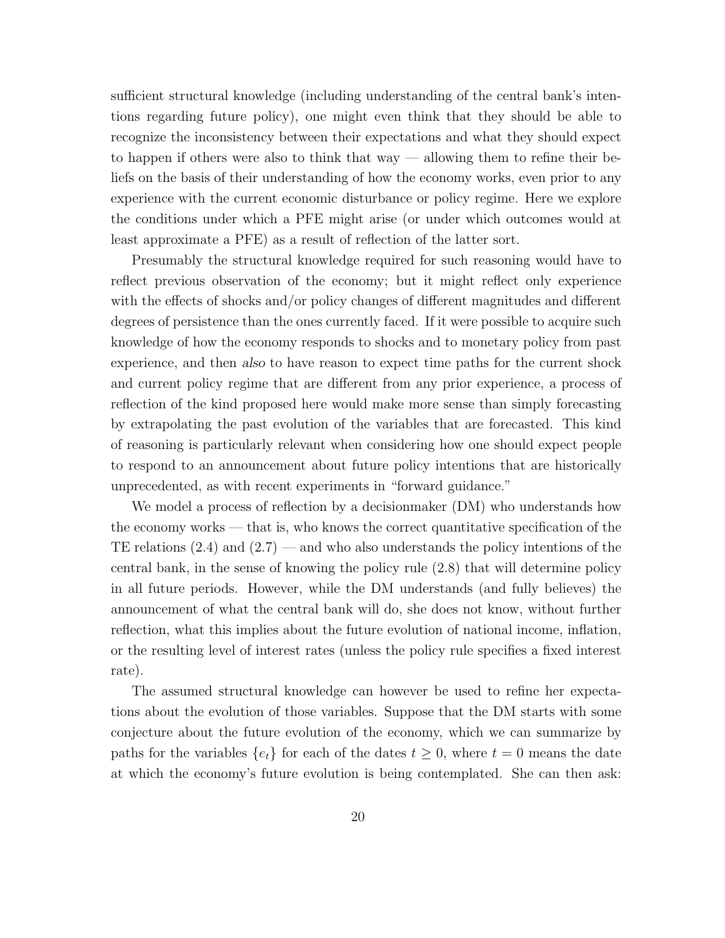sufficient structural knowledge (including understanding of the central bank's intentions regarding future policy), one might even think that they should be able to recognize the inconsistency between their expectations and what they should expect to happen if others were also to think that way — allowing them to refine their beliefs on the basis of their understanding of how the economy works, even prior to any experience with the current economic disturbance or policy regime. Here we explore the conditions under which a PFE might arise (or under which outcomes would at least approximate a PFE) as a result of reflection of the latter sort.

Presumably the structural knowledge required for such reasoning would have to reflect previous observation of the economy; but it might reflect only experience with the effects of shocks and/or policy changes of different magnitudes and different degrees of persistence than the ones currently faced. If it were possible to acquire such knowledge of how the economy responds to shocks and to monetary policy from past experience, and then also to have reason to expect time paths for the current shock and current policy regime that are different from any prior experience, a process of reflection of the kind proposed here would make more sense than simply forecasting by extrapolating the past evolution of the variables that are forecasted. This kind of reasoning is particularly relevant when considering how one should expect people to respond to an announcement about future policy intentions that are historically unprecedented, as with recent experiments in "forward guidance."

We model a process of reflection by a decisionmaker (DM) who understands how the economy works — that is, who knows the correct quantitative specification of the TE relations  $(2.4)$  and  $(2.7)$  — and who also understands the policy intentions of the central bank, in the sense of knowing the policy rule (2.8) that will determine policy in all future periods. However, while the DM understands (and fully believes) the announcement of what the central bank will do, she does not know, without further reflection, what this implies about the future evolution of national income, inflation, or the resulting level of interest rates (unless the policy rule specifies a fixed interest rate).

The assumed structural knowledge can however be used to refine her expectations about the evolution of those variables. Suppose that the DM starts with some conjecture about the future evolution of the economy, which we can summarize by paths for the variables  $\{e_t\}$  for each of the dates  $t \geq 0$ , where  $t = 0$  means the date at which the economy's future evolution is being contemplated. She can then ask: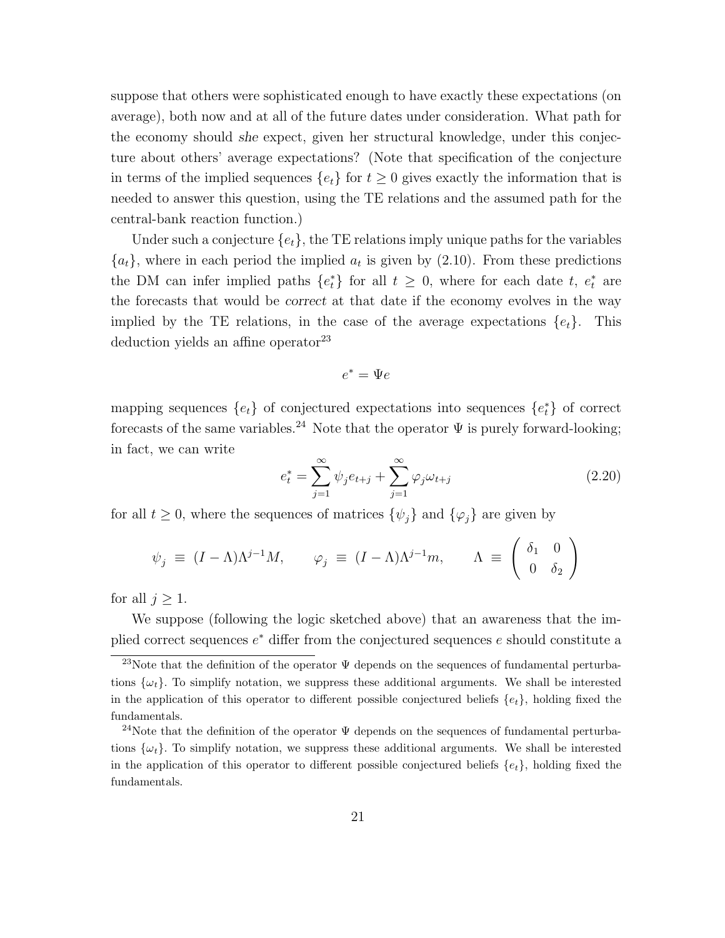suppose that others were sophisticated enough to have exactly these expectations (on average), both now and at all of the future dates under consideration. What path for the economy should she expect, given her structural knowledge, under this conjecture about others' average expectations? (Note that specification of the conjecture in terms of the implied sequences  ${e_t}$  for  $t \geq 0$  gives exactly the information that is needed to answer this question, using the TE relations and the assumed path for the central-bank reaction function.)

Under such a conjecture  $\{e_t\}$ , the TE relations imply unique paths for the variables  ${a_t}$ , where in each period the implied  $a_t$  is given by (2.10). From these predictions the DM can infer implied paths  ${e_t^*}$  for all  $t \geq 0$ , where for each date t,  $e_t^*$  are the forecasts that would be correct at that date if the economy evolves in the way implied by the TE relations, in the case of the average expectations  $\{e_t\}$ . This deduction yields an affine operator<sup>23</sup>

$$
e^* = \Psi e
$$

mapping sequences  ${e_t}$  of conjectured expectations into sequences  ${e_t}$  of correct forecasts of the same variables.<sup>24</sup> Note that the operator  $\Psi$  is purely forward-looking; in fact, we can write

$$
e_t^* = \sum_{j=1}^{\infty} \psi_j e_{t+j} + \sum_{j=1}^{\infty} \varphi_j \omega_{t+j}
$$
 (2.20)

for all  $t \geq 0$ , where the sequences of matrices  $\{\psi_i\}$  and  $\{\varphi_i\}$  are given by

$$
\psi_j \equiv (I - \Lambda)\Lambda^{j-1}M, \qquad \varphi_j \equiv (I - \Lambda)\Lambda^{j-1}m, \qquad \Lambda \equiv \begin{pmatrix} \delta_1 & 0 \\ 0 & \delta_2 \end{pmatrix}
$$

for all  $j \geq 1$ .

We suppose (following the logic sketched above) that an awareness that the implied correct sequences  $e^*$  differ from the conjectured sequences  $e$  should constitute a

<sup>&</sup>lt;sup>23</sup>Note that the definition of the operator  $\Psi$  depends on the sequences of fundamental perturbations  $\{\omega_t\}$ . To simplify notation, we suppress these additional arguments. We shall be interested in the application of this operator to different possible conjectured beliefs  $\{e_t\}$ , holding fixed the fundamentals.

<sup>&</sup>lt;sup>24</sup>Note that the definition of the operator  $\Psi$  depends on the sequences of fundamental perturbations  $\{\omega_t\}$ . To simplify notation, we suppress these additional arguments. We shall be interested in the application of this operator to different possible conjectured beliefs  $\{e_t\}$ , holding fixed the fundamentals.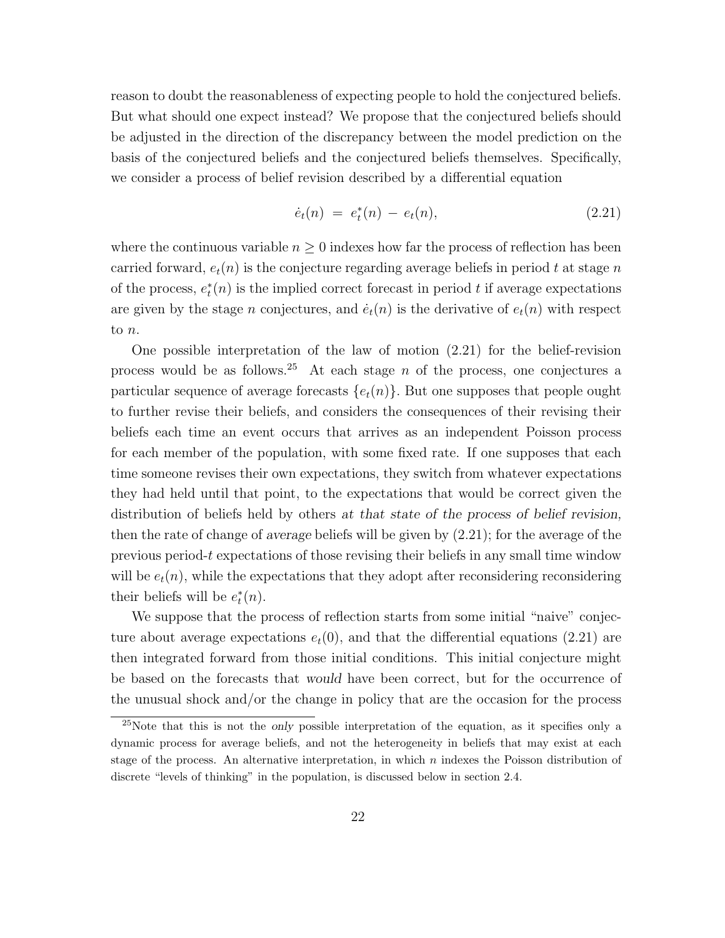reason to doubt the reasonableness of expecting people to hold the conjectured beliefs. But what should one expect instead? We propose that the conjectured beliefs should be adjusted in the direction of the discrepancy between the model prediction on the basis of the conjectured beliefs and the conjectured beliefs themselves. Specifically, we consider a process of belief revision described by a differential equation

$$
\dot{e}_t(n) = e_t^*(n) - e_t(n), \qquad (2.21)
$$

where the continuous variable  $n \geq 0$  indexes how far the process of reflection has been carried forward,  $e_t(n)$  is the conjecture regarding average beliefs in period t at stage n of the process,  $e_t^*(n)$  is the implied correct forecast in period t if average expectations are given by the stage n conjectures, and  $\dot{e}_t(n)$  is the derivative of  $e_t(n)$  with respect to n.

One possible interpretation of the law of motion (2.21) for the belief-revision process would be as follows.<sup>25</sup> At each stage n of the process, one conjectures a particular sequence of average forecasts  ${e_t(n)}$ . But one supposes that people ought to further revise their beliefs, and considers the consequences of their revising their beliefs each time an event occurs that arrives as an independent Poisson process for each member of the population, with some fixed rate. If one supposes that each time someone revises their own expectations, they switch from whatever expectations they had held until that point, to the expectations that would be correct given the distribution of beliefs held by others at that state of the process of belief revision, then the rate of change of average beliefs will be given by (2.21); for the average of the previous period- $t$  expectations of those revising their beliefs in any small time window will be  $e_t(n)$ , while the expectations that they adopt after reconsidering reconsidering their beliefs will be  $e_t^*(n)$ .

We suppose that the process of reflection starts from some initial "naive" conjecture about average expectations  $e_t(0)$ , and that the differential equations (2.21) are then integrated forward from those initial conditions. This initial conjecture might be based on the forecasts that would have been correct, but for the occurrence of the unusual shock and/or the change in policy that are the occasion for the process

<sup>25</sup>Note that this is not the only possible interpretation of the equation, as it specifies only a dynamic process for average beliefs, and not the heterogeneity in beliefs that may exist at each stage of the process. An alternative interpretation, in which  $n$  indexes the Poisson distribution of discrete "levels of thinking" in the population, is discussed below in section 2.4.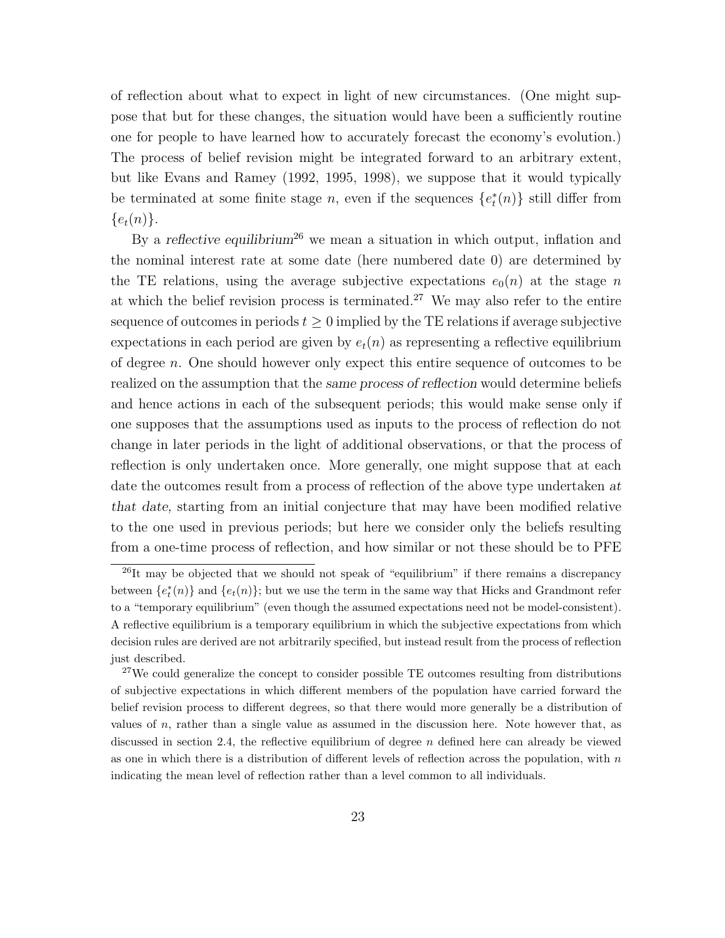of reflection about what to expect in light of new circumstances. (One might suppose that but for these changes, the situation would have been a sufficiently routine one for people to have learned how to accurately forecast the economy's evolution.) The process of belief revision might be integrated forward to an arbitrary extent, but like Evans and Ramey (1992, 1995, 1998), we suppose that it would typically be terminated at some finite stage n, even if the sequences  $\{e_t^*(n)\}$  still differ from  ${e_t(n)}$ .

By a reflective equilibrium<sup>26</sup> we mean a situation in which output, inflation and the nominal interest rate at some date (here numbered date 0) are determined by the TE relations, using the average subjective expectations  $e_0(n)$  at the stage n at which the belief revision process is terminated.<sup>27</sup> We may also refer to the entire sequence of outcomes in periods  $t > 0$  implied by the TE relations if average subjective expectations in each period are given by  $e_t(n)$  as representing a reflective equilibrium of degree n. One should however only expect this entire sequence of outcomes to be realized on the assumption that the *same process of reflection* would determine beliefs and hence actions in each of the subsequent periods; this would make sense only if one supposes that the assumptions used as inputs to the process of reflection do not change in later periods in the light of additional observations, or that the process of reflection is only undertaken once. More generally, one might suppose that at each date the outcomes result from a process of reflection of the above type undertaken at that date, starting from an initial conjecture that may have been modified relative to the one used in previous periods; but here we consider only the beliefs resulting from a one-time process of reflection, and how similar or not these should be to PFE

 $^{26}$ It may be objected that we should not speak of "equilibrium" if there remains a discrepancy between  ${e_t^*(n)}$  and  ${e_t(n)}$ ; but we use the term in the same way that Hicks and Grandmont refer to a "temporary equilibrium" (even though the assumed expectations need not be model-consistent). A reflective equilibrium is a temporary equilibrium in which the subjective expectations from which decision rules are derived are not arbitrarily specified, but instead result from the process of reflection just described.

<sup>&</sup>lt;sup>27</sup>We could generalize the concept to consider possible TE outcomes resulting from distributions of subjective expectations in which different members of the population have carried forward the belief revision process to different degrees, so that there would more generally be a distribution of values of  $n$ , rather than a single value as assumed in the discussion here. Note however that, as discussed in section 2.4, the reflective equilibrium of degree  $n$  defined here can already be viewed as one in which there is a distribution of different levels of reflection across the population, with  $n$ indicating the mean level of reflection rather than a level common to all individuals.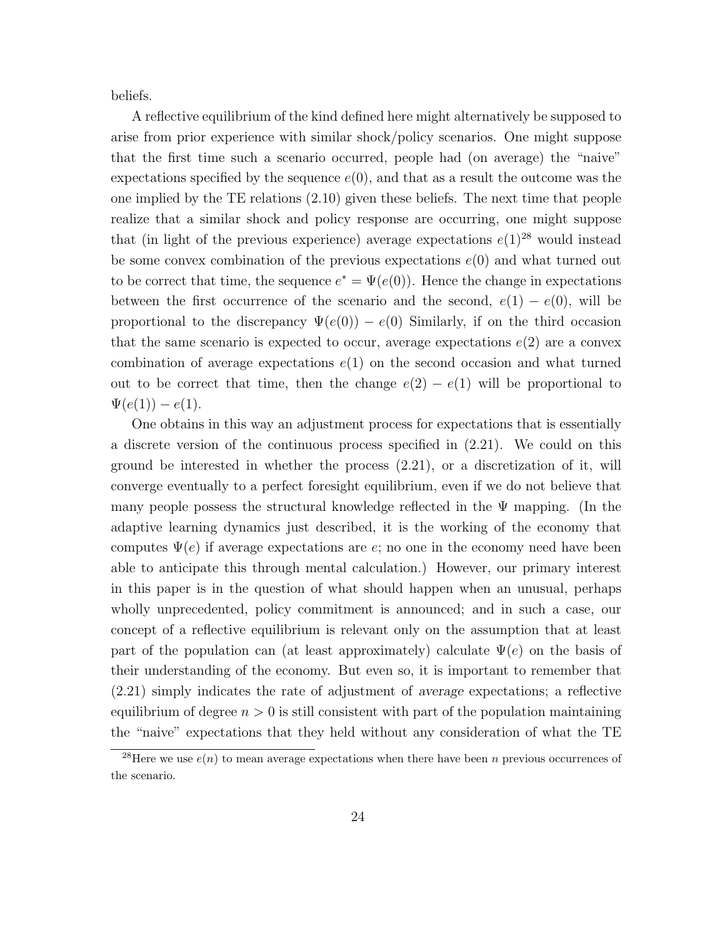beliefs.

A reflective equilibrium of the kind defined here might alternatively be supposed to arise from prior experience with similar shock/policy scenarios. One might suppose that the first time such a scenario occurred, people had (on average) the "naive" expectations specified by the sequence  $e(0)$ , and that as a result the outcome was the one implied by the TE relations (2.10) given these beliefs. The next time that people realize that a similar shock and policy response are occurring, one might suppose that (in light of the previous experience) average expectations  $e(1)^{28}$  would instead be some convex combination of the previous expectations  $e(0)$  and what turned out to be correct that time, the sequence  $e^* = \Psi(e(0))$ . Hence the change in expectations between the first occurrence of the scenario and the second,  $e(1) - e(0)$ , will be proportional to the discrepancy  $\Psi(e(0)) - e(0)$  Similarly, if on the third occasion that the same scenario is expected to occur, average expectations  $e(2)$  are a convex combination of average expectations  $e(1)$  on the second occasion and what turned out to be correct that time, then the change  $e(2) - e(1)$  will be proportional to  $\Psi(e(1)) - e(1).$ 

One obtains in this way an adjustment process for expectations that is essentially a discrete version of the continuous process specified in (2.21). We could on this ground be interested in whether the process (2.21), or a discretization of it, will converge eventually to a perfect foresight equilibrium, even if we do not believe that many people possess the structural knowledge reflected in the  $\Psi$  mapping. (In the adaptive learning dynamics just described, it is the working of the economy that computes  $\Psi(e)$  if average expectations are  $e$ ; no one in the economy need have been able to anticipate this through mental calculation.) However, our primary interest in this paper is in the question of what should happen when an unusual, perhaps wholly unprecedented, policy commitment is announced; and in such a case, our concept of a reflective equilibrium is relevant only on the assumption that at least part of the population can (at least approximately) calculate  $\Psi(e)$  on the basis of their understanding of the economy. But even so, it is important to remember that (2.21) simply indicates the rate of adjustment of average expectations; a reflective equilibrium of degree  $n > 0$  is still consistent with part of the population maintaining the "naive" expectations that they held without any consideration of what the TE

<sup>&</sup>lt;sup>28</sup>Here we use  $e(n)$  to mean average expectations when there have been n previous occurrences of the scenario.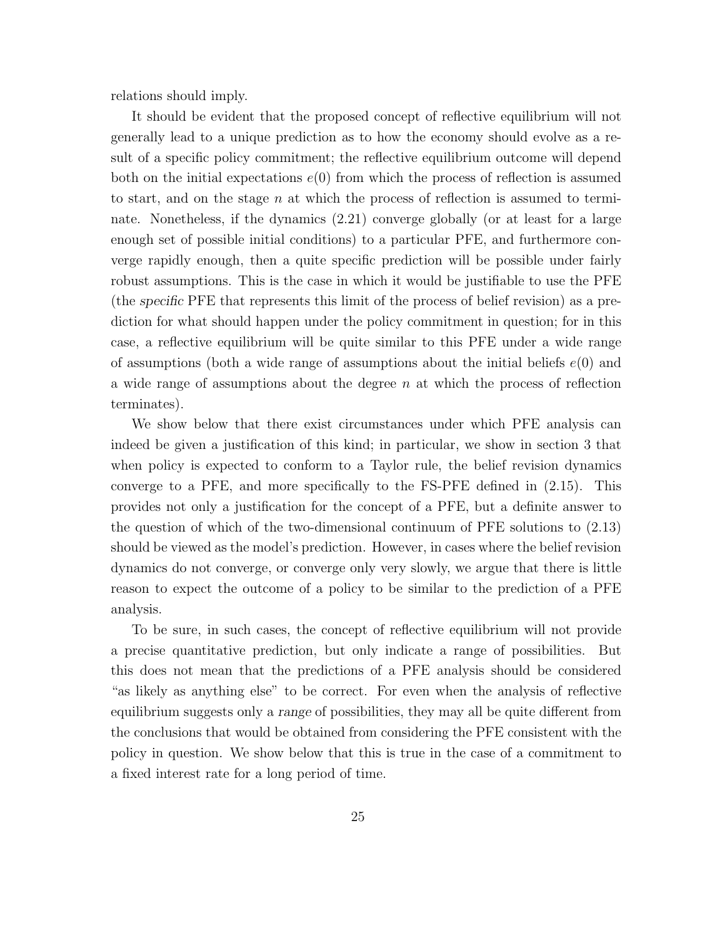relations should imply.

It should be evident that the proposed concept of reflective equilibrium will not generally lead to a unique prediction as to how the economy should evolve as a result of a specific policy commitment; the reflective equilibrium outcome will depend both on the initial expectations  $e(0)$  from which the process of reflection is assumed to start, and on the stage n at which the process of reflection is assumed to terminate. Nonetheless, if the dynamics (2.21) converge globally (or at least for a large enough set of possible initial conditions) to a particular PFE, and furthermore converge rapidly enough, then a quite specific prediction will be possible under fairly robust assumptions. This is the case in which it would be justifiable to use the PFE (the specific PFE that represents this limit of the process of belief revision) as a prediction for what should happen under the policy commitment in question; for in this case, a reflective equilibrium will be quite similar to this PFE under a wide range of assumptions (both a wide range of assumptions about the initial beliefs  $e(0)$  and a wide range of assumptions about the degree  $n$  at which the process of reflection terminates).

We show below that there exist circumstances under which PFE analysis can indeed be given a justification of this kind; in particular, we show in section 3 that when policy is expected to conform to a Taylor rule, the belief revision dynamics converge to a PFE, and more specifically to the FS-PFE defined in (2.15). This provides not only a justification for the concept of a PFE, but a definite answer to the question of which of the two-dimensional continuum of PFE solutions to (2.13) should be viewed as the model's prediction. However, in cases where the belief revision dynamics do not converge, or converge only very slowly, we argue that there is little reason to expect the outcome of a policy to be similar to the prediction of a PFE analysis.

To be sure, in such cases, the concept of reflective equilibrium will not provide a precise quantitative prediction, but only indicate a range of possibilities. But this does not mean that the predictions of a PFE analysis should be considered "as likely as anything else" to be correct. For even when the analysis of reflective equilibrium suggests only a range of possibilities, they may all be quite different from the conclusions that would be obtained from considering the PFE consistent with the policy in question. We show below that this is true in the case of a commitment to a fixed interest rate for a long period of time.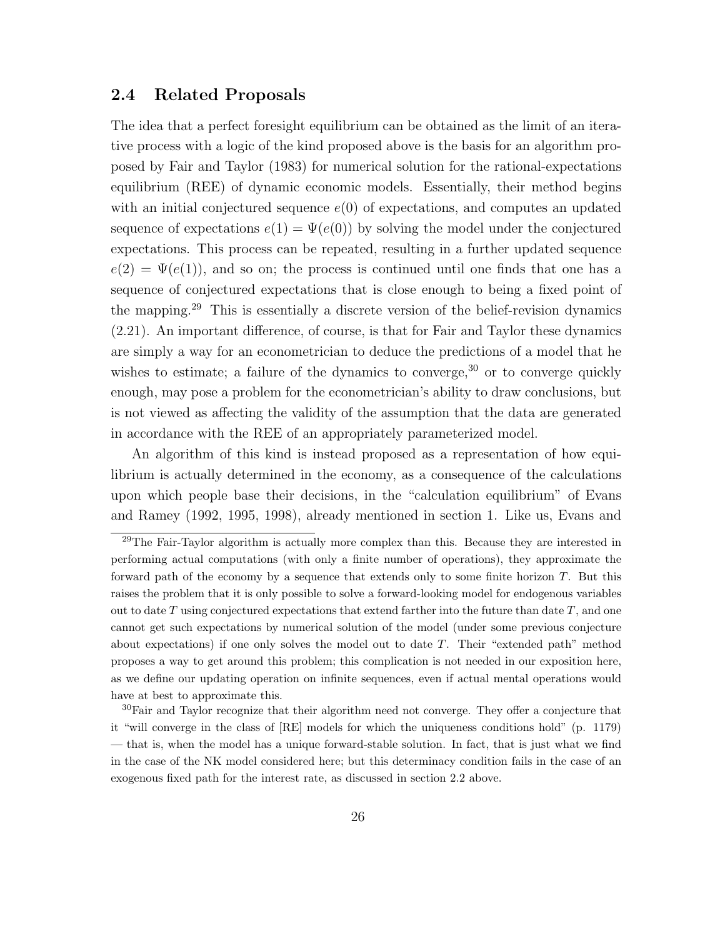#### 2.4 Related Proposals

The idea that a perfect foresight equilibrium can be obtained as the limit of an iterative process with a logic of the kind proposed above is the basis for an algorithm proposed by Fair and Taylor (1983) for numerical solution for the rational-expectations equilibrium (REE) of dynamic economic models. Essentially, their method begins with an initial conjectured sequence  $e(0)$  of expectations, and computes an updated sequence of expectations  $e(1) = \Psi(e(0))$  by solving the model under the conjectured expectations. This process can be repeated, resulting in a further updated sequence  $e(2) = \Psi(e(1))$ , and so on; the process is continued until one finds that one has a sequence of conjectured expectations that is close enough to being a fixed point of the mapping.<sup>29</sup> This is essentially a discrete version of the belief-revision dynamics (2.21). An important difference, of course, is that for Fair and Taylor these dynamics are simply a way for an econometrician to deduce the predictions of a model that he wishes to estimate; a failure of the dynamics to converge,  $30$  or to converge quickly enough, may pose a problem for the econometrician's ability to draw conclusions, but is not viewed as affecting the validity of the assumption that the data are generated in accordance with the REE of an appropriately parameterized model.

An algorithm of this kind is instead proposed as a representation of how equilibrium is actually determined in the economy, as a consequence of the calculations upon which people base their decisions, in the "calculation equilibrium" of Evans and Ramey (1992, 1995, 1998), already mentioned in section 1. Like us, Evans and

 $30F<sub>air</sub>$  and Taylor recognize that their algorithm need not converge. They offer a conjecture that it "will converge in the class of [RE] models for which the uniqueness conditions hold" (p. 1179) — that is, when the model has a unique forward-stable solution. In fact, that is just what we find in the case of the NK model considered here; but this determinacy condition fails in the case of an exogenous fixed path for the interest rate, as discussed in section 2.2 above.

 $29$ The Fair-Taylor algorithm is actually more complex than this. Because they are interested in performing actual computations (with only a finite number of operations), they approximate the forward path of the economy by a sequence that extends only to some finite horizon T. But this raises the problem that it is only possible to solve a forward-looking model for endogenous variables out to date  $T$  using conjectured expectations that extend farther into the future than date  $T$ , and one cannot get such expectations by numerical solution of the model (under some previous conjecture about expectations) if one only solves the model out to date T. Their "extended path" method proposes a way to get around this problem; this complication is not needed in our exposition here, as we define our updating operation on infinite sequences, even if actual mental operations would have at best to approximate this.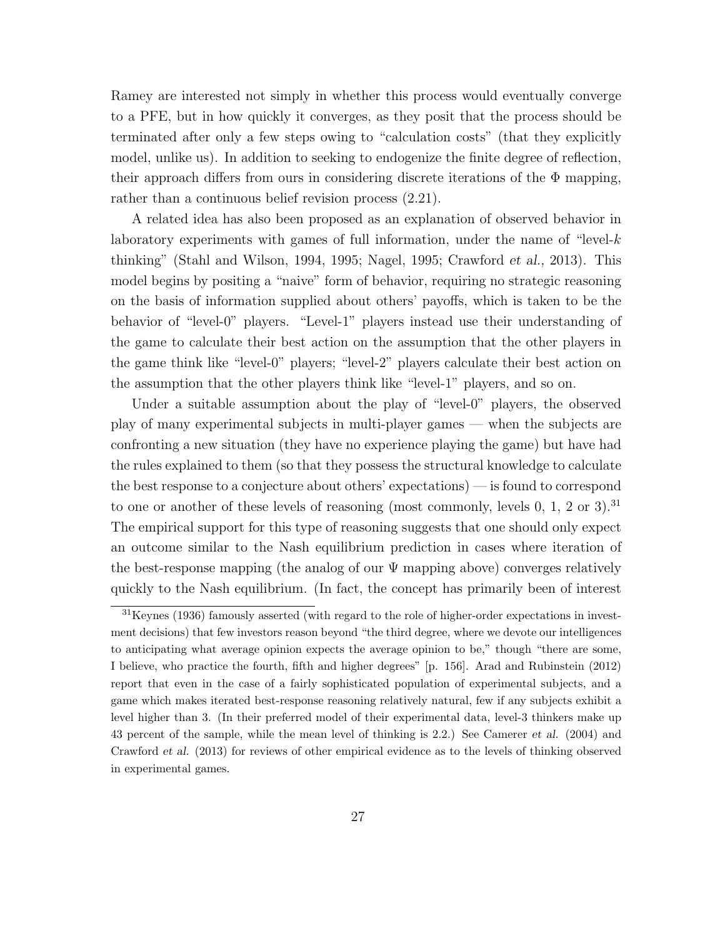Ramey are interested not simply in whether this process would eventually converge to a PFE, but in how quickly it converges, as they posit that the process should be terminated after only a few steps owing to "calculation costs" (that they explicitly model, unlike us). In addition to seeking to endogenize the finite degree of reflection, their approach differs from ours in considering discrete iterations of the  $\Phi$  mapping, rather than a continuous belief revision process (2.21).

A related idea has also been proposed as an explanation of observed behavior in laboratory experiments with games of full information, under the name of "level- $k$ thinking" (Stahl and Wilson, 1994, 1995; Nagel, 1995; Crawford et al., 2013). This model begins by positing a "naive" form of behavior, requiring no strategic reasoning on the basis of information supplied about others' payoffs, which is taken to be the behavior of "level-0" players. "Level-1" players instead use their understanding of the game to calculate their best action on the assumption that the other players in the game think like "level-0" players; "level-2" players calculate their best action on the assumption that the other players think like "level-1" players, and so on.

Under a suitable assumption about the play of "level-0" players, the observed play of many experimental subjects in multi-player games — when the subjects are confronting a new situation (they have no experience playing the game) but have had the rules explained to them (so that they possess the structural knowledge to calculate the best response to a conjecture about others' expectations) — is found to correspond to one or another of these levels of reasoning (most commonly, levels  $0, 1, 2$  or  $3$ ).<sup>31</sup> The empirical support for this type of reasoning suggests that one should only expect an outcome similar to the Nash equilibrium prediction in cases where iteration of the best-response mapping (the analog of our  $\Psi$  mapping above) converges relatively quickly to the Nash equilibrium. (In fact, the concept has primarily been of interest

<sup>31</sup>Keynes (1936) famously asserted (with regard to the role of higher-order expectations in investment decisions) that few investors reason beyond "the third degree, where we devote our intelligences to anticipating what average opinion expects the average opinion to be," though "there are some, I believe, who practice the fourth, fifth and higher degrees" [p. 156]. Arad and Rubinstein (2012) report that even in the case of a fairly sophisticated population of experimental subjects, and a game which makes iterated best-response reasoning relatively natural, few if any subjects exhibit a level higher than 3. (In their preferred model of their experimental data, level-3 thinkers make up 43 percent of the sample, while the mean level of thinking is 2.2.) See Camerer et al. (2004) and Crawford et al. (2013) for reviews of other empirical evidence as to the levels of thinking observed in experimental games.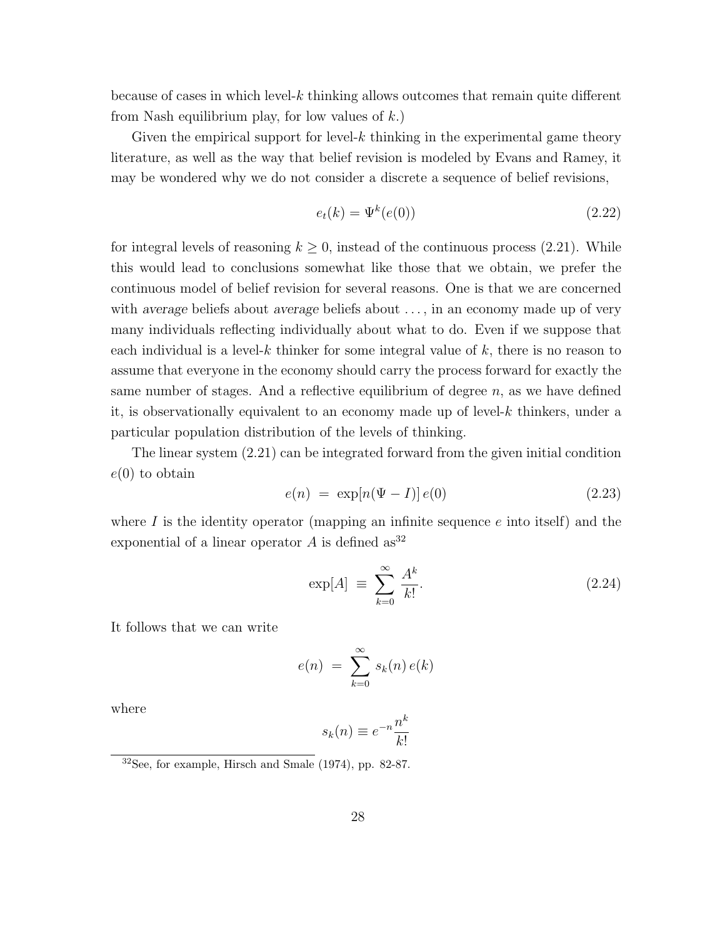because of cases in which level-k thinking allows outcomes that remain quite different from Nash equilibrium play, for low values of  $k$ .)

Given the empirical support for level-k thinking in the experimental game theory literature, as well as the way that belief revision is modeled by Evans and Ramey, it may be wondered why we do not consider a discrete a sequence of belief revisions,

$$
e_t(k) = \Psi^k(e(0))
$$
\n
$$
(2.22)
$$

for integral levels of reasoning  $k \geq 0$ , instead of the continuous process (2.21). While this would lead to conclusions somewhat like those that we obtain, we prefer the continuous model of belief revision for several reasons. One is that we are concerned with average beliefs about average beliefs about ..., in an economy made up of very many individuals reflecting individually about what to do. Even if we suppose that each individual is a level-k thinker for some integral value of  $k$ , there is no reason to assume that everyone in the economy should carry the process forward for exactly the same number of stages. And a reflective equilibrium of degree  $n$ , as we have defined it, is observationally equivalent to an economy made up of level-k thinkers, under a particular population distribution of the levels of thinking.

The linear system (2.21) can be integrated forward from the given initial condition  $e(0)$  to obtain

$$
e(n) = \exp[n(\Psi - I)] e(0)
$$
 (2.23)

where I is the identity operator (mapping an infinite sequence  $e$  into itself) and the exponential of a linear operator A is defined as  $32$ 

$$
\exp[A] \equiv \sum_{k=0}^{\infty} \frac{A^k}{k!}.
$$
\n(2.24)

It follows that we can write

$$
e(n) = \sum_{k=0}^{\infty} s_k(n) e(k)
$$

where

$$
s_k(n) \equiv e^{-n} \frac{n^k}{k!}
$$

<sup>32</sup>See, for example, Hirsch and Smale (1974), pp. 82-87.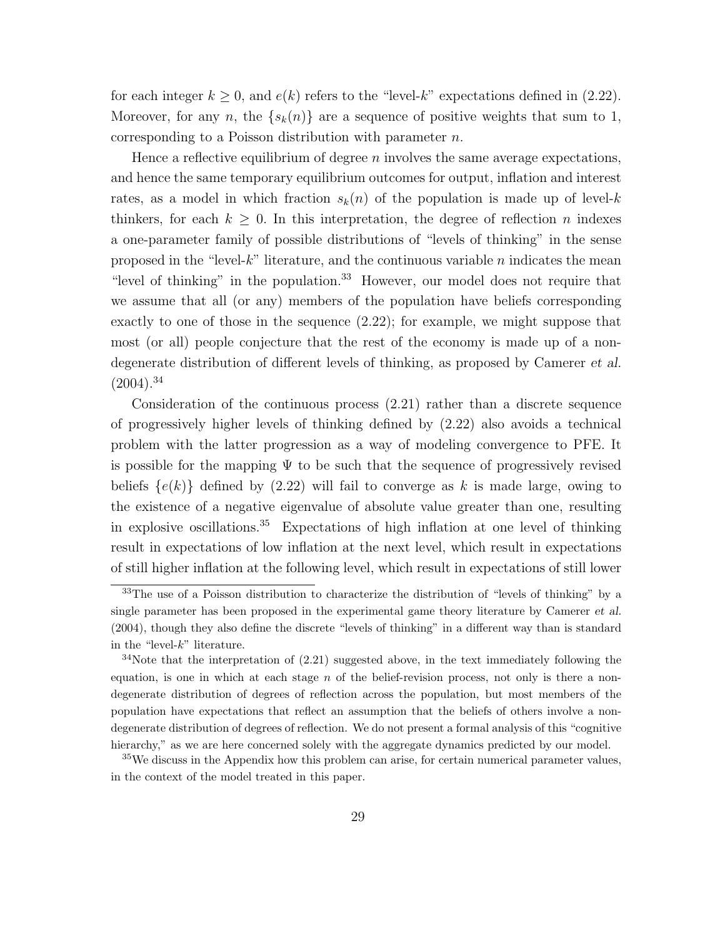for each integer  $k \geq 0$ , and  $e(k)$  refers to the "level-k" expectations defined in (2.22). Moreover, for any n, the  $\{s_k(n)\}\$ are a sequence of positive weights that sum to 1, corresponding to a Poisson distribution with parameter  $n$ .

Hence a reflective equilibrium of degree  $n$  involves the same average expectations, and hence the same temporary equilibrium outcomes for output, inflation and interest rates, as a model in which fraction  $s_k(n)$  of the population is made up of level-k thinkers, for each  $k \geq 0$ . In this interpretation, the degree of reflection *n* indexes a one-parameter family of possible distributions of "levels of thinking" in the sense proposed in the "level- $k$ " literature, and the continuous variable *n* indicates the mean "level of thinking" in the population.<sup>33</sup> However, our model does not require that we assume that all (or any) members of the population have beliefs corresponding exactly to one of those in the sequence (2.22); for example, we might suppose that most (or all) people conjecture that the rest of the economy is made up of a nondegenerate distribution of different levels of thinking, as proposed by Camerer et al.  $(2004).^{34}$ 

Consideration of the continuous process (2.21) rather than a discrete sequence of progressively higher levels of thinking defined by (2.22) also avoids a technical problem with the latter progression as a way of modeling convergence to PFE. It is possible for the mapping  $\Psi$  to be such that the sequence of progressively revised beliefs  $\{e(k)\}\$  defined by (2.22) will fail to converge as k is made large, owing to the existence of a negative eigenvalue of absolute value greater than one, resulting in explosive oscillations.<sup>35</sup> Expectations of high inflation at one level of thinking result in expectations of low inflation at the next level, which result in expectations of still higher inflation at the following level, which result in expectations of still lower

 $33$ The use of a Poisson distribution to characterize the distribution of "levels of thinking" by a single parameter has been proposed in the experimental game theory literature by Camerer et al. (2004), though they also define the discrete "levels of thinking" in a different way than is standard in the "level- $k$ " literature.

<sup>&</sup>lt;sup>34</sup>Note that the interpretation of  $(2.21)$  suggested above, in the text immediately following the equation, is one in which at each stage  $n$  of the belief-revision process, not only is there a nondegenerate distribution of degrees of reflection across the population, but most members of the population have expectations that reflect an assumption that the beliefs of others involve a nondegenerate distribution of degrees of reflection. We do not present a formal analysis of this "cognitive hierarchy," as we are here concerned solely with the aggregate dynamics predicted by our model.

<sup>&</sup>lt;sup>35</sup>We discuss in the Appendix how this problem can arise, for certain numerical parameter values, in the context of the model treated in this paper.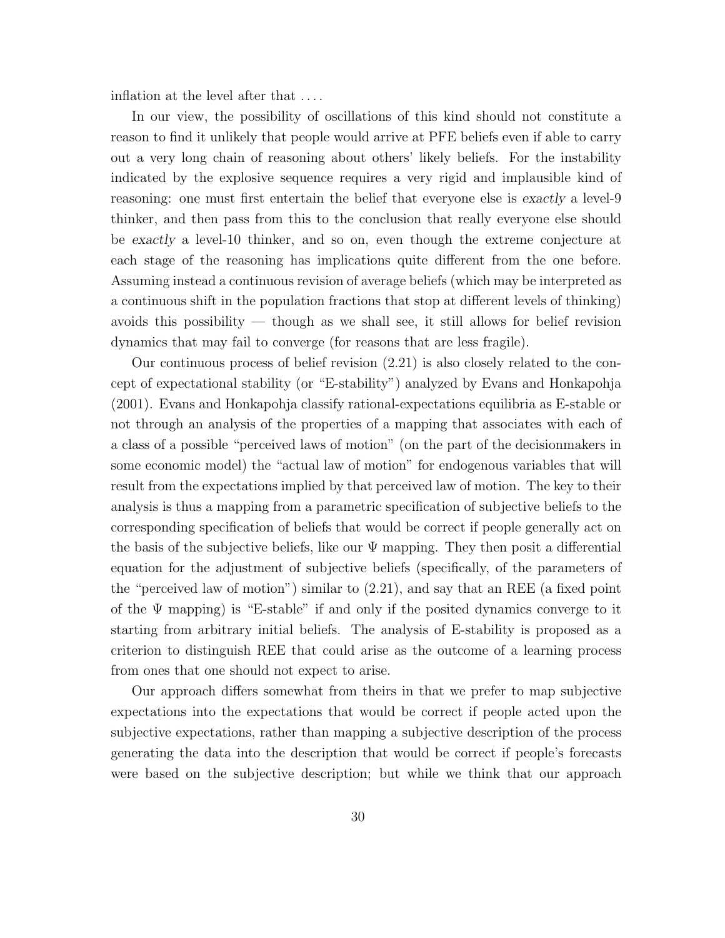inflation at the level after that ....

In our view, the possibility of oscillations of this kind should not constitute a reason to find it unlikely that people would arrive at PFE beliefs even if able to carry out a very long chain of reasoning about others' likely beliefs. For the instability indicated by the explosive sequence requires a very rigid and implausible kind of reasoning: one must first entertain the belief that everyone else is exactly a level-9 thinker, and then pass from this to the conclusion that really everyone else should be exactly a level-10 thinker, and so on, even though the extreme conjecture at each stage of the reasoning has implications quite different from the one before. Assuming instead a continuous revision of average beliefs (which may be interpreted as a continuous shift in the population fractions that stop at different levels of thinking) avoids this possibility — though as we shall see, it still allows for belief revision dynamics that may fail to converge (for reasons that are less fragile).

Our continuous process of belief revision (2.21) is also closely related to the concept of expectational stability (or "E-stability") analyzed by Evans and Honkapohja (2001). Evans and Honkapohja classify rational-expectations equilibria as E-stable or not through an analysis of the properties of a mapping that associates with each of a class of a possible "perceived laws of motion" (on the part of the decisionmakers in some economic model) the "actual law of motion" for endogenous variables that will result from the expectations implied by that perceived law of motion. The key to their analysis is thus a mapping from a parametric specification of subjective beliefs to the corresponding specification of beliefs that would be correct if people generally act on the basis of the subjective beliefs, like our  $\Psi$  mapping. They then posit a differential equation for the adjustment of subjective beliefs (specifically, of the parameters of the "perceived law of motion") similar to (2.21), and say that an REE (a fixed point of the  $\Psi$  mapping) is "E-stable" if and only if the posited dynamics converge to it starting from arbitrary initial beliefs. The analysis of E-stability is proposed as a criterion to distinguish REE that could arise as the outcome of a learning process from ones that one should not expect to arise.

Our approach differs somewhat from theirs in that we prefer to map subjective expectations into the expectations that would be correct if people acted upon the subjective expectations, rather than mapping a subjective description of the process generating the data into the description that would be correct if people's forecasts were based on the subjective description; but while we think that our approach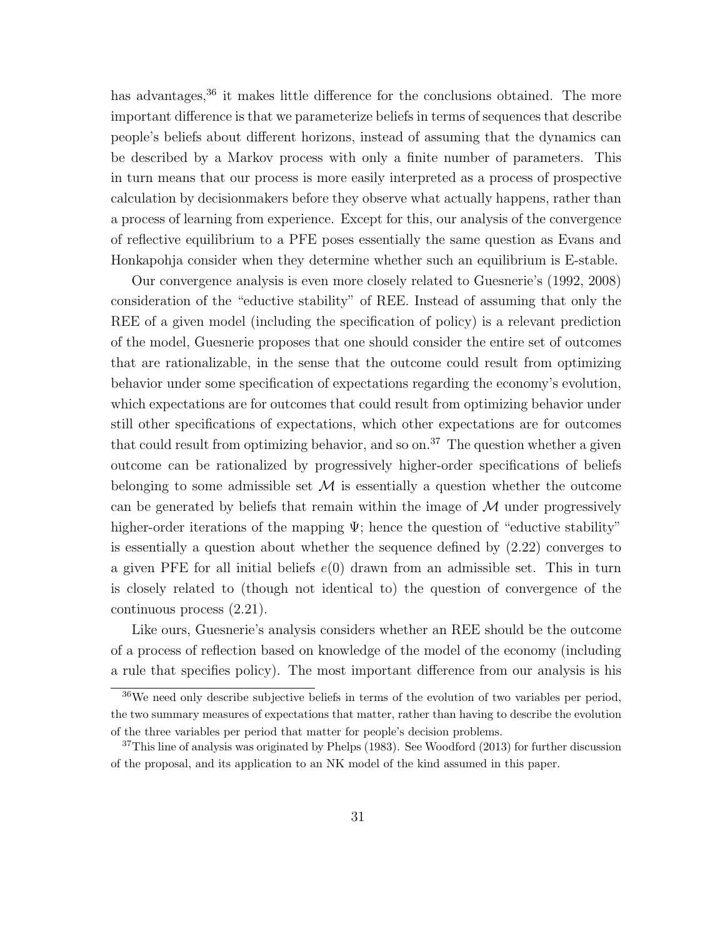has advantages,  $36$  it makes little difference for the conclusions obtained. The more important difference is that we parameterize beliefs in terms of sequences that describe people's beliefs about different horizons, instead of assuming that the dynamics can be described by a Markov process with only a finite number of parameters. This in turn means that our process is more easily interpreted as a process of prospective calculation by decisionmakers before they observe what actually happens, rather than a process of learning from experience. Except for this, our analysis of the convergence of reflective equilibrium to a PFE poses essentially the same question as Evans and Honkapohja consider when they determine whether such an equilibrium is E-stable.

Our convergence analysis is even more closely related to Guesnerie's (1992, 2008) consideration of the "eductive stability" of REE. Instead of assuming that only the REE of a given model (including the specification of policy) is a relevant prediction of the model, Guesnerie proposes that one should consider the entire set of outcomes that are rationalizable, in the sense that the outcome could result from optimizing behavior under some specification of expectations regarding the economy's evolution, which expectations are for outcomes that could result from optimizing behavior under still other specifications of expectations, which other expectations are for outcomes that could result from optimizing behavior, and so on.<sup>37</sup> The question whether a given outcome can be rationalized by progressively higher-order specifications of beliefs belonging to some admissible set  $\mathcal M$  is essentially a question whether the outcome can be generated by beliefs that remain within the image of  $\mathcal M$  under progressively higher-order iterations of the mapping  $\Psi$ ; hence the question of "eductive stability" is essentially a question about whether the sequence defined by (2.22) converges to a given PFE for all initial beliefs  $e(0)$  drawn from an admissible set. This in turn is closely related to (though not identical to) the question of convergence of the continuous process (2.21).

Like ours, Guesnerie's analysis considers whether an REE should be the outcome of a process of reflection based on knowledge of the model of the economy (including a rule that specifies policy). The most important difference from our analysis is his

<sup>36</sup>We need only describe subjective beliefs in terms of the evolution of two variables per period, the two summary measures of expectations that matter, rather than having to describe the evolution of the three variables per period that matter for people's decision problems.

 $37$ This line of analysis was originated by Phelps (1983). See Woodford (2013) for further discussion of the proposal, and its application to an NK model of the kind assumed in this paper.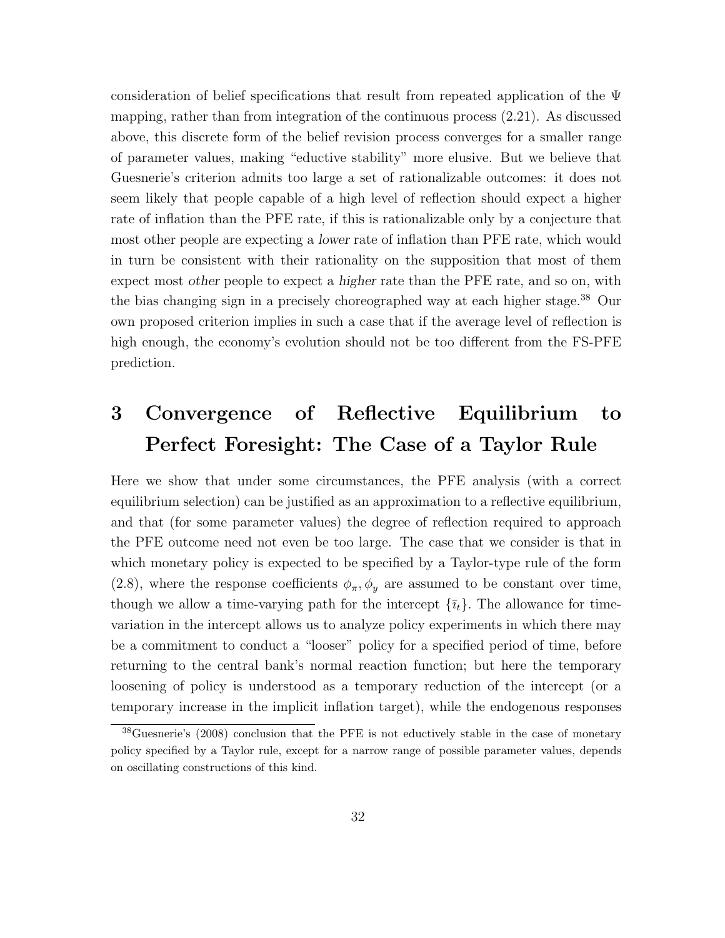consideration of belief specifications that result from repeated application of the Ψ mapping, rather than from integration of the continuous process (2.21). As discussed above, this discrete form of the belief revision process converges for a smaller range of parameter values, making "eductive stability" more elusive. But we believe that Guesnerie's criterion admits too large a set of rationalizable outcomes: it does not seem likely that people capable of a high level of reflection should expect a higher rate of inflation than the PFE rate, if this is rationalizable only by a conjecture that most other people are expecting a lower rate of inflation than PFE rate, which would in turn be consistent with their rationality on the supposition that most of them expect most other people to expect a higher rate than the PFE rate, and so on, with the bias changing sign in a precisely choreographed way at each higher stage.<sup>38</sup> Our own proposed criterion implies in such a case that if the average level of reflection is high enough, the economy's evolution should not be too different from the FS-PFE prediction.

# 3 Convergence of Reflective Equilibrium to Perfect Foresight: The Case of a Taylor Rule

Here we show that under some circumstances, the PFE analysis (with a correct equilibrium selection) can be justified as an approximation to a reflective equilibrium, and that (for some parameter values) the degree of reflection required to approach the PFE outcome need not even be too large. The case that we consider is that in which monetary policy is expected to be specified by a Taylor-type rule of the form (2.8), where the response coefficients  $\phi_{\pi}, \phi_{y}$  are assumed to be constant over time, though we allow a time-varying path for the intercept  $\{\bar{\imath}_t\}$ . The allowance for timevariation in the intercept allows us to analyze policy experiments in which there may be a commitment to conduct a "looser" policy for a specified period of time, before returning to the central bank's normal reaction function; but here the temporary loosening of policy is understood as a temporary reduction of the intercept (or a temporary increase in the implicit inflation target), while the endogenous responses

<sup>&</sup>lt;sup>38</sup>Guesnerie's (2008) conclusion that the PFE is not eductively stable in the case of monetary policy specified by a Taylor rule, except for a narrow range of possible parameter values, depends on oscillating constructions of this kind.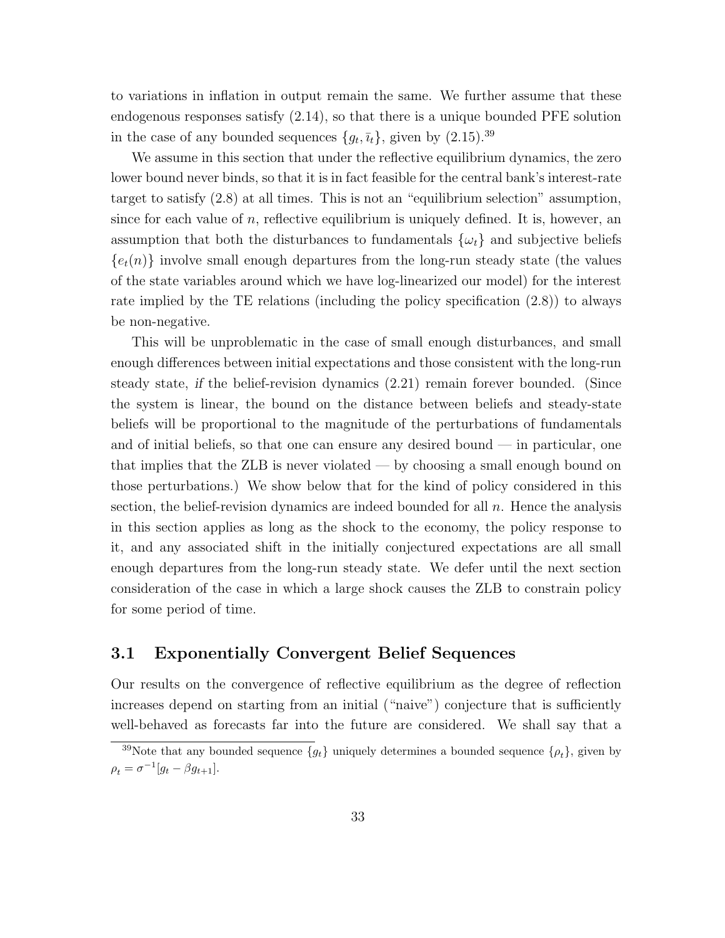to variations in inflation in output remain the same. We further assume that these endogenous responses satisfy (2.14), so that there is a unique bounded PFE solution in the case of any bounded sequences  $\{g_t, \bar{\imath}_t\}$ , given by  $(2.15).^{39}$ 

We assume in this section that under the reflective equilibrium dynamics, the zero lower bound never binds, so that it is in fact feasible for the central bank's interest-rate target to satisfy (2.8) at all times. This is not an "equilibrium selection" assumption, since for each value of  $n$ , reflective equilibrium is uniquely defined. It is, however, an assumption that both the disturbances to fundamentals  $\{\omega_t\}$  and subjective beliefs  ${e_t(n)}$  involve small enough departures from the long-run steady state (the values of the state variables around which we have log-linearized our model) for the interest rate implied by the TE relations (including the policy specification (2.8)) to always be non-negative.

This will be unproblematic in the case of small enough disturbances, and small enough differences between initial expectations and those consistent with the long-run steady state, if the belief-revision dynamics (2.21) remain forever bounded. (Since the system is linear, the bound on the distance between beliefs and steady-state beliefs will be proportional to the magnitude of the perturbations of fundamentals and of initial beliefs, so that one can ensure any desired bound — in particular, one that implies that the ZLB is never violated — by choosing a small enough bound on those perturbations.) We show below that for the kind of policy considered in this section, the belief-revision dynamics are indeed bounded for all  $n$ . Hence the analysis in this section applies as long as the shock to the economy, the policy response to it, and any associated shift in the initially conjectured expectations are all small enough departures from the long-run steady state. We defer until the next section consideration of the case in which a large shock causes the ZLB to constrain policy for some period of time.

## 3.1 Exponentially Convergent Belief Sequences

Our results on the convergence of reflective equilibrium as the degree of reflection increases depend on starting from an initial ("naive") conjecture that is sufficiently well-behaved as forecasts far into the future are considered. We shall say that a

<sup>&</sup>lt;sup>39</sup>Note that any bounded sequence  ${g_t}$  uniquely determines a bounded sequence  ${\rho_t}$ , given by  $\rho_t = \sigma^{-1}[g_t - \beta g_{t+1}].$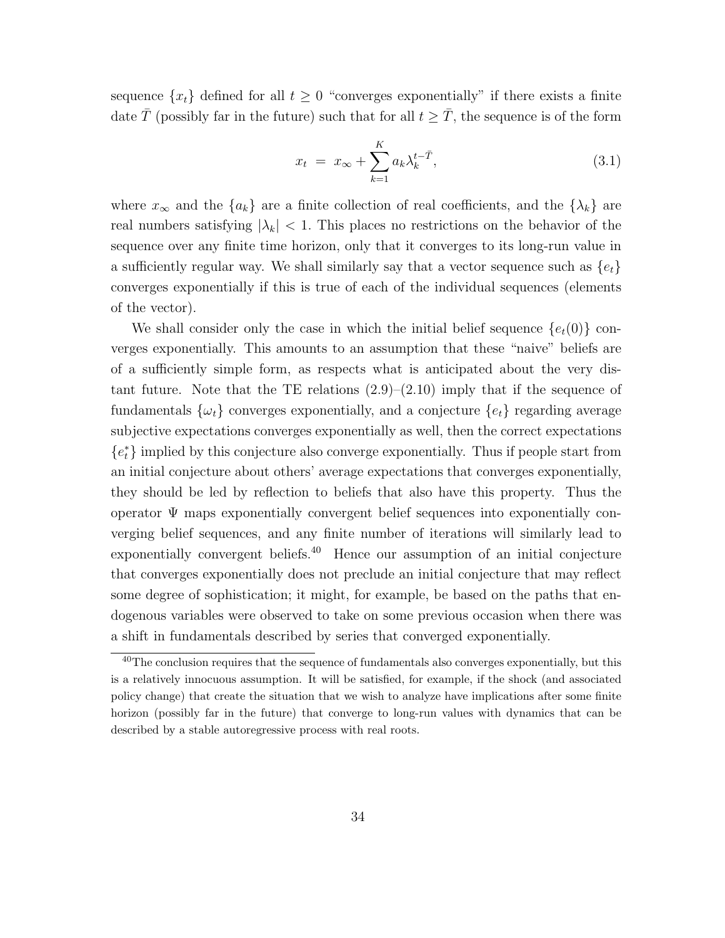sequence  $\{x_t\}$  defined for all  $t \geq 0$  "converges exponentially" if there exists a finite date  $\overline{T}$  (possibly far in the future) such that for all  $t \geq \overline{T}$ , the sequence is of the form

$$
x_t = x_{\infty} + \sum_{k=1}^{K} a_k \lambda_k^{t - \bar{T}}, \tag{3.1}
$$

where  $x_{\infty}$  and the  $\{a_k\}$  are a finite collection of real coefficients, and the  $\{\lambda_k\}$  are real numbers satisfying  $|\lambda_k| < 1$ . This places no restrictions on the behavior of the sequence over any finite time horizon, only that it converges to its long-run value in a sufficiently regular way. We shall similarly say that a vector sequence such as  $\{e_t\}$ converges exponentially if this is true of each of the individual sequences (elements of the vector).

We shall consider only the case in which the initial belief sequence  ${e_t(0)}$  converges exponentially. This amounts to an assumption that these "naive" beliefs are of a sufficiently simple form, as respects what is anticipated about the very distant future. Note that the TE relations  $(2.9)$ – $(2.10)$  imply that if the sequence of fundamentals  $\{\omega_t\}$  converges exponentially, and a conjecture  $\{e_t\}$  regarding average subjective expectations converges exponentially as well, then the correct expectations  $\{e_t^*\}$  implied by this conjecture also converge exponentially. Thus if people start from an initial conjecture about others' average expectations that converges exponentially, they should be led by reflection to beliefs that also have this property. Thus the operator Ψ maps exponentially convergent belief sequences into exponentially converging belief sequences, and any finite number of iterations will similarly lead to exponentially convergent beliefs.<sup>40</sup> Hence our assumption of an initial conjecture that converges exponentially does not preclude an initial conjecture that may reflect some degree of sophistication; it might, for example, be based on the paths that endogenous variables were observed to take on some previous occasion when there was a shift in fundamentals described by series that converged exponentially.

<sup>&</sup>lt;sup>40</sup>The conclusion requires that the sequence of fundamentals also converges exponentially, but this is a relatively innocuous assumption. It will be satisfied, for example, if the shock (and associated policy change) that create the situation that we wish to analyze have implications after some finite horizon (possibly far in the future) that converge to long-run values with dynamics that can be described by a stable autoregressive process with real roots.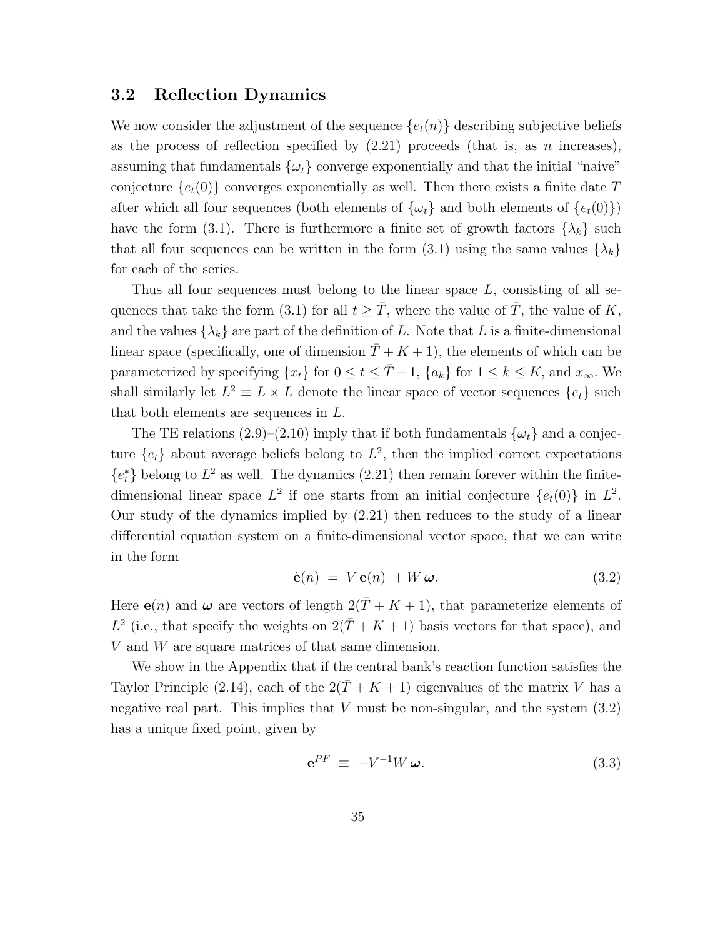#### 3.2 Reflection Dynamics

We now consider the adjustment of the sequence  $\{e_t(n)\}\$  describing subjective beliefs as the process of reflection specified by  $(2.21)$  proceeds (that is, as *n* increases), assuming that fundamentals  $\{\omega_t\}$  converge exponentially and that the initial "naive" conjecture  $\{e_t(0)\}$  converges exponentially as well. Then there exists a finite date T after which all four sequences (both elements of  $\{\omega_t\}$  and both elements of  $\{e_t(0)\}\$ ) have the form (3.1). There is furthermore a finite set of growth factors  $\{\lambda_k\}$  such that all four sequences can be written in the form  $(3.1)$  using the same values  $\{\lambda_k\}$ for each of the series.

Thus all four sequences must belong to the linear space  $L$ , consisting of all sequences that take the form (3.1) for all  $t \geq \overline{T}$ , where the value of  $\overline{T}$ , the value of K, and the values  $\{\lambda_k\}$  are part of the definition of L. Note that L is a finite-dimensional linear space (specifically, one of dimension  $\bar{T}+K+1$ ), the elements of which can be parameterized by specifying  $\{x_t\}$  for  $0 \le t \le \overline{T} - 1$ ,  $\{a_k\}$  for  $1 \le k \le K$ , and  $x_\infty$ . We shall similarly let  $L^2 \equiv L \times L$  denote the linear space of vector sequences  $\{e_t\}$  such that both elements are sequences in L.

The TE relations (2.9)–(2.10) imply that if both fundamentals  $\{\omega_t\}$  and a conjecture  $\{e_t\}$  about average beliefs belong to  $L^2$ , then the implied correct expectations  ${e_t^*}$  belong to  $L^2$  as well. The dynamics (2.21) then remain forever within the finitedimensional linear space  $L^2$  if one starts from an initial conjecture  $\{e_t(0)\}\$ in  $L^2$ . Our study of the dynamics implied by (2.21) then reduces to the study of a linear differential equation system on a finite-dimensional vector space, that we can write in the form

$$
\dot{\mathbf{e}}(n) = V \mathbf{e}(n) + W \boldsymbol{\omega}.
$$
 (3.2)

Here  $e(n)$  and  $\omega$  are vectors of length  $2(\bar{T} + K + 1)$ , that parameterize elements of  $L^2$  (i.e., that specify the weights on  $2(\bar{T} + K + 1)$  basis vectors for that space), and V and W are square matrices of that same dimension.

We show in the Appendix that if the central bank's reaction function satisfies the Taylor Principle (2.14), each of the  $2(\bar{T}+K+1)$  eigenvalues of the matrix V has a negative real part. This implies that  $V$  must be non-singular, and the system  $(3.2)$ has a unique fixed point, given by

$$
\mathbf{e}^{PF} \equiv -V^{-1}W\,\boldsymbol{\omega}.\tag{3.3}
$$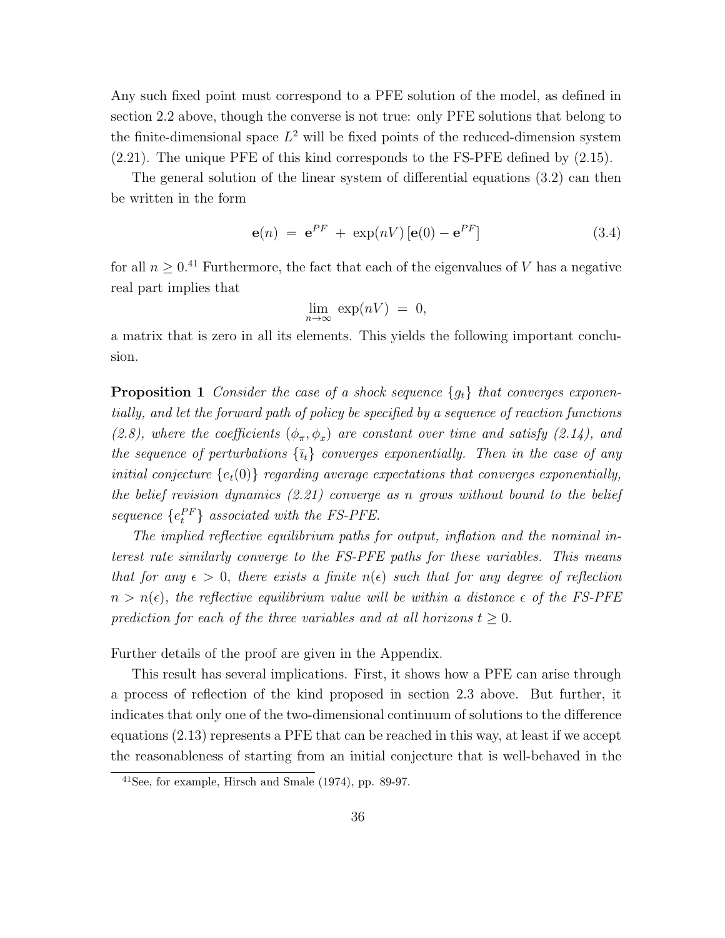Any such fixed point must correspond to a PFE solution of the model, as defined in section 2.2 above, though the converse is not true: only PFE solutions that belong to the finite-dimensional space  $L^2$  will be fixed points of the reduced-dimension system (2.21). The unique PFE of this kind corresponds to the FS-PFE defined by (2.15).

The general solution of the linear system of differential equations (3.2) can then be written in the form

$$
\mathbf{e}(n) = \mathbf{e}^{PF} + \exp(nV) [\mathbf{e}(0) - \mathbf{e}^{PF}] \tag{3.4}
$$

for all  $n \geq 0$ .<sup>41</sup> Furthermore, the fact that each of the eigenvalues of V has a negative real part implies that

$$
\lim_{n \to \infty} \exp(nV) = 0,
$$

a matrix that is zero in all its elements. This yields the following important conclusion.

**Proposition 1** Consider the case of a shock sequence  $\{g_t\}$  that converges exponentially, and let the forward path of policy be specified by a sequence of reaction functions (2.8), where the coefficients  $(\phi_{\pi}, \phi_x)$  are constant over time and satisfy (2.14), and the sequence of perturbations  $\{\bar{\imath}_t\}$  converges exponentially. Then in the case of any initial conjecture  ${e_t(0)}$  regarding average expectations that converges exponentially, the belief revision dynamics (2.21) converge as n grows without bound to the belief sequence  $\{e_t^{PF}\}$  associated with the FS-PFE.

The implied reflective equilibrium paths for output, inflation and the nominal interest rate similarly converge to the FS-PFE paths for these variables. This means that for any  $\epsilon > 0$ , there exists a finite  $n(\epsilon)$  such that for any degree of reflection  $n > n(\epsilon)$ , the reflective equilibrium value will be within a distance  $\epsilon$  of the FS-PFE prediction for each of the three variables and at all horizons  $t \geq 0$ .

Further details of the proof are given in the Appendix.

This result has several implications. First, it shows how a PFE can arise through a process of reflection of the kind proposed in section 2.3 above. But further, it indicates that only one of the two-dimensional continuum of solutions to the difference equations (2.13) represents a PFE that can be reached in this way, at least if we accept the reasonableness of starting from an initial conjecture that is well-behaved in the

<sup>41</sup>See, for example, Hirsch and Smale (1974), pp. 89-97.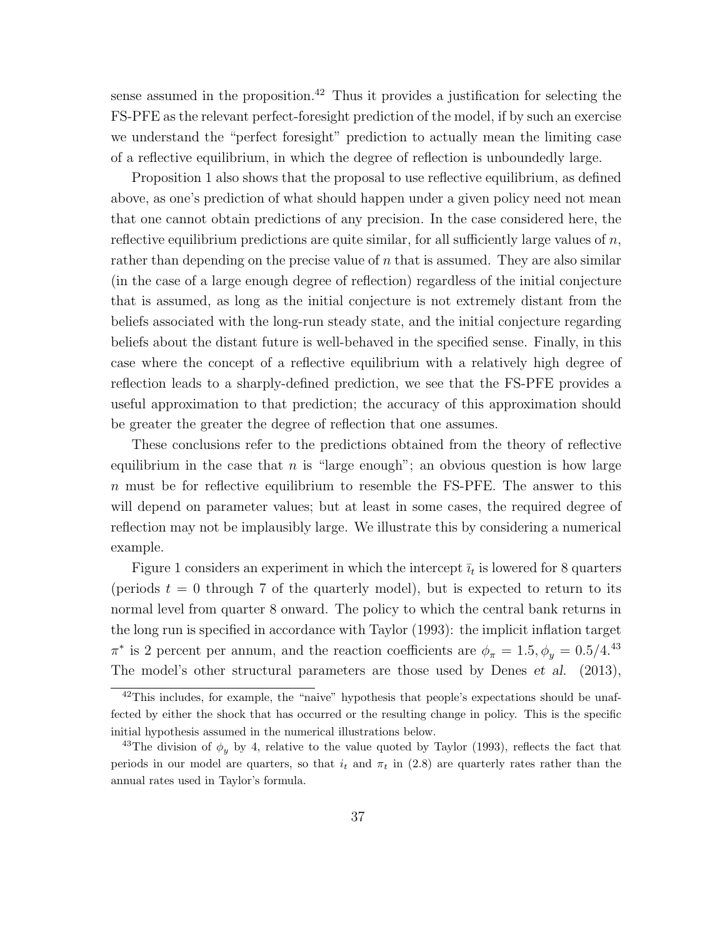sense assumed in the proposition.<sup>42</sup> Thus it provides a justification for selecting the FS-PFE as the relevant perfect-foresight prediction of the model, if by such an exercise we understand the "perfect foresight" prediction to actually mean the limiting case of a reflective equilibrium, in which the degree of reflection is unboundedly large.

Proposition 1 also shows that the proposal to use reflective equilibrium, as defined above, as one's prediction of what should happen under a given policy need not mean that one cannot obtain predictions of any precision. In the case considered here, the reflective equilibrium predictions are quite similar, for all sufficiently large values of  $n$ , rather than depending on the precise value of  $n$  that is assumed. They are also similar (in the case of a large enough degree of reflection) regardless of the initial conjecture that is assumed, as long as the initial conjecture is not extremely distant from the beliefs associated with the long-run steady state, and the initial conjecture regarding beliefs about the distant future is well-behaved in the specified sense. Finally, in this case where the concept of a reflective equilibrium with a relatively high degree of reflection leads to a sharply-defined prediction, we see that the FS-PFE provides a useful approximation to that prediction; the accuracy of this approximation should be greater the greater the degree of reflection that one assumes.

These conclusions refer to the predictions obtained from the theory of reflective equilibrium in the case that n is "large enough"; an obvious question is how large n must be for reflective equilibrium to resemble the FS-PFE. The answer to this will depend on parameter values; but at least in some cases, the required degree of reflection may not be implausibly large. We illustrate this by considering a numerical example.

Figure 1 considers an experiment in which the intercept  $\bar{i}_t$  is lowered for 8 quarters (periods  $t = 0$  through 7 of the quarterly model), but is expected to return to its normal level from quarter 8 onward. The policy to which the central bank returns in the long run is specified in accordance with Taylor (1993): the implicit inflation target  $\pi^*$  is 2 percent per annum, and the reaction coefficients are  $\phi_{\pi} = 1.5, \phi_y = 0.5/4$ .<sup>43</sup> The model's other structural parameters are those used by Denes et al. (2013),

<sup>&</sup>lt;sup>42</sup>This includes, for example, the "naive" hypothesis that people's expectations should be unaffected by either the shock that has occurred or the resulting change in policy. This is the specific initial hypothesis assumed in the numerical illustrations below.

<sup>&</sup>lt;sup>43</sup>The division of  $\phi_y$  by 4, relative to the value quoted by Taylor (1993), reflects the fact that periods in our model are quarters, so that  $i_t$  and  $\pi_t$  in (2.8) are quarterly rates rather than the annual rates used in Taylor's formula.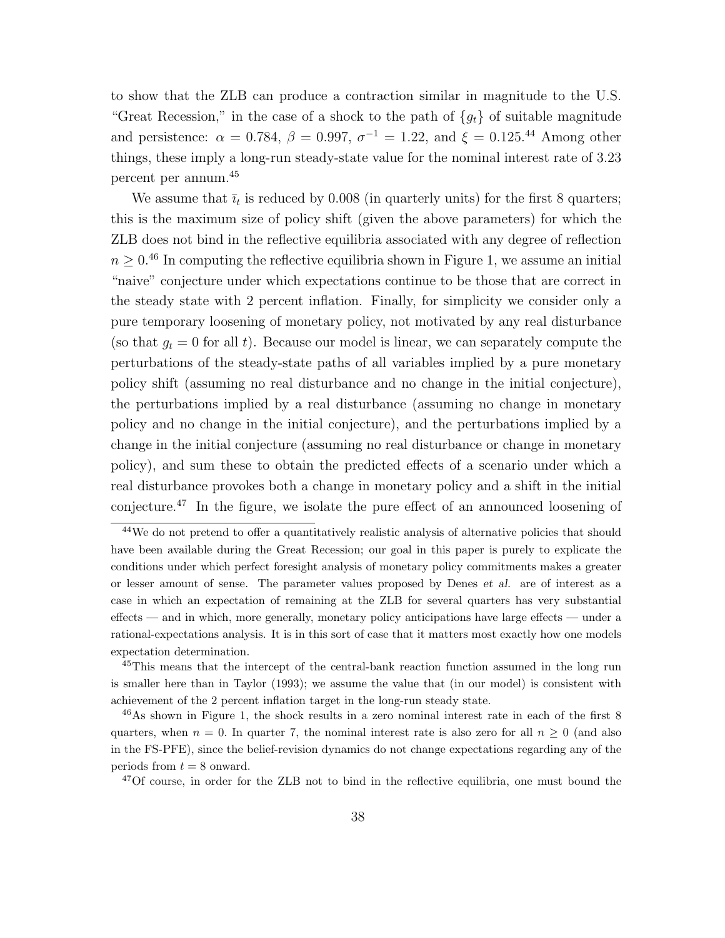to show that the ZLB can produce a contraction similar in magnitude to the U.S. "Great Recession," in the case of a shock to the path of  $\{g_t\}$  of suitable magnitude and persistence:  $\alpha = 0.784$ ,  $\beta = 0.997$ ,  $\sigma^{-1} = 1.22$ , and  $\xi = 0.125$ .<sup>44</sup> Among other things, these imply a long-run steady-state value for the nominal interest rate of 3.23 percent per annum.<sup>45</sup>

We assume that  $\bar{i}_t$  is reduced by 0.008 (in quarterly units) for the first 8 quarters; this is the maximum size of policy shift (given the above parameters) for which the ZLB does not bind in the reflective equilibria associated with any degree of reflection  $n \geq 0.46$  In computing the reflective equilibria shown in Figure 1, we assume an initial "naive" conjecture under which expectations continue to be those that are correct in the steady state with 2 percent inflation. Finally, for simplicity we consider only a pure temporary loosening of monetary policy, not motivated by any real disturbance (so that  $g_t = 0$  for all t). Because our model is linear, we can separately compute the perturbations of the steady-state paths of all variables implied by a pure monetary policy shift (assuming no real disturbance and no change in the initial conjecture), the perturbations implied by a real disturbance (assuming no change in monetary policy and no change in the initial conjecture), and the perturbations implied by a change in the initial conjecture (assuming no real disturbance or change in monetary policy), and sum these to obtain the predicted effects of a scenario under which a real disturbance provokes both a change in monetary policy and a shift in the initial conjecture.<sup>47</sup> In the figure, we isolate the pure effect of an announced loosening of

<sup>&</sup>lt;sup>44</sup>We do not pretend to offer a quantitatively realistic analysis of alternative policies that should have been available during the Great Recession; our goal in this paper is purely to explicate the conditions under which perfect foresight analysis of monetary policy commitments makes a greater or lesser amount of sense. The parameter values proposed by Denes et al. are of interest as a case in which an expectation of remaining at the ZLB for several quarters has very substantial effects — and in which, more generally, monetary policy anticipations have large effects — under a rational-expectations analysis. It is in this sort of case that it matters most exactly how one models expectation determination.

<sup>&</sup>lt;sup>45</sup>This means that the intercept of the central-bank reaction function assumed in the long run is smaller here than in Taylor (1993); we assume the value that (in our model) is consistent with achievement of the 2 percent inflation target in the long-run steady state.

<sup>&</sup>lt;sup>46</sup>As shown in Figure 1, the shock results in a zero nominal interest rate in each of the first 8 quarters, when  $n = 0$ . In quarter 7, the nominal interest rate is also zero for all  $n \geq 0$  (and also in the FS-PFE), since the belief-revision dynamics do not change expectations regarding any of the periods from  $t = 8$  onward.

<sup>&</sup>lt;sup>47</sup>Of course, in order for the ZLB not to bind in the reflective equilibria, one must bound the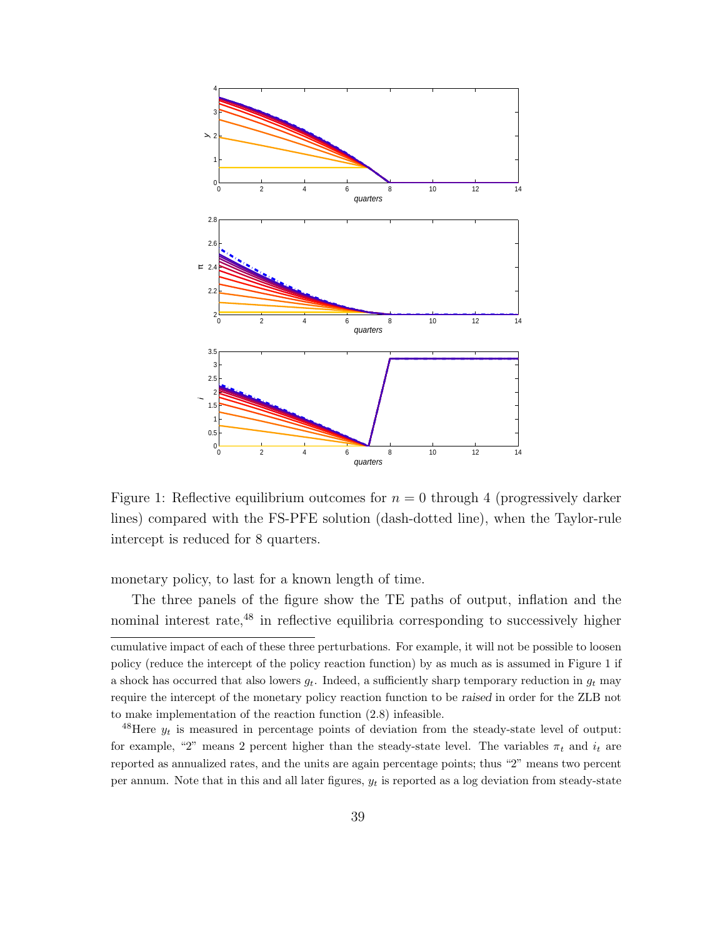

Figure 1: Reflective equilibrium outcomes for  $n = 0$  through 4 (progressively darker lines) compared with the FS-PFE solution (dash-dotted line), when the Taylor-rule intercept is reduced for 8 quarters.

monetary policy, to last for a known length of time.

The three panels of the figure show the TE paths of output, inflation and the nominal interest rate,<sup>48</sup> in reflective equilibria corresponding to successively higher

to make implementation of the reaction function  $(2.8)$  infeasible. cumulative impact of each of these three perturbations. For example, it will not be possible to loosen policy (reduce the intercept of the policy reaction function) by as much as is assumed in Figure 1 if a shock has occurred that also lowers  $q_t$ . Indeed, a sufficiently sharp temporary reduction in  $q_t$  may require the intercept of the monetary policy reaction function to be raised in order for the ZLB not

<sup>&</sup>lt;sup>48</sup>Here  $y_t$  is measured in percentage points of deviation from the steady-state level of output: for example, "2" means 2 percent higher than the steady-state level. The variables  $\pi_t$  and  $i_t$  are reported as annualized rates, and the units are again percentage points; thus "2" means two percent per annum. Note that in this and all later figures,  $y_t$  is reported as a log deviation from steady-state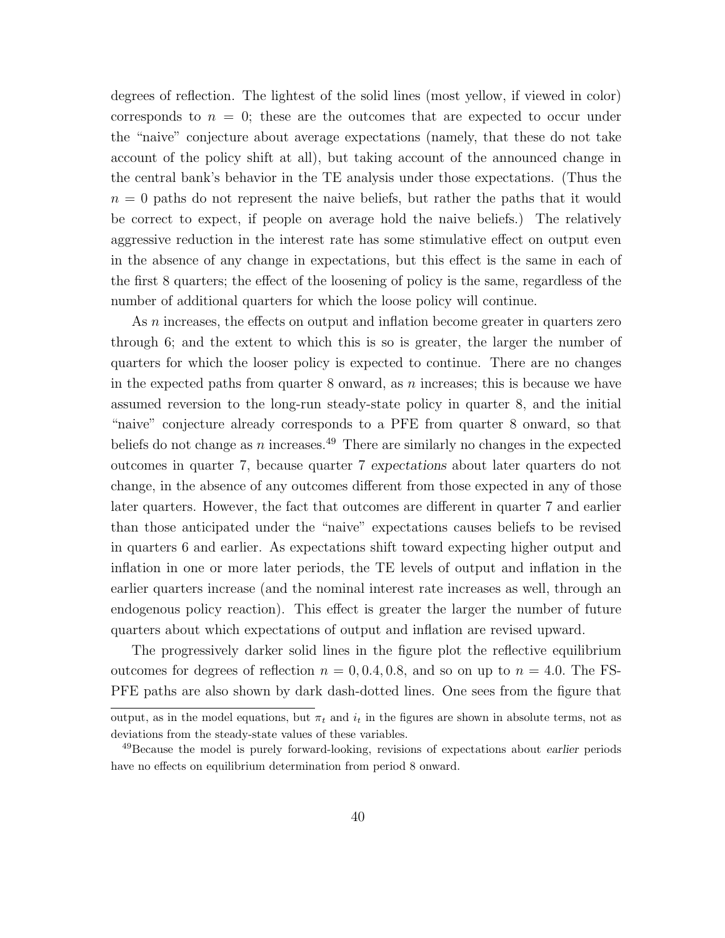degrees of reflection. The lightest of the solid lines (most yellow, if viewed in color) corresponds to  $n = 0$ ; these are the outcomes that are expected to occur under the "naive" conjecture about average expectations (namely, that these do not take account of the policy shift at all), but taking account of the announced change in the central bank's behavior in the TE analysis under those expectations. (Thus the  $n = 0$  paths do not represent the naive beliefs, but rather the paths that it would be correct to expect, if people on average hold the naive beliefs.) The relatively aggressive reduction in the interest rate has some stimulative effect on output even in the absence of any change in expectations, but this effect is the same in each of the first 8 quarters; the effect of the loosening of policy is the same, regardless of the number of additional quarters for which the loose policy will continue.

As n increases, the effects on output and inflation become greater in quarters zero through 6; and the extent to which this is so is greater, the larger the number of quarters for which the looser policy is expected to continue. There are no changes in the expected paths from quarter 8 onward, as  $n$  increases; this is because we have assumed reversion to the long-run steady-state policy in quarter 8, and the initial "naive" conjecture already corresponds to a PFE from quarter 8 onward, so that beliefs do not change as n increases.<sup>49</sup> There are similarly no changes in the expected outcomes in quarter 7, because quarter 7 expectations about later quarters do not change, in the absence of any outcomes different from those expected in any of those later quarters. However, the fact that outcomes are different in quarter 7 and earlier than those anticipated under the "naive" expectations causes beliefs to be revised in quarters 6 and earlier. As expectations shift toward expecting higher output and inflation in one or more later periods, the TE levels of output and inflation in the earlier quarters increase (and the nominal interest rate increases as well, through an endogenous policy reaction). This effect is greater the larger the number of future quarters about which expectations of output and inflation are revised upward.

The progressively darker solid lines in the figure plot the reflective equilibrium outcomes for degrees of reflection  $n = 0, 0.4, 0.8$ , and so on up to  $n = 4.0$ . The FS-PFE paths are also shown by dark dash-dotted lines. One sees from the figure that

output, as in the model equations, but  $\pi_t$  and  $i_t$  in the figures are shown in absolute terms, not as deviations from the steady-state values of these variables.

<sup>&</sup>lt;sup>49</sup>Because the model is purely forward-looking, revisions of expectations about earlier periods have no effects on equilibrium determination from period 8 onward.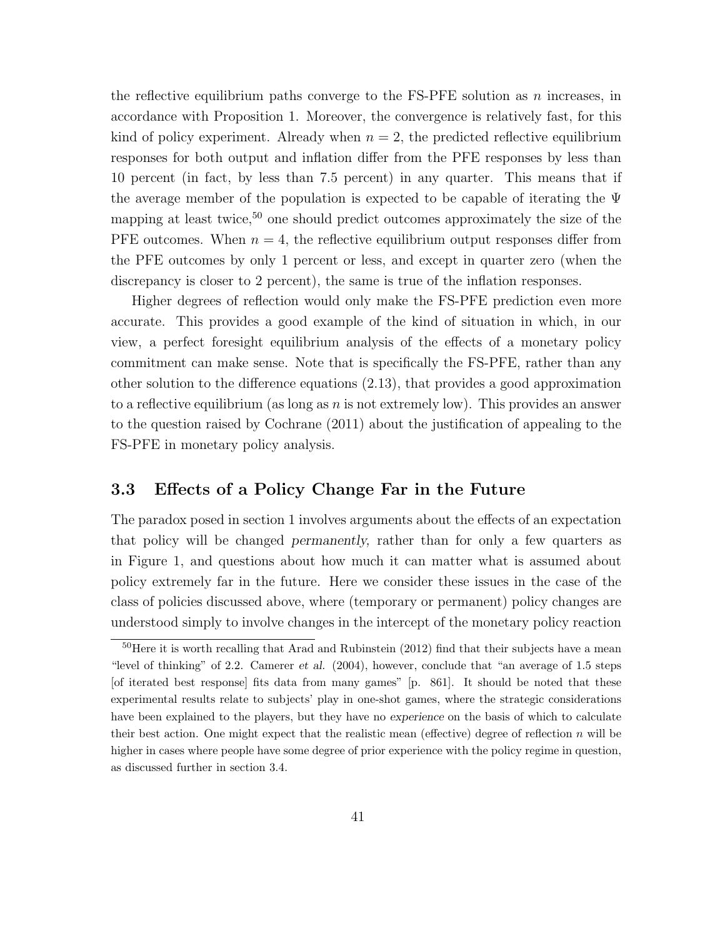the reflective equilibrium paths converge to the  $FS-PFE$  solution as n increases, in accordance with Proposition 1. Moreover, the convergence is relatively fast, for this kind of policy experiment. Already when  $n = 2$ , the predicted reflective equilibrium responses for both output and inflation differ from the PFE responses by less than 10 percent (in fact, by less than 7.5 percent) in any quarter. This means that if the average member of the population is expected to be capable of iterating the Ψ mapping at least twice,<sup>50</sup> one should predict outcomes approximately the size of the PFE outcomes. When  $n = 4$ , the reflective equilibrium output responses differ from the PFE outcomes by only 1 percent or less, and except in quarter zero (when the discrepancy is closer to 2 percent), the same is true of the inflation responses.

Higher degrees of reflection would only make the FS-PFE prediction even more accurate. This provides a good example of the kind of situation in which, in our view, a perfect foresight equilibrium analysis of the effects of a monetary policy commitment can make sense. Note that is specifically the FS-PFE, rather than any other solution to the difference equations (2.13), that provides a good approximation to a reflective equilibrium (as long as  $n$  is not extremely low). This provides an answer to the question raised by Cochrane (2011) about the justification of appealing to the FS-PFE in monetary policy analysis.

### 3.3 Effects of a Policy Change Far in the Future

The paradox posed in section 1 involves arguments about the effects of an expectation that policy will be changed permanently, rather than for only a few quarters as in Figure 1, and questions about how much it can matter what is assumed about policy extremely far in the future. Here we consider these issues in the case of the class of policies discussed above, where (temporary or permanent) policy changes are understood simply to involve changes in the intercept of the monetary policy reaction

<sup>&</sup>lt;sup>50</sup>Here it is worth recalling that Arad and Rubinstein (2012) find that their subjects have a mean "level of thinking" of 2.2. Camerer et al. (2004), however, conclude that "an average of 1.5 steps [of iterated best response] fits data from many games" [p. 861]. It should be noted that these experimental results relate to subjects' play in one-shot games, where the strategic considerations have been explained to the players, but they have no experience on the basis of which to calculate their best action. One might expect that the realistic mean (effective) degree of reflection  $n$  will be higher in cases where people have some degree of prior experience with the policy regime in question, as discussed further in section 3.4.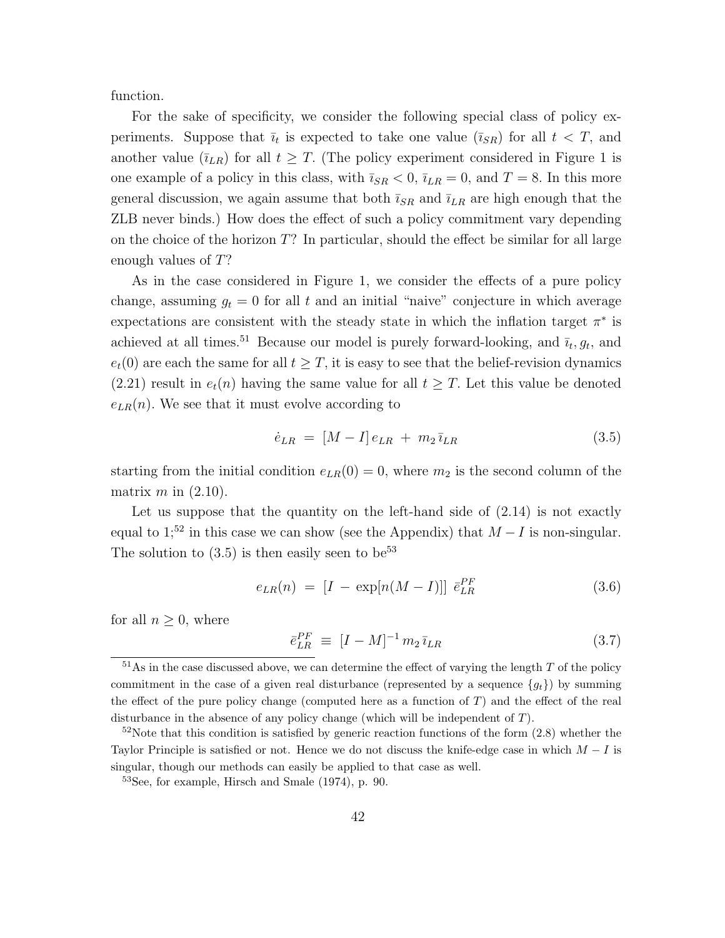function.

For the sake of specificity, we consider the following special class of policy experiments. Suppose that  $\bar{\imath}_t$  is expected to take one value  $(\bar{\imath}_{SR})$  for all  $t < T$ , and another value  $(\bar{\iota}_{LR})$  for all  $t \geq T$ . (The policy experiment considered in Figure 1 is one example of a policy in this class, with  $\bar{i}_{SR} < 0$ ,  $\bar{i}_{LR} = 0$ , and  $T = 8$ . In this more general discussion, we again assume that both  $\bar{i}_{SR}$  and  $\bar{i}_{LR}$  are high enough that the ZLB never binds.) How does the effect of such a policy commitment vary depending on the choice of the horizon  $T$ ? In particular, should the effect be similar for all large enough values of T?

As in the case considered in Figure 1, we consider the effects of a pure policy change, assuming  $g_t = 0$  for all t and an initial "naive" conjecture in which average expectations are consistent with the steady state in which the inflation target  $\pi^*$  is achieved at all times.<sup>51</sup> Because our model is purely forward-looking, and  $\bar{i}_t, g_t$ , and  $e_t(0)$  are each the same for all  $t \geq T$ , it is easy to see that the belief-revision dynamics (2.21) result in  $e_t(n)$  having the same value for all  $t \geq T$ . Let this value be denoted  $e_{LR}(n)$ . We see that it must evolve according to

$$
\dot{e}_{LR} = [M - I] e_{LR} + m_2 \bar{v}_{LR} \tag{3.5}
$$

starting from the initial condition  $e_{LR}(0) = 0$ , where  $m_2$  is the second column of the matrix m in  $(2.10)$ .

Let us suppose that the quantity on the left-hand side of  $(2.14)$  is not exactly equal to 1;<sup>52</sup> in this case we can show (see the Appendix) that  $M - I$  is non-singular. The solution to  $(3.5)$  is then easily seen to be<sup>53</sup>

$$
e_{LR}(n) = [I - \exp[n(M - I)]] \bar{e}_{LR}^{PF}
$$
\n(3.6)

for all  $n \geq 0$ , where

$$
\bar{e}_{LR}^{PF} \equiv \left[ I - M \right]^{-1} m_2 \bar{\imath}_{LR} \tag{3.7}
$$

 $51\text{As}$  in the case discussed above, we can determine the effect of varying the length T of the policy commitment in the case of a given real disturbance (represented by a sequence  $\{g_t\}$ ) by summing the effect of the pure policy change (computed here as a function of  $T$ ) and the effect of the real disturbance in the absence of any policy change (which will be independent of  $T$ ).

 $52\text{Note that this condition is satisfied by generic reaction functions of the form (2.8) whether the$ Taylor Principle is satisfied or not. Hence we do not discuss the knife-edge case in which  $M - I$  is singular, though our methods can easily be applied to that case as well.

<sup>53</sup>See, for example, Hirsch and Smale (1974), p. 90.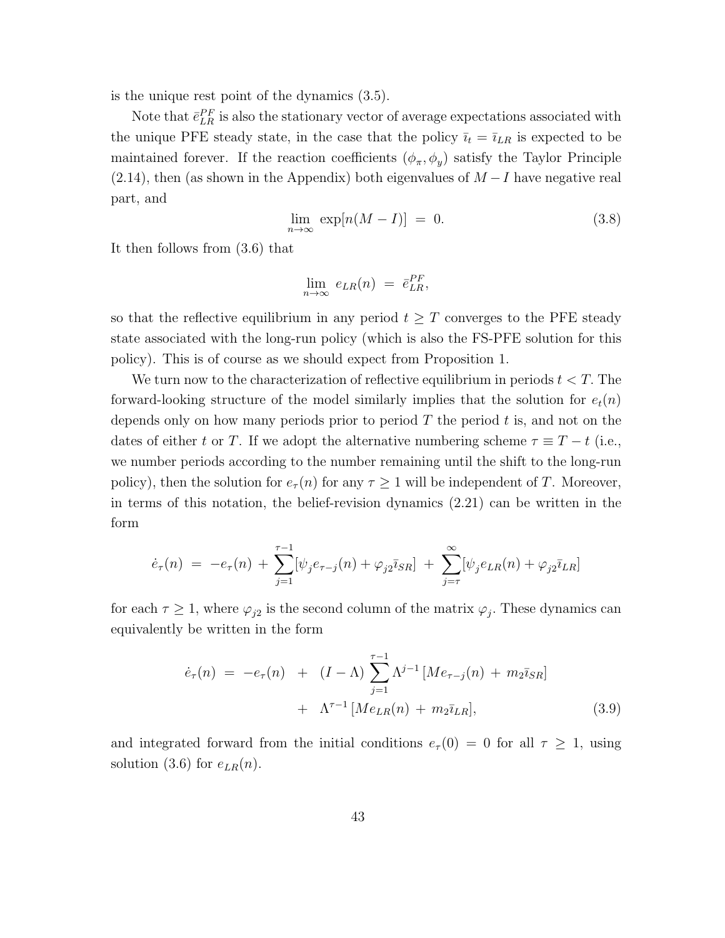is the unique rest point of the dynamics (3.5).

Note that  $\bar{e}_{LR}^{PF}$  is also the stationary vector of average expectations associated with the unique PFE steady state, in the case that the policy  $\bar{\iota}_t = \bar{\iota}_{LR}$  is expected to be maintained forever. If the reaction coefficients  $(\phi_{\pi}, \phi_y)$  satisfy the Taylor Principle  $(2.14)$ , then (as shown in the Appendix) both eigenvalues of  $M-I$  have negative real part, and

$$
\lim_{n \to \infty} \exp[n(M - I)] = 0. \tag{3.8}
$$

It then follows from (3.6) that

$$
\lim_{n \to \infty} e_{LR}(n) = \bar{e}_{LR}^{PF},
$$

so that the reflective equilibrium in any period  $t \geq T$  converges to the PFE steady state associated with the long-run policy (which is also the FS-PFE solution for this policy). This is of course as we should expect from Proposition 1.

We turn now to the characterization of reflective equilibrium in periods  $t < T$ . The forward-looking structure of the model similarly implies that the solution for  $e_t(n)$ depends only on how many periods prior to period  $T$  the period  $t$  is, and not on the dates of either t or T. If we adopt the alternative numbering scheme  $\tau \equiv T - t$  (i.e., we number periods according to the number remaining until the shift to the long-run policy), then the solution for  $e_{\tau}(n)$  for any  $\tau \geq 1$  will be independent of T. Moreover, in terms of this notation, the belief-revision dynamics (2.21) can be written in the form

$$
\dot{e}_{\tau}(n) = -e_{\tau}(n) + \sum_{j=1}^{\tau-1} [\psi_j e_{\tau-j}(n) + \varphi_{j2} \bar{\imath}_{SR}] + \sum_{j=\tau}^{\infty} [\psi_j e_{LR}(n) + \varphi_{j2} \bar{\imath}_{LR}]
$$

for each  $\tau \geq 1$ , where  $\varphi_{j2}$  is the second column of the matrix  $\varphi_j$ . These dynamics can equivalently be written in the form

$$
\dot{e}_{\tau}(n) = -e_{\tau}(n) + (I - \Lambda) \sum_{j=1}^{\tau-1} \Lambda^{j-1} \left[ Me_{\tau-j}(n) + m_2 \bar{\imath}_{SR} \right] \n+ \Lambda^{\tau-1} \left[ Me_{LR}(n) + m_2 \bar{\imath}_{LR} \right],
$$
\n(3.9)

and integrated forward from the initial conditions  $e_{\tau}(0) = 0$  for all  $\tau \geq 1$ , using solution (3.6) for  $e_{LR}(n)$ .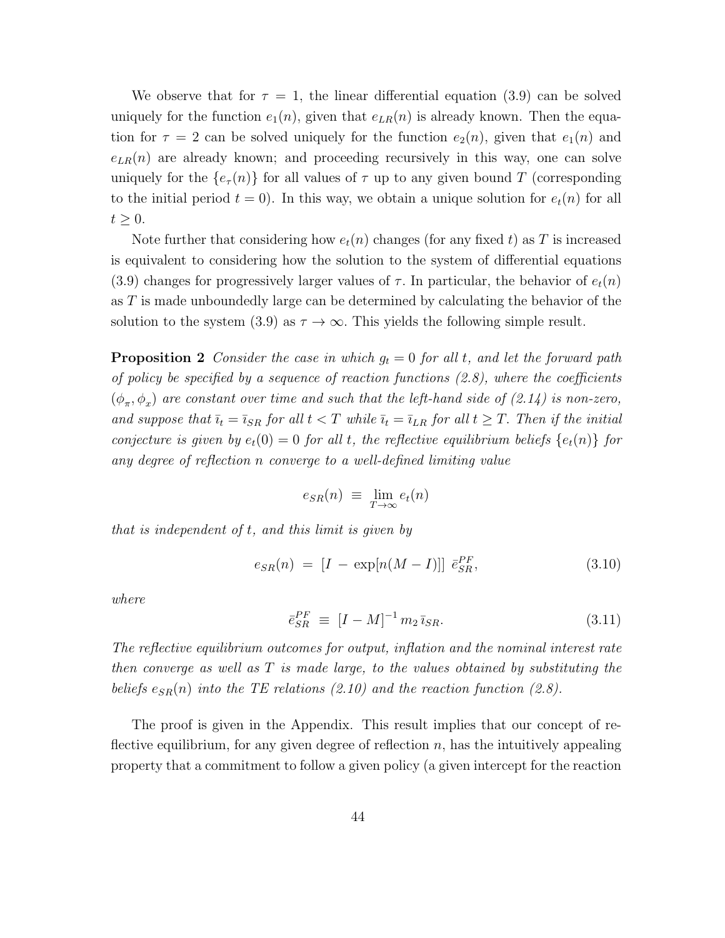We observe that for  $\tau = 1$ , the linear differential equation (3.9) can be solved uniquely for the function  $e_1(n)$ , given that  $e_{LR}(n)$  is already known. Then the equation for  $\tau = 2$  can be solved uniquely for the function  $e_2(n)$ , given that  $e_1(n)$  and  $e_{LR}(n)$  are already known; and proceeding recursively in this way, one can solve uniquely for the  $\{e_{\tau}(n)\}\$ for all values of  $\tau$  up to any given bound T (corresponding to the initial period  $t = 0$ . In this way, we obtain a unique solution for  $e_t(n)$  for all  $t \geq 0$ .

Note further that considering how  $e_t(n)$  changes (for any fixed t) as T is increased is equivalent to considering how the solution to the system of differential equations (3.9) changes for progressively larger values of  $\tau$ . In particular, the behavior of  $e_t(n)$ as T is made unboundedly large can be determined by calculating the behavior of the solution to the system (3.9) as  $\tau \to \infty$ . This yields the following simple result.

**Proposition 2** Consider the case in which  $g_t = 0$  for all t, and let the forward path of policy be specified by a sequence of reaction functions  $(2.8)$ , where the coefficients  $(\phi_{\pi}, \phi_x)$  are constant over time and such that the left-hand side of  $(2.14)$  is non-zero, and suppose that  $\bar{\tau}_t = \bar{\tau}_{SR}$  for all  $t < T$  while  $\bar{\tau}_t = \bar{\tau}_{LR}$  for all  $t \geq T$ . Then if the initial conjecture is given by  $e_t(0) = 0$  for all t, the reflective equilibrium beliefs  $\{e_t(n)\}\$  for any degree of reflection n converge to a well-defined limiting value

$$
e_{SR}(n) \equiv \lim_{T \to \infty} e_t(n)
$$

that is independent of t, and this limit is given by

$$
e_{SR}(n) = [I - \exp[n(M - I)]] \bar{e}_{SR}^{PF}, \qquad (3.10)
$$

where

$$
\bar{e}_{SR}^{PF} \equiv [I - M]^{-1} m_2 \bar{\imath}_{SR}.
$$
\n(3.11)

The reflective equilibrium outcomes for output, inflation and the nominal interest rate then converge as well as  $T$  is made large, to the values obtained by substituting the beliefs  $e_{SR}(n)$  into the TE relations (2.10) and the reaction function (2.8).

The proof is given in the Appendix. This result implies that our concept of reflective equilibrium, for any given degree of reflection  $n$ , has the intuitively appealing property that a commitment to follow a given policy (a given intercept for the reaction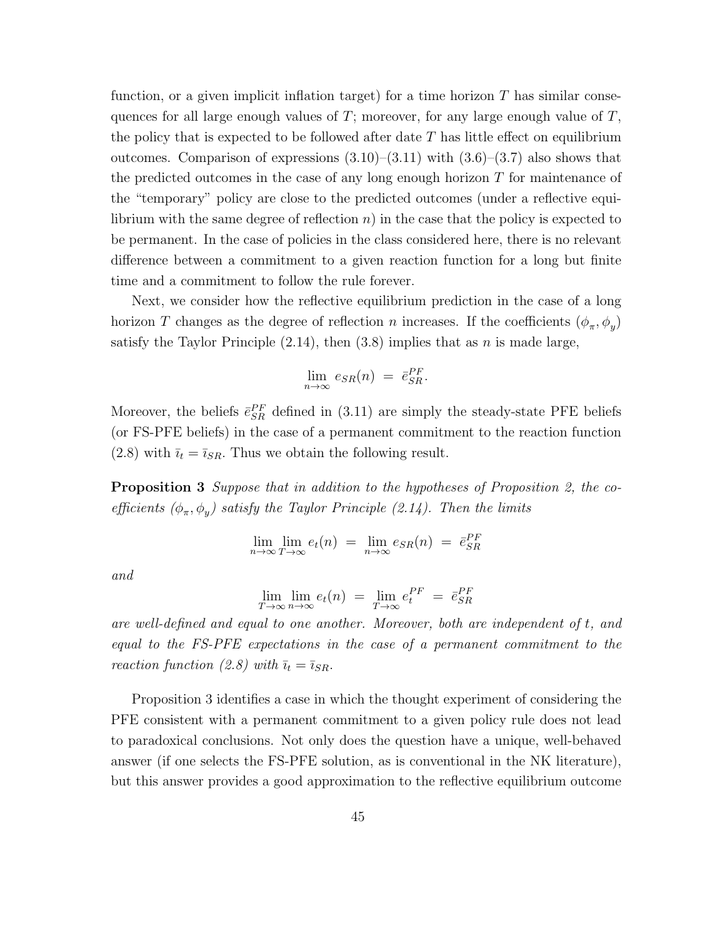function, or a given implicit inflation target) for a time horizon  $T$  has similar consequences for all large enough values of  $T$ ; moreover, for any large enough value of  $T$ , the policy that is expected to be followed after date  $T$  has little effect on equilibrium outcomes. Comparison of expressions  $(3.10)$ – $(3.11)$  with  $(3.6)$ – $(3.7)$  also shows that the predicted outcomes in the case of any long enough horizon  $T$  for maintenance of the "temporary" policy are close to the predicted outcomes (under a reflective equilibrium with the same degree of reflection  $n)$  in the case that the policy is expected to be permanent. In the case of policies in the class considered here, there is no relevant difference between a commitment to a given reaction function for a long but finite time and a commitment to follow the rule forever.

Next, we consider how the reflective equilibrium prediction in the case of a long horizon T changes as the degree of reflection n increases. If the coefficients  $(\phi_{\pi}, \phi_y)$ satisfy the Taylor Principle  $(2.14)$ , then  $(3.8)$  implies that as n is made large,

$$
\lim_{n \to \infty} e_{SR}(n) = \bar{e}_{SR}^{PF}.
$$

Moreover, the beliefs  $\bar{e}_{SR}^{PF}$  defined in (3.11) are simply the steady-state PFE beliefs (or FS-PFE beliefs) in the case of a permanent commitment to the reaction function  $(2.8)$  with  $\bar{\iota}_t = \bar{\iota}_{SR}$ . Thus we obtain the following result.

**Proposition 3** Suppose that in addition to the hypotheses of Proposition 2, the coefficients  $(\phi_{\pi}, \phi_y)$  satisfy the Taylor Principle (2.14). Then the limits

$$
\lim_{n \to \infty} \lim_{T \to \infty} e_t(n) = \lim_{n \to \infty} e_{SR}(n) = \bar{e}_{SR}^{PF}
$$

and

$$
\lim_{T \to \infty} \lim_{n \to \infty} e_t(n) = \lim_{T \to \infty} e_t^{PF} = \bar{e}_{SR}^{PF}
$$

are well-defined and equal to one another. Moreover, both are independent of t, and equal to the FS-PFE expectations in the case of a permanent commitment to the reaction function (2.8) with  $\bar{\iota}_t = \bar{\iota}_{SR}$ .

Proposition 3 identifies a case in which the thought experiment of considering the PFE consistent with a permanent commitment to a given policy rule does not lead to paradoxical conclusions. Not only does the question have a unique, well-behaved answer (if one selects the FS-PFE solution, as is conventional in the NK literature), but this answer provides a good approximation to the reflective equilibrium outcome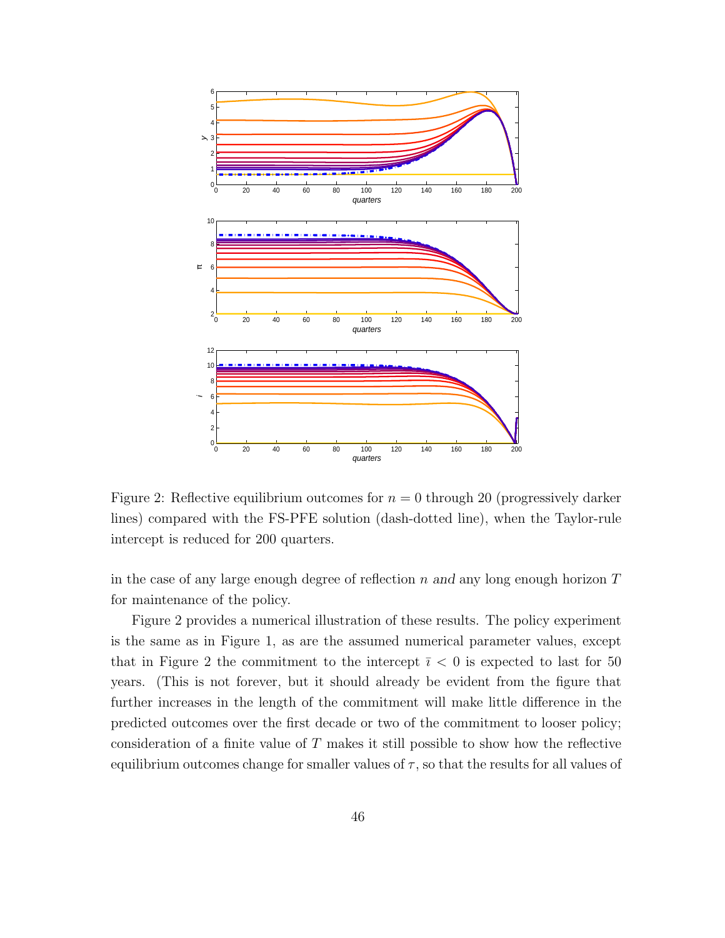

Reflective equilibrium outcomes for  $n = 0$  through 20 (progressing Figure 2: Reflective equilibrium outcomes for  $n = 0$  through 20 (progressively darker lines) compared with the FS-PFE solution (dash-dotted line), when the Taylor-rule intercept is reduced for 200 quarters.

in the case of any large enough degree of reflection  $n$  and any long enough horizon  $T$ for maintenance of the policy.

4 predicted outcomes over the first decade or two of the commitment to looser policy; Figure 2 provides a numerical illustration of these results. The policy experiment is the same as in Figure 1, as are the assumed numerical parameter values, except that in Figure 2 the commitment to the intercept  $\bar{i}$  < 0 is expected to last for 50 years. (This is not forever, but it should already be evident from the figure that further increases in the length of the commitment will make little difference in the consideration of a finite value of  $T$  makes it still possible to show how the reflective equilibrium outcomes change for smaller values of  $\tau$ , so that the results for all values of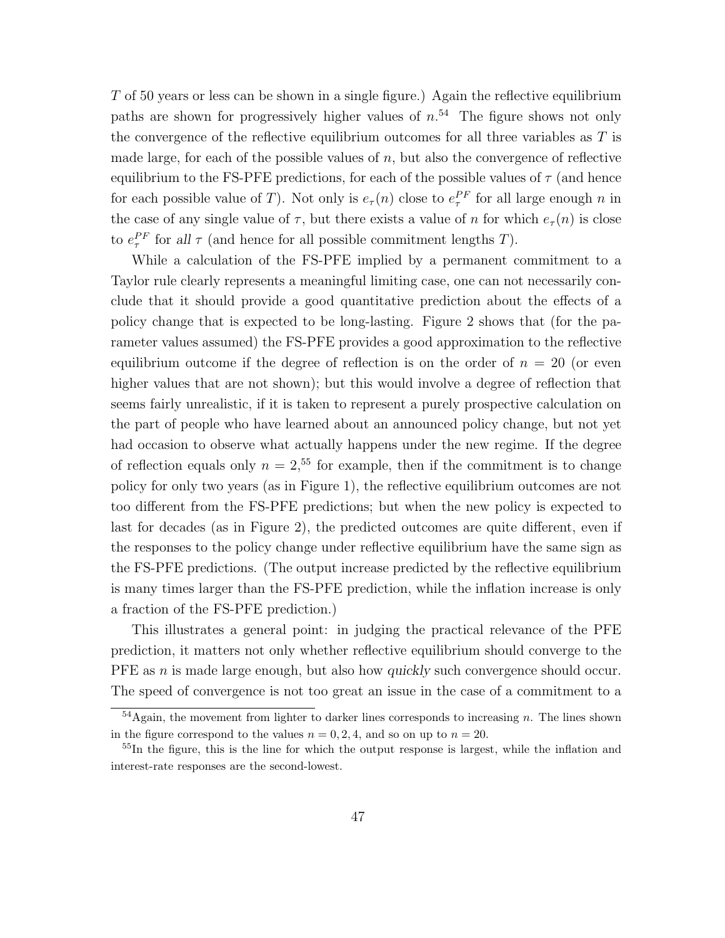T of 50 years or less can be shown in a single figure.) Again the reflective equilibrium paths are shown for progressively higher values of  $n<sup>54</sup>$ . The figure shows not only the convergence of the reflective equilibrium outcomes for all three variables as  $T$  is made large, for each of the possible values of  $n$ , but also the convergence of reflective equilibrium to the FS-PFE predictions, for each of the possible values of  $\tau$  (and hence for each possible value of T). Not only is  $e_{\tau}(n)$  close to  $e_{\tau}^{PF}$  for all large enough n in the case of any single value of  $\tau$ , but there exists a value of n for which  $e_{\tau}(n)$  is close to  $e_{\tau}^{PF}$  for all  $\tau$  (and hence for all possible commitment lengths T).

While a calculation of the FS-PFE implied by a permanent commitment to a Taylor rule clearly represents a meaningful limiting case, one can not necessarily conclude that it should provide a good quantitative prediction about the effects of a policy change that is expected to be long-lasting. Figure 2 shows that (for the parameter values assumed) the FS-PFE provides a good approximation to the reflective equilibrium outcome if the degree of reflection is on the order of  $n = 20$  (or even higher values that are not shown); but this would involve a degree of reflection that seems fairly unrealistic, if it is taken to represent a purely prospective calculation on the part of people who have learned about an announced policy change, but not yet had occasion to observe what actually happens under the new regime. If the degree of reflection equals only  $n = 2$ <sup>55</sup> for example, then if the commitment is to change policy for only two years (as in Figure 1), the reflective equilibrium outcomes are not too different from the FS-PFE predictions; but when the new policy is expected to last for decades (as in Figure 2), the predicted outcomes are quite different, even if the responses to the policy change under reflective equilibrium have the same sign as the FS-PFE predictions. (The output increase predicted by the reflective equilibrium is many times larger than the FS-PFE prediction, while the inflation increase is only a fraction of the FS-PFE prediction.)

This illustrates a general point: in judging the practical relevance of the PFE prediction, it matters not only whether reflective equilibrium should converge to the PFE as *n* is made large enough, but also how quickly such convergence should occur. The speed of convergence is not too great an issue in the case of a commitment to a

 $\frac{54}{4}$ Again, the movement from lighter to darker lines corresponds to increasing n. The lines shown in the figure correspond to the values  $n = 0, 2, 4$ , and so on up to  $n = 20$ .

<sup>55</sup>In the figure, this is the line for which the output response is largest, while the inflation and interest-rate responses are the second-lowest.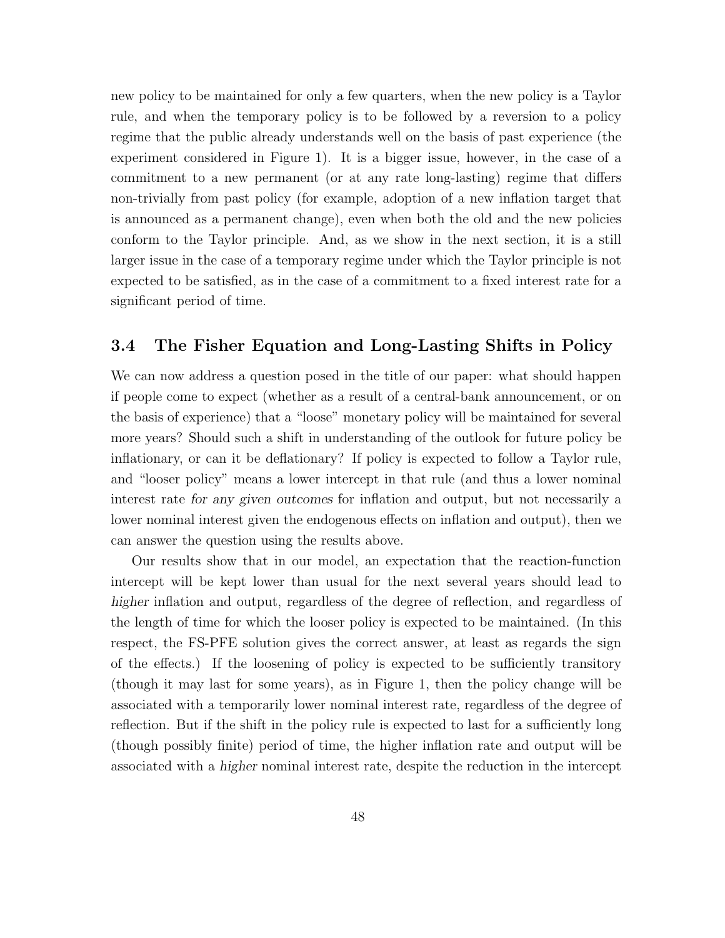new policy to be maintained for only a few quarters, when the new policy is a Taylor rule, and when the temporary policy is to be followed by a reversion to a policy regime that the public already understands well on the basis of past experience (the experiment considered in Figure 1). It is a bigger issue, however, in the case of a commitment to a new permanent (or at any rate long-lasting) regime that differs non-trivially from past policy (for example, adoption of a new inflation target that is announced as a permanent change), even when both the old and the new policies conform to the Taylor principle. And, as we show in the next section, it is a still larger issue in the case of a temporary regime under which the Taylor principle is not expected to be satisfied, as in the case of a commitment to a fixed interest rate for a significant period of time.

#### 3.4 The Fisher Equation and Long-Lasting Shifts in Policy

We can now address a question posed in the title of our paper: what should happen if people come to expect (whether as a result of a central-bank announcement, or on the basis of experience) that a "loose" monetary policy will be maintained for several more years? Should such a shift in understanding of the outlook for future policy be inflationary, or can it be deflationary? If policy is expected to follow a Taylor rule, and "looser policy" means a lower intercept in that rule (and thus a lower nominal interest rate for any given outcomes for inflation and output, but not necessarily a lower nominal interest given the endogenous effects on inflation and output), then we can answer the question using the results above.

Our results show that in our model, an expectation that the reaction-function intercept will be kept lower than usual for the next several years should lead to higher inflation and output, regardless of the degree of reflection, and regardless of the length of time for which the looser policy is expected to be maintained. (In this respect, the FS-PFE solution gives the correct answer, at least as regards the sign of the effects.) If the loosening of policy is expected to be sufficiently transitory (though it may last for some years), as in Figure 1, then the policy change will be associated with a temporarily lower nominal interest rate, regardless of the degree of reflection. But if the shift in the policy rule is expected to last for a sufficiently long (though possibly finite) period of time, the higher inflation rate and output will be associated with a higher nominal interest rate, despite the reduction in the intercept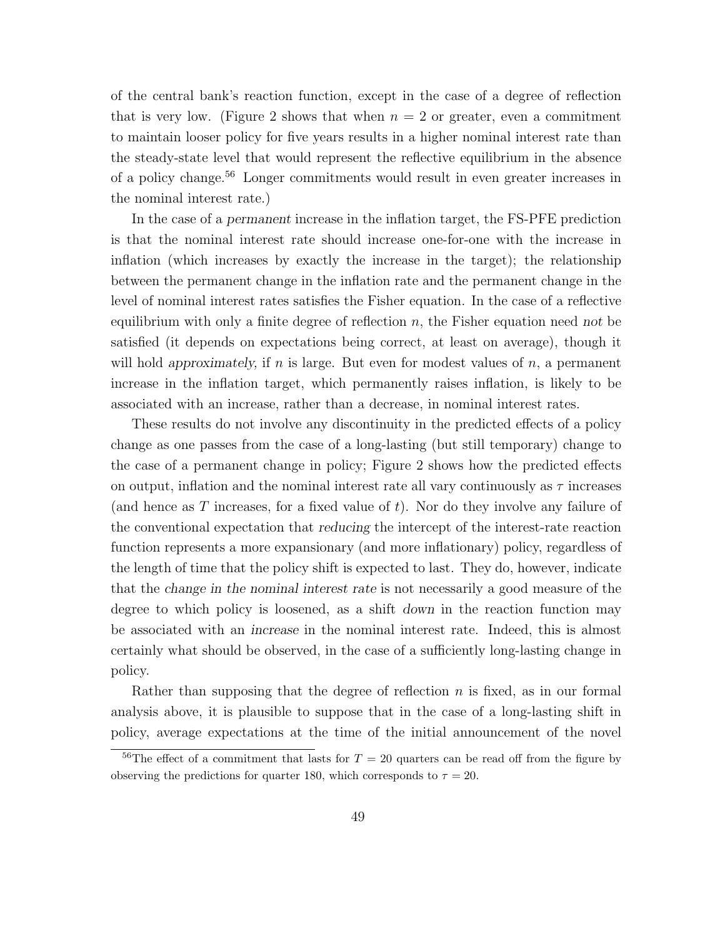of the central bank's reaction function, except in the case of a degree of reflection that is very low. (Figure 2 shows that when  $n = 2$  or greater, even a commitment to maintain looser policy for five years results in a higher nominal interest rate than the steady-state level that would represent the reflective equilibrium in the absence of a policy change.<sup>56</sup> Longer commitments would result in even greater increases in the nominal interest rate.)

In the case of a permanent increase in the inflation target, the FS-PFE prediction is that the nominal interest rate should increase one-for-one with the increase in inflation (which increases by exactly the increase in the target); the relationship between the permanent change in the inflation rate and the permanent change in the level of nominal interest rates satisfies the Fisher equation. In the case of a reflective equilibrium with only a finite degree of reflection  $n$ , the Fisher equation need not be satisfied (it depends on expectations being correct, at least on average), though it will hold approximately, if  $n$  is large. But even for modest values of  $n$ , a permanent increase in the inflation target, which permanently raises inflation, is likely to be associated with an increase, rather than a decrease, in nominal interest rates.

These results do not involve any discontinuity in the predicted effects of a policy change as one passes from the case of a long-lasting (but still temporary) change to the case of a permanent change in policy; Figure 2 shows how the predicted effects on output, inflation and the nominal interest rate all vary continuously as  $\tau$  increases (and hence as  $T$  increases, for a fixed value of  $t$ ). Nor do they involve any failure of the conventional expectation that reducing the intercept of the interest-rate reaction function represents a more expansionary (and more inflationary) policy, regardless of the length of time that the policy shift is expected to last. They do, however, indicate that the change in the nominal interest rate is not necessarily a good measure of the degree to which policy is loosened, as a shift down in the reaction function may be associated with an increase in the nominal interest rate. Indeed, this is almost certainly what should be observed, in the case of a sufficiently long-lasting change in policy.

Rather than supposing that the degree of reflection  $n$  is fixed, as in our formal analysis above, it is plausible to suppose that in the case of a long-lasting shift in policy, average expectations at the time of the initial announcement of the novel

<sup>&</sup>lt;sup>56</sup>The effect of a commitment that lasts for  $T = 20$  quarters can be read off from the figure by observing the predictions for quarter 180, which corresponds to  $\tau = 20$ .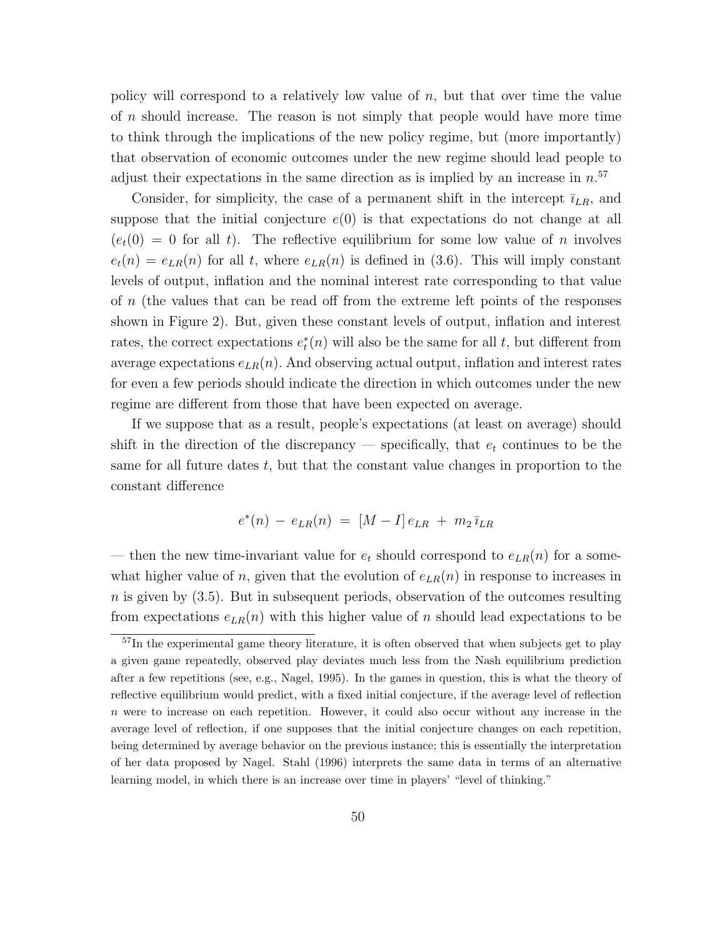policy will correspond to a relatively low value of  $n$ , but that over time the value of n should increase. The reason is not simply that people would have more time to think through the implications of the new policy regime, but (more importantly) that observation of economic outcomes under the new regime should lead people to adjust their expectations in the same direction as is implied by an increase in  $n<sup>.57</sup>$ 

Consider, for simplicity, the case of a permanent shift in the intercept  $\bar{\imath}_{LR}$ , and suppose that the initial conjecture  $e(0)$  is that expectations do not change at all  $(e_t(0) = 0$  for all t). The reflective equilibrium for some low value of n involves  $e_t(n) = e_{LR}(n)$  for all t, where  $e_{LR}(n)$  is defined in (3.6). This will imply constant levels of output, inflation and the nominal interest rate corresponding to that value of n (the values that can be read off from the extreme left points of the responses shown in Figure 2). But, given these constant levels of output, inflation and interest rates, the correct expectations  $e_t^*(n)$  will also be the same for all t, but different from average expectations  $e_{LR}(n)$ . And observing actual output, inflation and interest rates for even a few periods should indicate the direction in which outcomes under the new regime are different from those that have been expected on average.

If we suppose that as a result, people's expectations (at least on average) should shift in the direction of the discrepancy — specifically, that  $e_t$  continues to be the same for all future dates t, but that the constant value changes in proportion to the constant difference

$$
e^*(n) - e_{LR}(n) = [M - I] e_{LR} + m_2 \bar{\imath}_{LR}
$$

— then the new time-invariant value for  $e_t$  should correspond to  $e_{LR}(n)$  for a somewhat higher value of n, given that the evolution of  $e_{LR}(n)$  in response to increases in  $n$  is given by  $(3.5)$ . But in subsequent periods, observation of the outcomes resulting from expectations  $e_{LR}(n)$  with this higher value of n should lead expectations to be

<sup>&</sup>lt;sup>57</sup>In the experimental game theory literature, it is often observed that when subjects get to play a given game repeatedly, observed play deviates much less from the Nash equilibrium prediction after a few repetitions (see, e.g., Nagel, 1995). In the games in question, this is what the theory of reflective equilibrium would predict, with a fixed initial conjecture, if the average level of reflection  $n$  were to increase on each repetition. However, it could also occur without any increase in the average level of reflection, if one supposes that the initial conjecture changes on each repetition, being determined by average behavior on the previous instance; this is essentially the interpretation of her data proposed by Nagel. Stahl (1996) interprets the same data in terms of an alternative learning model, in which there is an increase over time in players' "level of thinking."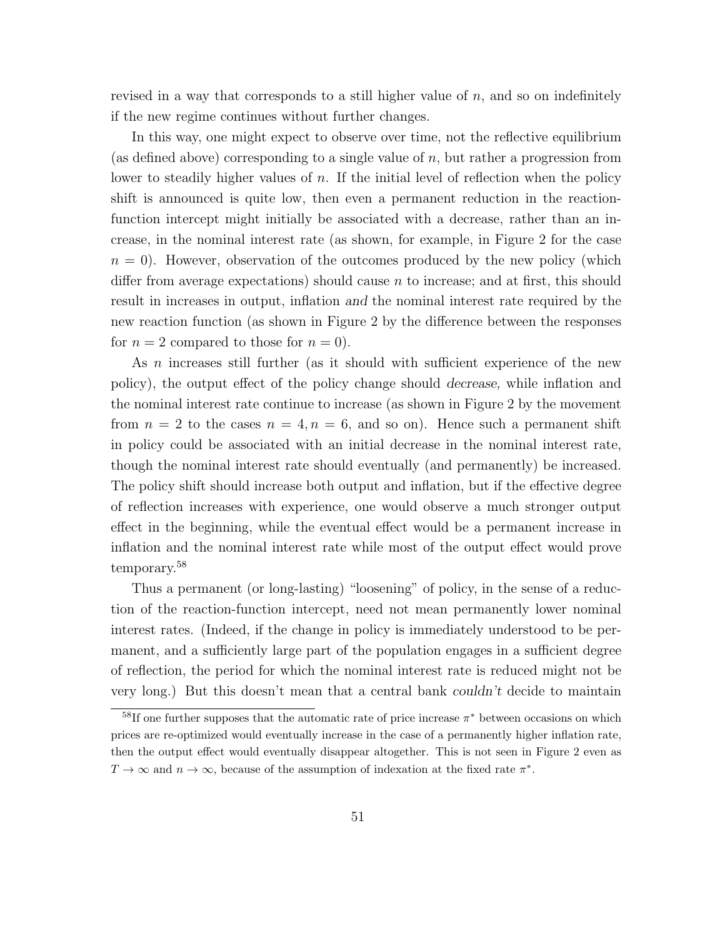revised in a way that corresponds to a still higher value of  $n$ , and so on indefinitely if the new regime continues without further changes.

In this way, one might expect to observe over time, not the reflective equilibrium (as defined above) corresponding to a single value of  $n$ , but rather a progression from lower to steadily higher values of n. If the initial level of reflection when the policy shift is announced is quite low, then even a permanent reduction in the reactionfunction intercept might initially be associated with a decrease, rather than an increase, in the nominal interest rate (as shown, for example, in Figure 2 for the case  $n = 0$ ). However, observation of the outcomes produced by the new policy (which differ from average expectations) should cause  $n$  to increase; and at first, this should result in increases in output, inflation and the nominal interest rate required by the new reaction function (as shown in Figure 2 by the difference between the responses for  $n = 2$  compared to those for  $n = 0$ ).

As *n* increases still further (as it should with sufficient experience of the new policy), the output effect of the policy change should decrease, while inflation and the nominal interest rate continue to increase (as shown in Figure 2 by the movement from  $n = 2$  to the cases  $n = 4, n = 6$ , and so on). Hence such a permanent shift in policy could be associated with an initial decrease in the nominal interest rate, though the nominal interest rate should eventually (and permanently) be increased. The policy shift should increase both output and inflation, but if the effective degree of reflection increases with experience, one would observe a much stronger output effect in the beginning, while the eventual effect would be a permanent increase in inflation and the nominal interest rate while most of the output effect would prove temporary.<sup>58</sup>

Thus a permanent (or long-lasting) "loosening" of policy, in the sense of a reduction of the reaction-function intercept, need not mean permanently lower nominal interest rates. (Indeed, if the change in policy is immediately understood to be permanent, and a sufficiently large part of the population engages in a sufficient degree of reflection, the period for which the nominal interest rate is reduced might not be very long.) But this doesn't mean that a central bank couldn't decide to maintain

<sup>&</sup>lt;sup>58</sup>If one further supposes that the automatic rate of price increase  $\pi^*$  between occasions on which prices are re-optimized would eventually increase in the case of a permanently higher inflation rate, then the output effect would eventually disappear altogether. This is not seen in Figure 2 even as  $T \to \infty$  and  $n \to \infty$ , because of the assumption of indexation at the fixed rate  $\pi^*$ .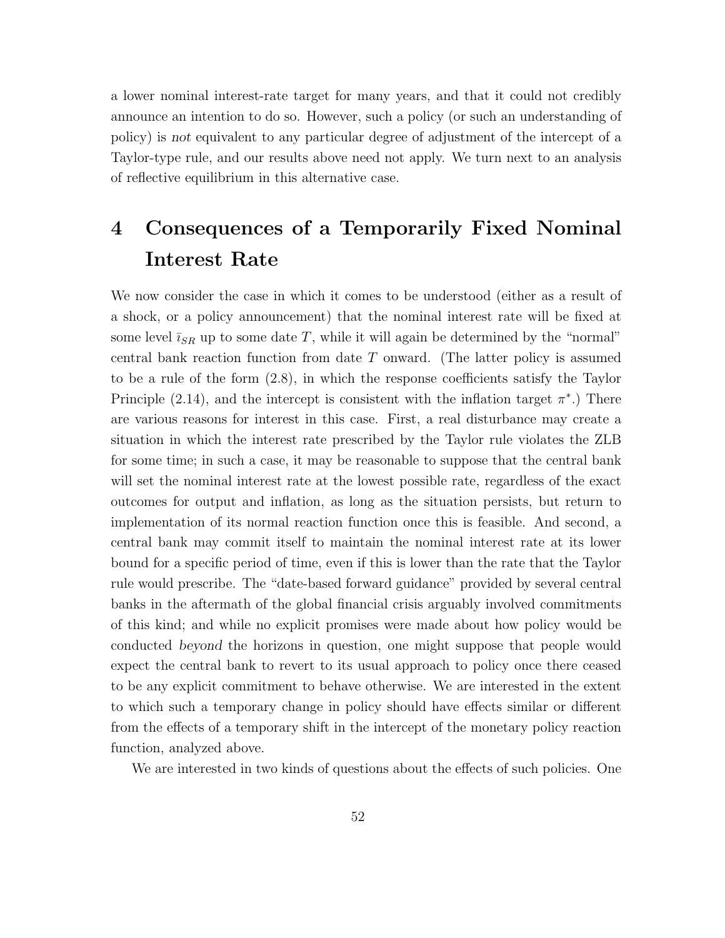a lower nominal interest-rate target for many years, and that it could not credibly announce an intention to do so. However, such a policy (or such an understanding of policy) is not equivalent to any particular degree of adjustment of the intercept of a Taylor-type rule, and our results above need not apply. We turn next to an analysis of reflective equilibrium in this alternative case.

# 4 Consequences of a Temporarily Fixed Nominal Interest Rate

We now consider the case in which it comes to be understood (either as a result of a shock, or a policy announcement) that the nominal interest rate will be fixed at some level  $\bar{\imath}_{SR}$  up to some date T, while it will again be determined by the "normal" central bank reaction function from date T onward. (The latter policy is assumed to be a rule of the form (2.8), in which the response coefficients satisfy the Taylor Principle (2.14), and the intercept is consistent with the inflation target  $\pi^*$ .) There are various reasons for interest in this case. First, a real disturbance may create a situation in which the interest rate prescribed by the Taylor rule violates the ZLB for some time; in such a case, it may be reasonable to suppose that the central bank will set the nominal interest rate at the lowest possible rate, regardless of the exact outcomes for output and inflation, as long as the situation persists, but return to implementation of its normal reaction function once this is feasible. And second, a central bank may commit itself to maintain the nominal interest rate at its lower bound for a specific period of time, even if this is lower than the rate that the Taylor rule would prescribe. The "date-based forward guidance" provided by several central banks in the aftermath of the global financial crisis arguably involved commitments of this kind; and while no explicit promises were made about how policy would be conducted beyond the horizons in question, one might suppose that people would expect the central bank to revert to its usual approach to policy once there ceased to be any explicit commitment to behave otherwise. We are interested in the extent to which such a temporary change in policy should have effects similar or different from the effects of a temporary shift in the intercept of the monetary policy reaction function, analyzed above.

We are interested in two kinds of questions about the effects of such policies. One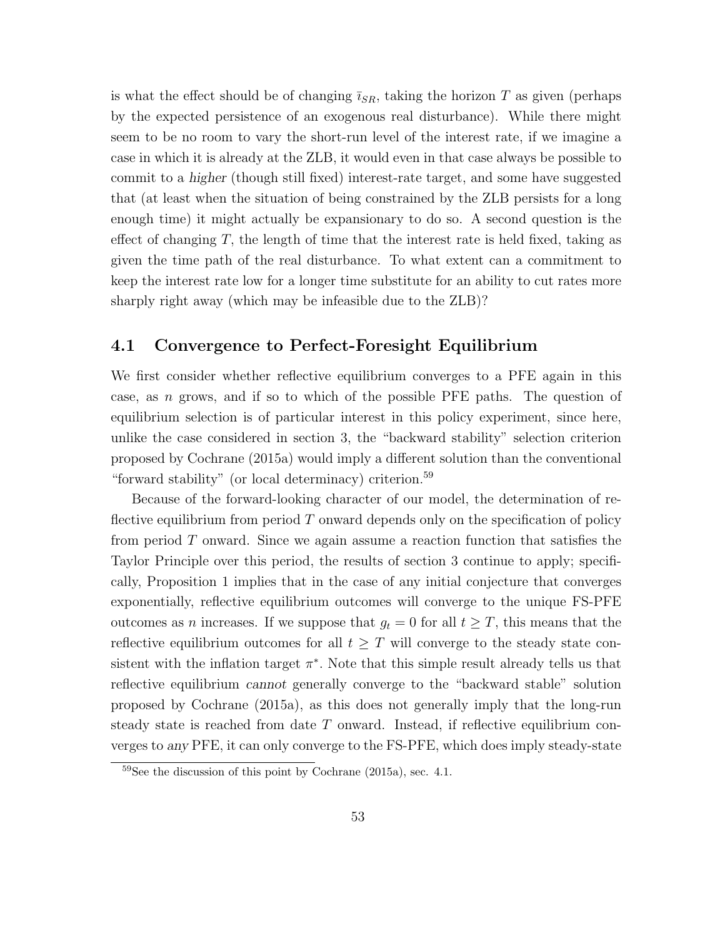is what the effect should be of changing  $\bar{\imath}_{SR}$ , taking the horizon T as given (perhaps by the expected persistence of an exogenous real disturbance). While there might seem to be no room to vary the short-run level of the interest rate, if we imagine a case in which it is already at the ZLB, it would even in that case always be possible to commit to a higher (though still fixed) interest-rate target, and some have suggested that (at least when the situation of being constrained by the ZLB persists for a long enough time) it might actually be expansionary to do so. A second question is the effect of changing  $T$ , the length of time that the interest rate is held fixed, taking as given the time path of the real disturbance. To what extent can a commitment to keep the interest rate low for a longer time substitute for an ability to cut rates more sharply right away (which may be infeasible due to the ZLB)?

#### 4.1 Convergence to Perfect-Foresight Equilibrium

We first consider whether reflective equilibrium converges to a PFE again in this case, as n grows, and if so to which of the possible PFE paths. The question of equilibrium selection is of particular interest in this policy experiment, since here, unlike the case considered in section 3, the "backward stability" selection criterion proposed by Cochrane (2015a) would imply a different solution than the conventional "forward stability" (or local determinacy) criterion.<sup>59</sup>

Because of the forward-looking character of our model, the determination of reflective equilibrium from period  $T$  onward depends only on the specification of policy from period T onward. Since we again assume a reaction function that satisfies the Taylor Principle over this period, the results of section 3 continue to apply; specifically, Proposition 1 implies that in the case of any initial conjecture that converges exponentially, reflective equilibrium outcomes will converge to the unique FS-PFE outcomes as *n* increases. If we suppose that  $g_t = 0$  for all  $t \geq T$ , this means that the reflective equilibrium outcomes for all  $t \geq T$  will converge to the steady state consistent with the inflation target  $\pi^*$ . Note that this simple result already tells us that reflective equilibrium cannot generally converge to the "backward stable" solution proposed by Cochrane (2015a), as this does not generally imply that the long-run steady state is reached from date T onward. Instead, if reflective equilibrium converges to any PFE, it can only converge to the FS-PFE, which does imply steady-state

 $59$ See the discussion of this point by Cochrane  $(2015a)$ , sec. 4.1.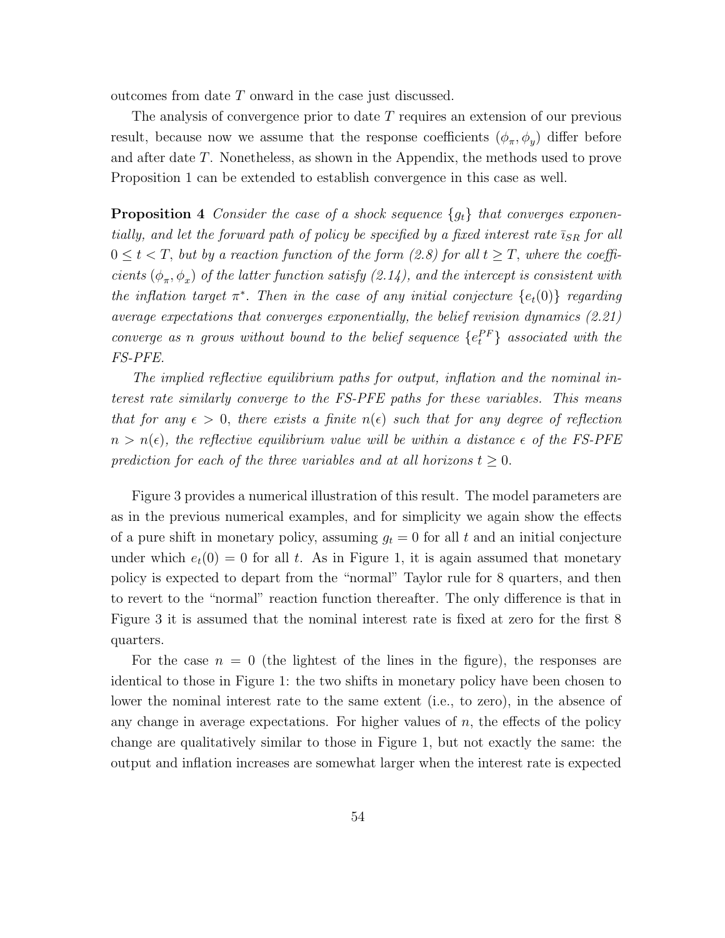outcomes from date T onward in the case just discussed.

The analysis of convergence prior to date  $T$  requires an extension of our previous result, because now we assume that the response coefficients  $(\phi_{\pi}, \phi_y)$  differ before and after date T. Nonetheless, as shown in the Appendix, the methods used to prove Proposition 1 can be extended to establish convergence in this case as well.

**Proposition 4** Consider the case of a shock sequence  $\{g_t\}$  that converges exponentially, and let the forward path of policy be specified by a fixed interest rate  $\bar{\iota}_{SR}$  for all  $0 \leq t < T$ , but by a reaction function of the form (2.8) for all  $t \geq T$ , where the coefficients  $(\phi_{\pi}, \phi_{x})$  of the latter function satisfy (2.14), and the intercept is consistent with the inflation target  $\pi^*$ . Then in the case of any initial conjecture  $\{e_t(0)\}$  regarding average expectations that converges exponentially, the belief revision dynamics (2.21) converge as n grows without bound to the belief sequence  $\{e_t^{PF}\}$  associated with the FS-PFE.

The implied reflective equilibrium paths for output, inflation and the nominal interest rate similarly converge to the FS-PFE paths for these variables. This means that for any  $\epsilon > 0$ , there exists a finite  $n(\epsilon)$  such that for any degree of reflection  $n > n(\epsilon)$ , the reflective equilibrium value will be within a distance  $\epsilon$  of the FS-PFE prediction for each of the three variables and at all horizons  $t \geq 0$ .

Figure 3 provides a numerical illustration of this result. The model parameters are as in the previous numerical examples, and for simplicity we again show the effects of a pure shift in monetary policy, assuming  $g_t = 0$  for all t and an initial conjecture under which  $e_t(0) = 0$  for all t. As in Figure 1, it is again assumed that monetary policy is expected to depart from the "normal" Taylor rule for 8 quarters, and then to revert to the "normal" reaction function thereafter. The only difference is that in Figure 3 it is assumed that the nominal interest rate is fixed at zero for the first 8 quarters.

For the case  $n = 0$  (the lightest of the lines in the figure), the responses are identical to those in Figure 1: the two shifts in monetary policy have been chosen to lower the nominal interest rate to the same extent (i.e., to zero), in the absence of any change in average expectations. For higher values of  $n$ , the effects of the policy change are qualitatively similar to those in Figure 1, but not exactly the same: the output and inflation increases are somewhat larger when the interest rate is expected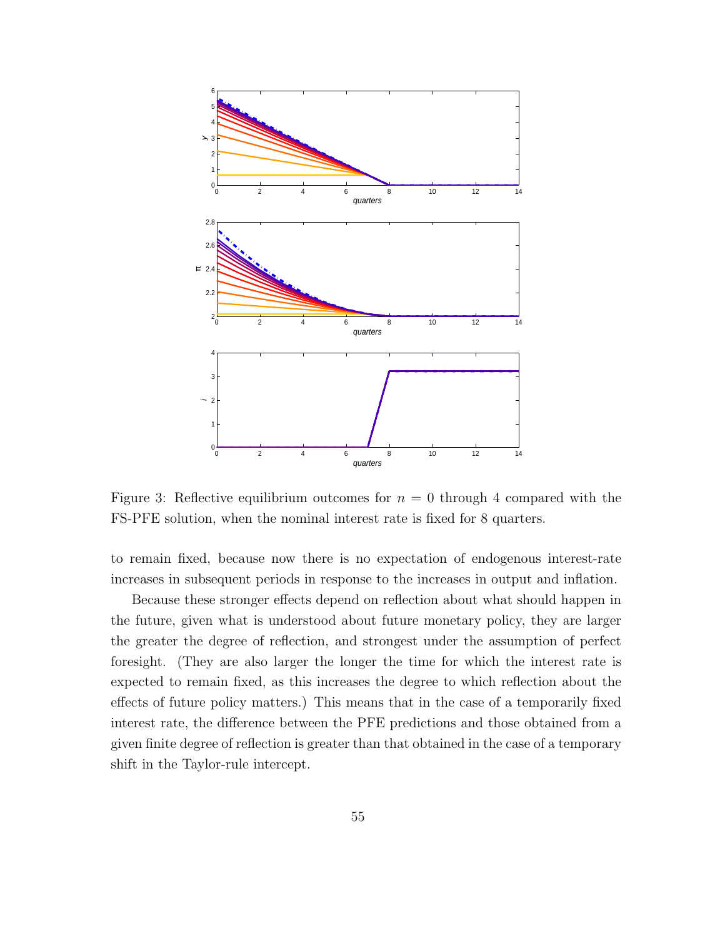

Figure 3: Reflective equilibrium outcomes for  $n = 0$  through 4 compared with the FS-PFE solution, when the nominal interest rate is fixed for 8 quarters.

to remain fixed, because now there is no expectation of endogenous interest-rate increases in subsequent periods in response to the increases in output and inflation.

given finite degree of reflection is greater than that obtained in the case of a temporary Because these stronger effects depend on reflection about what should happen in the future, given what is understood about future monetary policy, they are larger the greater the degree of reflection, and strongest under the assumption of perfect foresight. (They are also larger the longer the time for which the interest rate is expected to remain fixed, as this increases the degree to which reflection about the effects of future policy matters.) This means that in the case of a temporarily fixed interest rate, the difference between the PFE predictions and those obtained from a shift in the Taylor-rule intercept.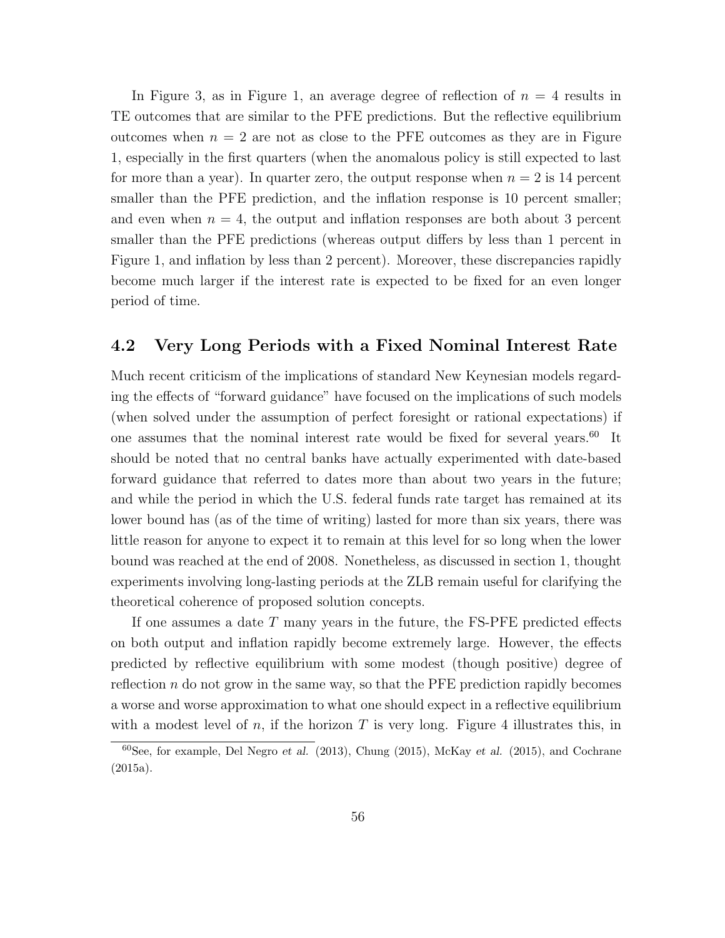In Figure 3, as in Figure 1, an average degree of reflection of  $n = 4$  results in TE outcomes that are similar to the PFE predictions. But the reflective equilibrium outcomes when  $n = 2$  are not as close to the PFE outcomes as they are in Figure 1, especially in the first quarters (when the anomalous policy is still expected to last for more than a year). In quarter zero, the output response when  $n = 2$  is 14 percent smaller than the PFE prediction, and the inflation response is 10 percent smaller; and even when  $n = 4$ , the output and inflation responses are both about 3 percent smaller than the PFE predictions (whereas output differs by less than 1 percent in Figure 1, and inflation by less than 2 percent). Moreover, these discrepancies rapidly become much larger if the interest rate is expected to be fixed for an even longer period of time.

#### 4.2 Very Long Periods with a Fixed Nominal Interest Rate

Much recent criticism of the implications of standard New Keynesian models regarding the effects of "forward guidance" have focused on the implications of such models (when solved under the assumption of perfect foresight or rational expectations) if one assumes that the nominal interest rate would be fixed for several years.<sup>60</sup> It should be noted that no central banks have actually experimented with date-based forward guidance that referred to dates more than about two years in the future; and while the period in which the U.S. federal funds rate target has remained at its lower bound has (as of the time of writing) lasted for more than six years, there was little reason for anyone to expect it to remain at this level for so long when the lower bound was reached at the end of 2008. Nonetheless, as discussed in section 1, thought experiments involving long-lasting periods at the ZLB remain useful for clarifying the theoretical coherence of proposed solution concepts.

If one assumes a date T many years in the future, the FS-PFE predicted effects on both output and inflation rapidly become extremely large. However, the effects predicted by reflective equilibrium with some modest (though positive) degree of reflection  $n$  do not grow in the same way, so that the PFE prediction rapidly becomes a worse and worse approximation to what one should expect in a reflective equilibrium with a modest level of n, if the horizon  $T$  is very long. Figure 4 illustrates this, in

 $60$ See, for example, Del Negro et al. (2013), Chung (2015), McKay et al. (2015), and Cochrane (2015a).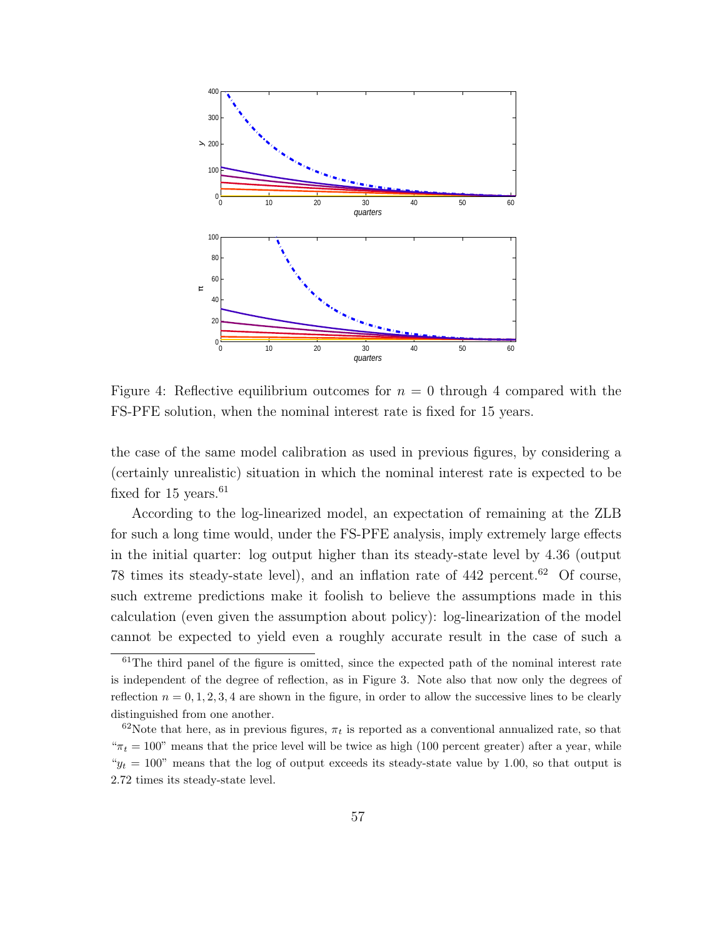

Figure 4: Reflective equilibrium outcomes for  $n = 0$  through 4 compared with the FS-PFE solution, when the nominal interest rate is fixed for 15 years.

the case of the same model calibration as used in previous figures, by considering a (certainly unrealistic) situation in which the nominal interest rate is expected to be fixed for  $15$  years.<sup>61</sup>

According to the log-linearized model, an expectation of remaining at the ZLB for such a long time would, under the FS-PFE analysis, imply extremely large effects in the initial quarter: log output higher than its steady-state level by 4.36 (output 78 times its steady-state level), and an inflation rate of  $442$  percent.<sup>62</sup> Of course, such extreme predictions make it foolish to believe the assumptions made in this calculation (even given the assumption about policy): log-linearization of the model cannot be expected to yield even a roughly accurate result in the case of such a

 $\overline{61}$ The third panel of the figure is omitted, since the expected path of the nominal interest rate is independent of the degree of reflection, as in Figure 3. Note also that now only the degrees of reflection  $n = 0, 1, 2, 3, 4$  are shown in the figure, in order to allow the successive lines to be clearly distinguished from one another.

<sup>&</sup>lt;sup>62</sup>Note that here, as in previous figures,  $\pi_t$  is reported as a conventional annualized rate, so that " $\pi_t = 100$ " means that the price level will be twice as high (100 percent greater) after a year, while " $y_t = 100$ " means that the log of output exceeds its steady-state value by 1.00, so that output is 2.72 times its steady-state level.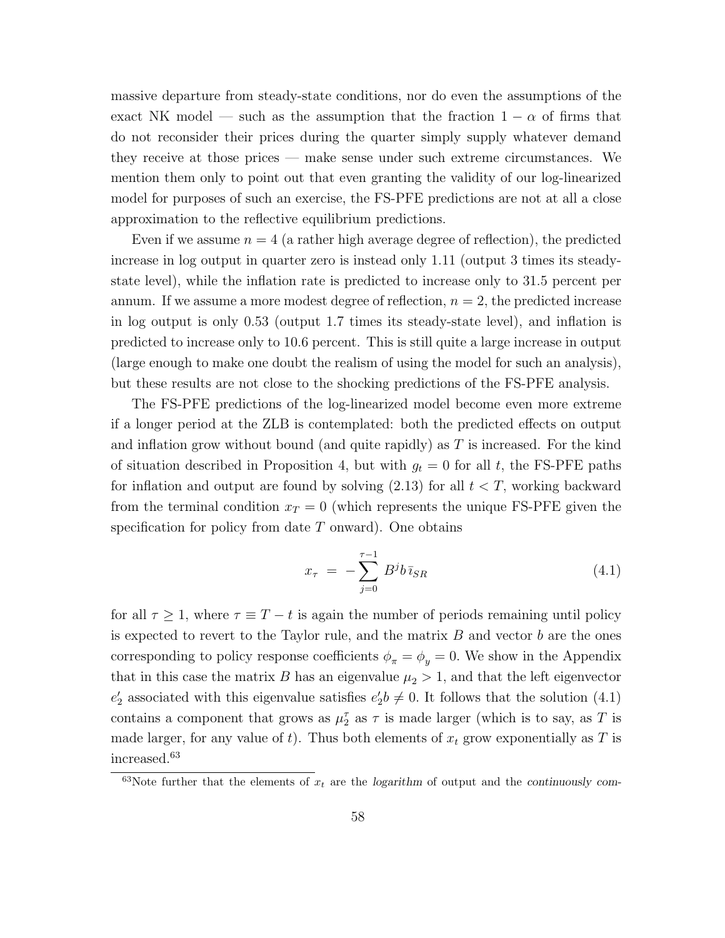massive departure from steady-state conditions, nor do even the assumptions of the exact NK model — such as the assumption that the fraction  $1 - \alpha$  of firms that do not reconsider their prices during the quarter simply supply whatever demand they receive at those prices — make sense under such extreme circumstances. We mention them only to point out that even granting the validity of our log-linearized model for purposes of such an exercise, the FS-PFE predictions are not at all a close approximation to the reflective equilibrium predictions.

Even if we assume  $n = 4$  (a rather high average degree of reflection), the predicted increase in log output in quarter zero is instead only 1.11 (output 3 times its steadystate level), while the inflation rate is predicted to increase only to 31.5 percent per annum. If we assume a more modest degree of reflection,  $n = 2$ , the predicted increase in log output is only 0.53 (output 1.7 times its steady-state level), and inflation is predicted to increase only to 10.6 percent. This is still quite a large increase in output (large enough to make one doubt the realism of using the model for such an analysis), but these results are not close to the shocking predictions of the FS-PFE analysis.

The FS-PFE predictions of the log-linearized model become even more extreme if a longer period at the ZLB is contemplated: both the predicted effects on output and inflation grow without bound (and quite rapidly) as  $T$  is increased. For the kind of situation described in Proposition 4, but with  $g_t = 0$  for all t, the FS-PFE paths for inflation and output are found by solving  $(2.13)$  for all  $t < T$ , working backward from the terminal condition  $x_T = 0$  (which represents the unique FS-PFE given the specification for policy from date  $T$  onward). One obtains

$$
x_{\tau} = -\sum_{j=0}^{\tau-1} B^j b \bar{\imath}_{SR} \tag{4.1}
$$

for all  $\tau \geq 1$ , where  $\tau \equiv T - t$  is again the number of periods remaining until policy is expected to revert to the Taylor rule, and the matrix  $B$  and vector  $b$  are the ones corresponding to policy response coefficients  $\phi_{\pi} = \phi_y = 0$ . We show in the Appendix that in this case the matrix B has an eigenvalue  $\mu_2 > 1$ , and that the left eigenvector  $e'_2$  associated with this eigenvalue satisfies  $e'_2b \neq 0$ . It follows that the solution (4.1) contains a component that grows as  $\mu_2^{\tau}$  as  $\tau$  is made larger (which is to say, as T is made larger, for any value of t). Thus both elements of  $x_t$  grow exponentially as T is increased.<sup>63</sup>

<sup>&</sup>lt;sup>63</sup>Note further that the elements of  $x_t$  are the logarithm of output and the continuously com-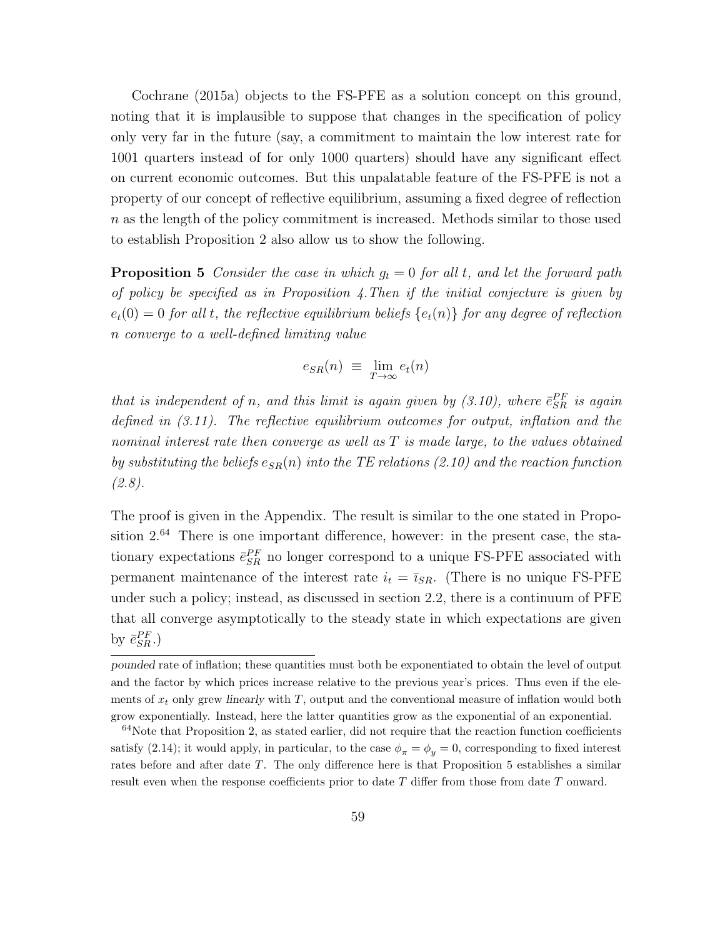Cochrane (2015a) objects to the FS-PFE as a solution concept on this ground, noting that it is implausible to suppose that changes in the specification of policy only very far in the future (say, a commitment to maintain the low interest rate for 1001 quarters instead of for only 1000 quarters) should have any significant effect on current economic outcomes. But this unpalatable feature of the FS-PFE is not a property of our concept of reflective equilibrium, assuming a fixed degree of reflection  $n$  as the length of the policy commitment is increased. Methods similar to those used to establish Proposition 2 also allow us to show the following.

**Proposition 5** Consider the case in which  $g_t = 0$  for all t, and let the forward path of policy be specified as in Proposition 4.Then if the initial conjecture is given by  $e_t(0) = 0$  for all t, the reflective equilibrium beliefs  $\{e_t(n)\}\$  for any degree of reflection n converge to a well-defined limiting value

$$
e_{SR}(n) \equiv \lim_{T \to \infty} e_t(n)
$$

that is independent of n, and this limit is again given by  $(3.10)$ , where  $\bar{e}^{PF}_{SR}$  is again defined in (3.11). The reflective equilibrium outcomes for output, inflation and the nominal interest rate then converge as well as T is made large, to the values obtained by substituting the beliefs  $e_{SR}(n)$  into the TE relations (2.10) and the reaction function (2.8).

The proof is given in the Appendix. The result is similar to the one stated in Proposition  $2^{64}$  There is one important difference, however: in the present case, the stationary expectations  $\bar{e}_{SR}^{PF}$  no longer correspond to a unique FS-PFE associated with permanent maintenance of the interest rate  $i_t = \bar{i}_{SR}$ . (There is no unique FS-PFE under such a policy; instead, as discussed in section 2.2, there is a continuum of PFE that all converge asymptotically to the steady state in which expectations are given by  $\bar{e}_{SR}^{PF}$ .)

pounded rate of inflation; these quantities must both be exponentiated to obtain the level of output and the factor by which prices increase relative to the previous year's prices. Thus even if the elements of  $x_t$  only grew linearly with T, output and the conventional measure of inflation would both grow exponentially. Instead, here the latter quantities grow as the exponential of an exponential.

 $64$ Note that Proposition 2, as stated earlier, did not require that the reaction function coefficients satisfy (2.14); it would apply, in particular, to the case  $\phi_{\pi} = \phi_y = 0$ , corresponding to fixed interest rates before and after date T. The only difference here is that Proposition 5 establishes a similar result even when the response coefficients prior to date T differ from those from date T onward.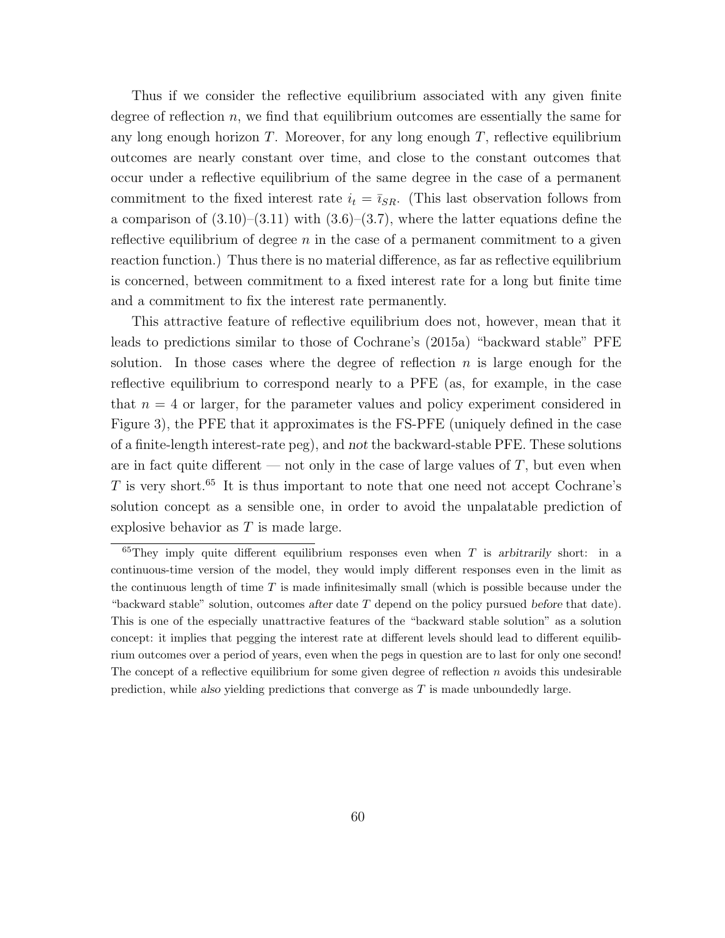Thus if we consider the reflective equilibrium associated with any given finite degree of reflection  $n$ , we find that equilibrium outcomes are essentially the same for any long enough horizon  $T$ . Moreover, for any long enough  $T$ , reflective equilibrium outcomes are nearly constant over time, and close to the constant outcomes that occur under a reflective equilibrium of the same degree in the case of a permanent commitment to the fixed interest rate  $i_t = \bar{i}_{SR}$ . (This last observation follows from a comparison of  $(3.10)$ – $(3.11)$  with  $(3.6)$ – $(3.7)$ , where the latter equations define the reflective equilibrium of degree  $n$  in the case of a permanent commitment to a given reaction function.) Thus there is no material difference, as far as reflective equilibrium is concerned, between commitment to a fixed interest rate for a long but finite time and a commitment to fix the interest rate permanently.

This attractive feature of reflective equilibrium does not, however, mean that it leads to predictions similar to those of Cochrane's (2015a) "backward stable" PFE solution. In those cases where the degree of reflection  $n$  is large enough for the reflective equilibrium to correspond nearly to a PFE (as, for example, in the case that  $n = 4$  or larger, for the parameter values and policy experiment considered in Figure 3), the PFE that it approximates is the FS-PFE (uniquely defined in the case of a finite-length interest-rate peg), and not the backward-stable PFE. These solutions are in fact quite different — not only in the case of large values of  $T$ , but even when  $T$  is very short.<sup>65</sup> It is thus important to note that one need not accept Cochrane's solution concept as a sensible one, in order to avoid the unpalatable prediction of explosive behavior as  $T$  is made large.

 $65$ They imply quite different equilibrium responses even when T is arbitrarily short: in a continuous-time version of the model, they would imply different responses even in the limit as the continuous length of time  $T$  is made infinitesimally small (which is possible because under the "backward stable" solution, outcomes after date  $T$  depend on the policy pursued before that date). This is one of the especially unattractive features of the "backward stable solution" as a solution concept: it implies that pegging the interest rate at different levels should lead to different equilibrium outcomes over a period of years, even when the pegs in question are to last for only one second! The concept of a reflective equilibrium for some given degree of reflection  $n$  avoids this undesirable prediction, while also yielding predictions that converge as  $T$  is made unboundedly large.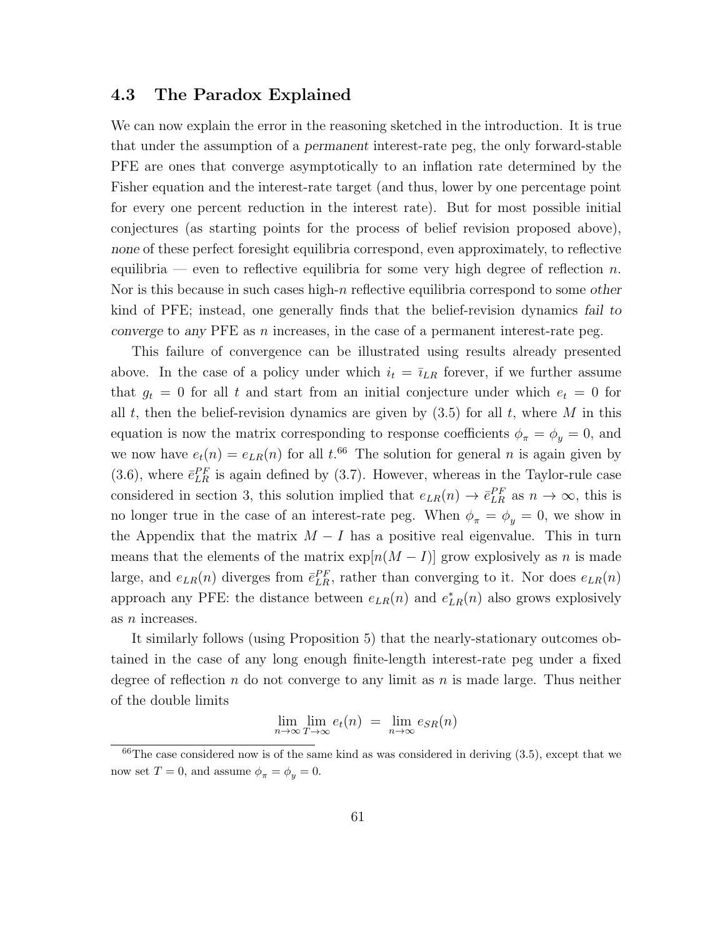#### 4.3 The Paradox Explained

We can now explain the error in the reasoning sketched in the introduction. It is true that under the assumption of a permanent interest-rate peg, the only forward-stable PFE are ones that converge asymptotically to an inflation rate determined by the Fisher equation and the interest-rate target (and thus, lower by one percentage point for every one percent reduction in the interest rate). But for most possible initial conjectures (as starting points for the process of belief revision proposed above), none of these perfect foresight equilibria correspond, even approximately, to reflective equilibria — even to reflective equilibria for some very high degree of reflection n. Nor is this because in such cases high-n reflective equilibria correspond to some other kind of PFE; instead, one generally finds that the belief-revision dynamics fail to converge to any PFE as  $n$  increases, in the case of a permanent interest-rate peg.

This failure of convergence can be illustrated using results already presented above. In the case of a policy under which  $i_t = \bar{i}_{LR}$  forever, if we further assume that  $g_t = 0$  for all t and start from an initial conjecture under which  $e_t = 0$  for all t, then the belief-revision dynamics are given by  $(3.5)$  for all t, where M in this equation is now the matrix corresponding to response coefficients  $\phi_{\pi} = \phi_{y} = 0$ , and we now have  $e_t(n) = e_{LR}(n)$  for all  $t^{66}$ . The solution for general n is again given by (3.6), where  $\bar{e}_{LR}^{PF}$  is again defined by (3.7). However, whereas in the Taylor-rule case considered in section 3, this solution implied that  $e_{LR}(n) \to \bar{e}_{LR}^{PF}$  as  $n \to \infty$ , this is no longer true in the case of an interest-rate peg. When  $\phi_{\pi} = \phi_y = 0$ , we show in the Appendix that the matrix  $M - I$  has a positive real eigenvalue. This in turn means that the elements of the matrix  $\exp[n(M - I)]$  grow explosively as n is made large, and  $e_{LR}(n)$  diverges from  $\bar{e}_{LR}^{PF}$ , rather than converging to it. Nor does  $e_{LR}(n)$ approach any PFE: the distance between  $e_{LR}(n)$  and  $e_{LR}^*(n)$  also grows explosively as *n* increases.

It similarly follows (using Proposition 5) that the nearly-stationary outcomes obtained in the case of any long enough finite-length interest-rate peg under a fixed degree of reflection n do not converge to any limit as n is made large. Thus neither of the double limits

$$
\lim_{n \to \infty} \lim_{T \to \infty} e_t(n) = \lim_{n \to \infty} e_{SR}(n)
$$

 $66$ The case considered now is of the same kind as was considered in deriving  $(3.5)$ , except that we now set  $T=0$ , and assume  $\phi_{\pi}=\phi_y=0$ .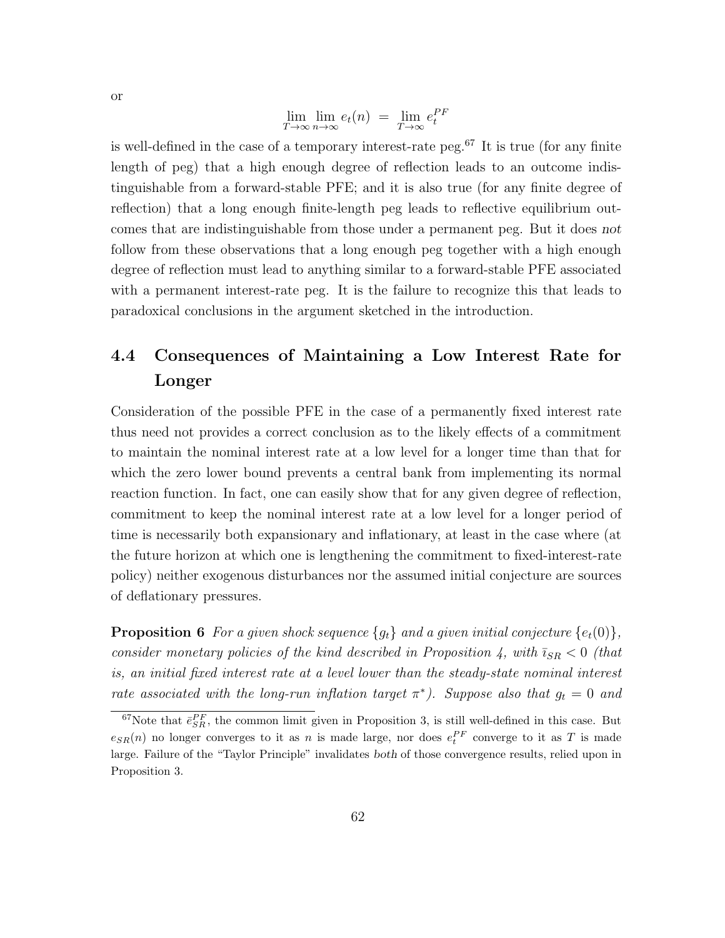$$
\lim_{T \to \infty} \lim_{n \to \infty} e_t(n) = \lim_{T \to \infty} e_t^{PF}
$$

is well-defined in the case of a temporary interest-rate peg.<sup>67</sup> It is true (for any finite length of peg) that a high enough degree of reflection leads to an outcome indistinguishable from a forward-stable PFE; and it is also true (for any finite degree of reflection) that a long enough finite-length peg leads to reflective equilibrium outcomes that are indistinguishable from those under a permanent peg. But it does not follow from these observations that a long enough peg together with a high enough degree of reflection must lead to anything similar to a forward-stable PFE associated with a permanent interest-rate peg. It is the failure to recognize this that leads to paradoxical conclusions in the argument sketched in the introduction.

## 4.4 Consequences of Maintaining a Low Interest Rate for Longer

Consideration of the possible PFE in the case of a permanently fixed interest rate thus need not provides a correct conclusion as to the likely effects of a commitment to maintain the nominal interest rate at a low level for a longer time than that for which the zero lower bound prevents a central bank from implementing its normal reaction function. In fact, one can easily show that for any given degree of reflection, commitment to keep the nominal interest rate at a low level for a longer period of time is necessarily both expansionary and inflationary, at least in the case where (at the future horizon at which one is lengthening the commitment to fixed-interest-rate policy) neither exogenous disturbances nor the assumed initial conjecture are sources of deflationary pressures.

**Proposition 6** For a given shock sequence  $\{g_t\}$  and a given initial conjecture  $\{e_t(0)\}\$ , consider monetary policies of the kind described in Proposition 4, with  $\bar{i}_{SR} < 0$  (that is, an initial fixed interest rate at a level lower than the steady-state nominal interest rate associated with the long-run inflation target  $\pi^*$ ). Suppose also that  $g_t = 0$  and

or

<sup>&</sup>lt;sup>67</sup>Note that  $\bar{e}_{SR}^{PF}$ , the common limit given in Proposition 3, is still well-defined in this case. But  $e_{SR}(n)$  no longer converges to it as n is made large, nor does  $e_t^{PF}$  converge to it as T is made large. Failure of the "Taylor Principle" invalidates both of those convergence results, relied upon in Proposition 3.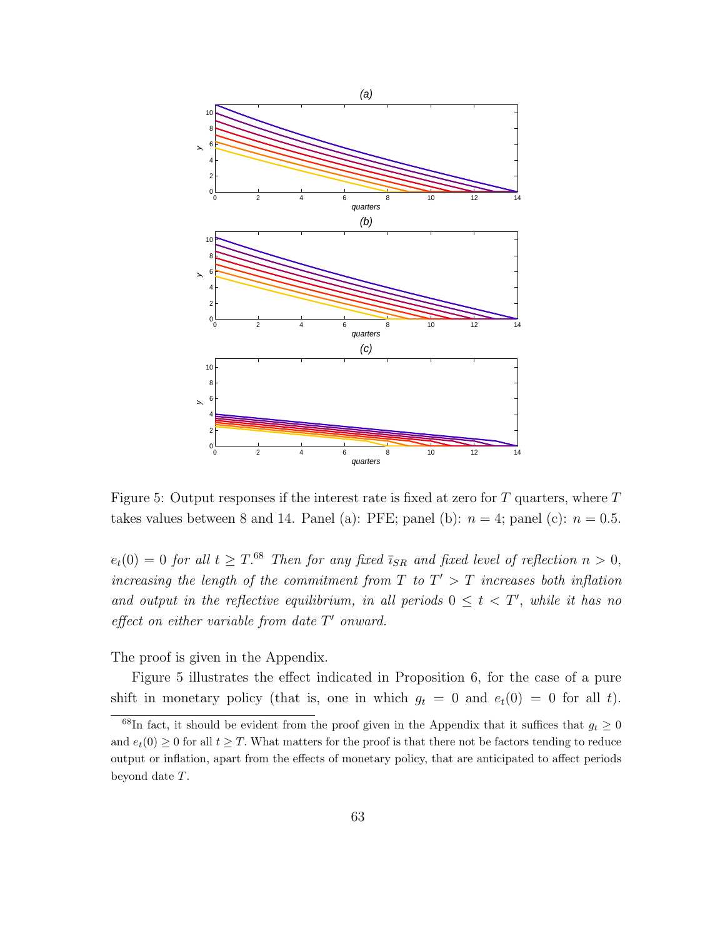

Figure 5: Output responses if the interest rate is fixed at zero for  $T$  quarters, where  $T$ takes values between 8 and 14. Panel (a): PFE; panel (b):  $n = 4$ ; panel (c):  $n = 0.5$ .

 $e_t(0) = 0$  for all  $t \geq T$ .<sup>68</sup> Then for any fixed  $\bar{\iota}_{SR}$  and fixed level of reflection  $n > 0$ , increasing the length of the commitment from T to  $T' > T$  increases both inflation and output in the reflective equilibrium, in all periods  $0 \le t < T'$ , while it has no  $effect$  on either variable from date  $T'$  onward.

The proof is given in the Appendix.

Figure 5 illustrates the effect indicated in Proposition 6, for the case of a pure shift in monetary policy (that is, one in which  $g_t = 0$  and  $e_t(0) = 0$  for all t).

and  $e_t(0) \ge 0$  for all  $t \ge T$ . What matters for the proof is that there not be factors tending to reduce <sup>68</sup>In fact, it should be evident from the proof given in the Appendix that it suffices that  $g_t \ge 0$ output or inflation, apart from the effects of monetary policy, that are anticipated to affect periods beyond date T.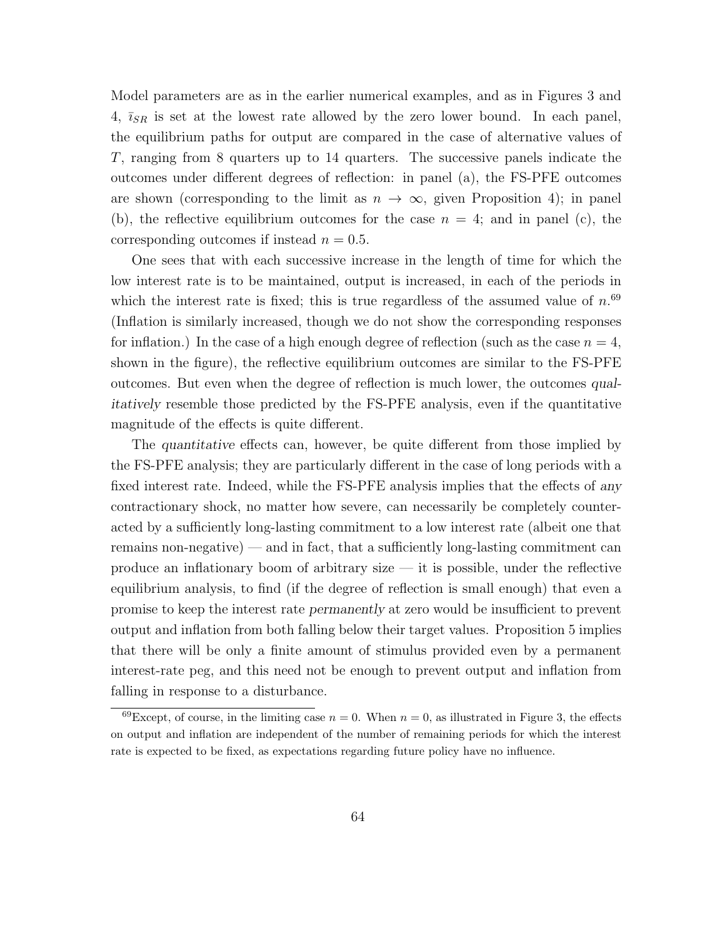Model parameters are as in the earlier numerical examples, and as in Figures 3 and 4,  $\bar{\imath}_{SR}$  is set at the lowest rate allowed by the zero lower bound. In each panel, the equilibrium paths for output are compared in the case of alternative values of T, ranging from 8 quarters up to 14 quarters. The successive panels indicate the outcomes under different degrees of reflection: in panel (a), the FS-PFE outcomes are shown (corresponding to the limit as  $n \to \infty$ , given Proposition 4); in panel (b), the reflective equilibrium outcomes for the case  $n = 4$ ; and in panel (c), the corresponding outcomes if instead  $n = 0.5$ .

One sees that with each successive increase in the length of time for which the low interest rate is to be maintained, output is increased, in each of the periods in which the interest rate is fixed; this is true regardless of the assumed value of  $n^{.69}$ (Inflation is similarly increased, though we do not show the corresponding responses for inflation.) In the case of a high enough degree of reflection (such as the case  $n = 4$ , shown in the figure), the reflective equilibrium outcomes are similar to the FS-PFE outcomes. But even when the degree of reflection is much lower, the outcomes qualitatively resemble those predicted by the FS-PFE analysis, even if the quantitative magnitude of the effects is quite different.

The quantitative effects can, however, be quite different from those implied by the FS-PFE analysis; they are particularly different in the case of long periods with a fixed interest rate. Indeed, while the FS-PFE analysis implies that the effects of any contractionary shock, no matter how severe, can necessarily be completely counteracted by a sufficiently long-lasting commitment to a low interest rate (albeit one that remains non-negative) — and in fact, that a sufficiently long-lasting commitment can produce an inflationary boom of arbitrary size — it is possible, under the reflective equilibrium analysis, to find (if the degree of reflection is small enough) that even a promise to keep the interest rate permanently at zero would be insufficient to prevent output and inflation from both falling below their target values. Proposition 5 implies that there will be only a finite amount of stimulus provided even by a permanent interest-rate peg, and this need not be enough to prevent output and inflation from falling in response to a disturbance.

<sup>&</sup>lt;sup>69</sup>Except, of course, in the limiting case  $n = 0$ . When  $n = 0$ , as illustrated in Figure 3, the effects on output and inflation are independent of the number of remaining periods for which the interest rate is expected to be fixed, as expectations regarding future policy have no influence.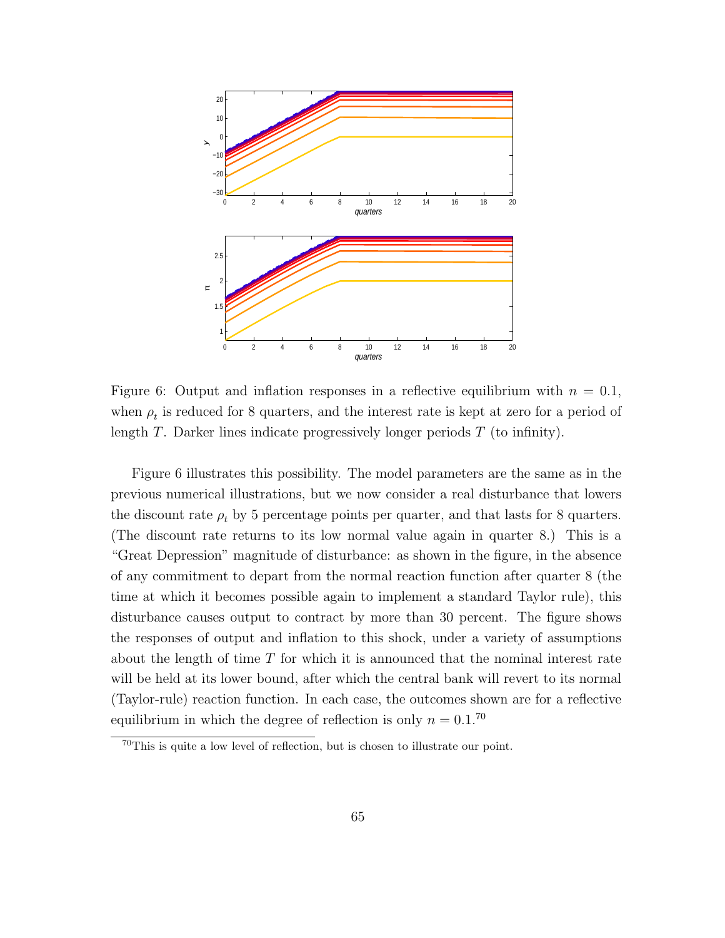

Figure 6: Output and inflation responses in a reflective equilibrium with  $n = 0.1$ , when  $\rho_t$  is reduced for 8 quarters, and the interest rate is kept at zero for a period of length  $T$ . Darker lines indicate progressively longer periods  $T$  (to infinity).

Figure 6 illustrates this possibility. The model parameters are the same as in the previous numerical illustrations, but we now consider a real disturbance that lowers the discount rate  $\rho_t$  by 5 percentage points per quarter, and that lasts for 8 quarters. (The discount rate returns to its low normal value again in quarter 8.) This is a "Great Depression" magnitude of disturbance: as shown in the figure, in the absence of any commitment to depart from the normal reaction function after quarter 8 (the time at which it becomes possible again to implement a standard Taylor rule), this disturbance causes output to contract by more than 30 percent. The figure shows the responses of output and inflation to this shock, under a variety of assumptions about the length of time  $T$  for which it is announced that the nominal interest rate will be held at its lower bound, after which the central bank will revert to its normal (Taylor-rule) reaction function. In each case, the outcomes shown are for a reflective equilibrium in which the degree of reflection is only  $n = 0.1$ .<sup>70</sup>

<sup>70</sup>This is quite a low level of reflection, but is chosen to illustrate our point.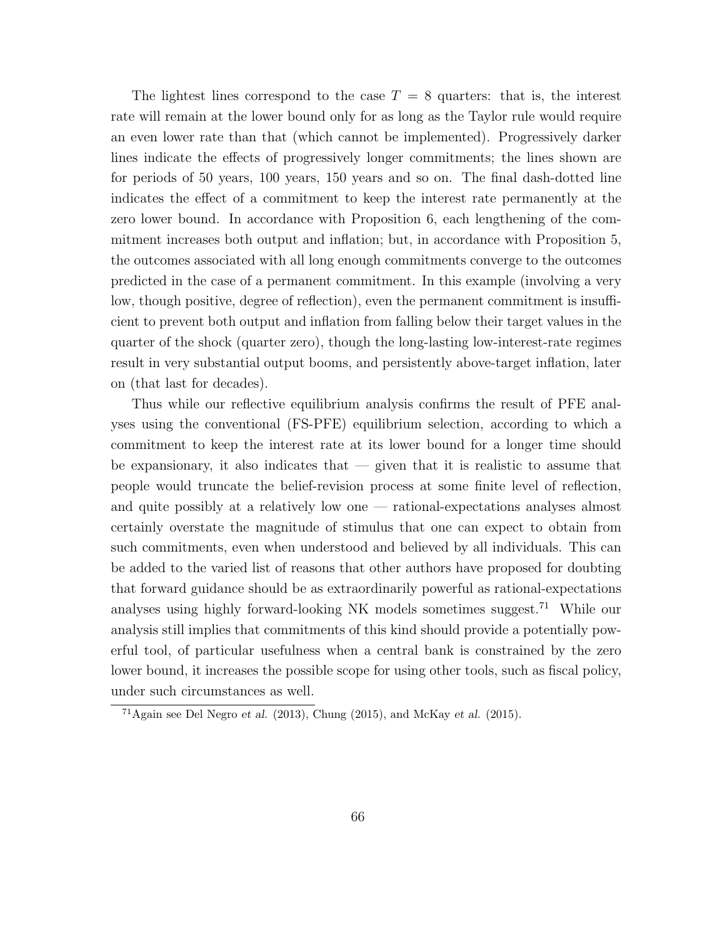The lightest lines correspond to the case  $T = 8$  quarters: that is, the interest rate will remain at the lower bound only for as long as the Taylor rule would require an even lower rate than that (which cannot be implemented). Progressively darker lines indicate the effects of progressively longer commitments; the lines shown are for periods of 50 years, 100 years, 150 years and so on. The final dash-dotted line indicates the effect of a commitment to keep the interest rate permanently at the zero lower bound. In accordance with Proposition 6, each lengthening of the commitment increases both output and inflation; but, in accordance with Proposition 5, the outcomes associated with all long enough commitments converge to the outcomes predicted in the case of a permanent commitment. In this example (involving a very low, though positive, degree of reflection), even the permanent commitment is insufficient to prevent both output and inflation from falling below their target values in the quarter of the shock (quarter zero), though the long-lasting low-interest-rate regimes result in very substantial output booms, and persistently above-target inflation, later on (that last for decades).

Thus while our reflective equilibrium analysis confirms the result of PFE analyses using the conventional (FS-PFE) equilibrium selection, according to which a commitment to keep the interest rate at its lower bound for a longer time should be expansionary, it also indicates that — given that it is realistic to assume that people would truncate the belief-revision process at some finite level of reflection, and quite possibly at a relatively low one — rational-expectations analyses almost certainly overstate the magnitude of stimulus that one can expect to obtain from such commitments, even when understood and believed by all individuals. This can be added to the varied list of reasons that other authors have proposed for doubting that forward guidance should be as extraordinarily powerful as rational-expectations analyses using highly forward-looking NK models sometimes suggest.<sup>71</sup> While our analysis still implies that commitments of this kind should provide a potentially powerful tool, of particular usefulness when a central bank is constrained by the zero lower bound, it increases the possible scope for using other tools, such as fiscal policy, under such circumstances as well.

 $\frac{71}{4}$  Again see Del Negro et al. (2013), Chung (2015), and McKay et al. (2015).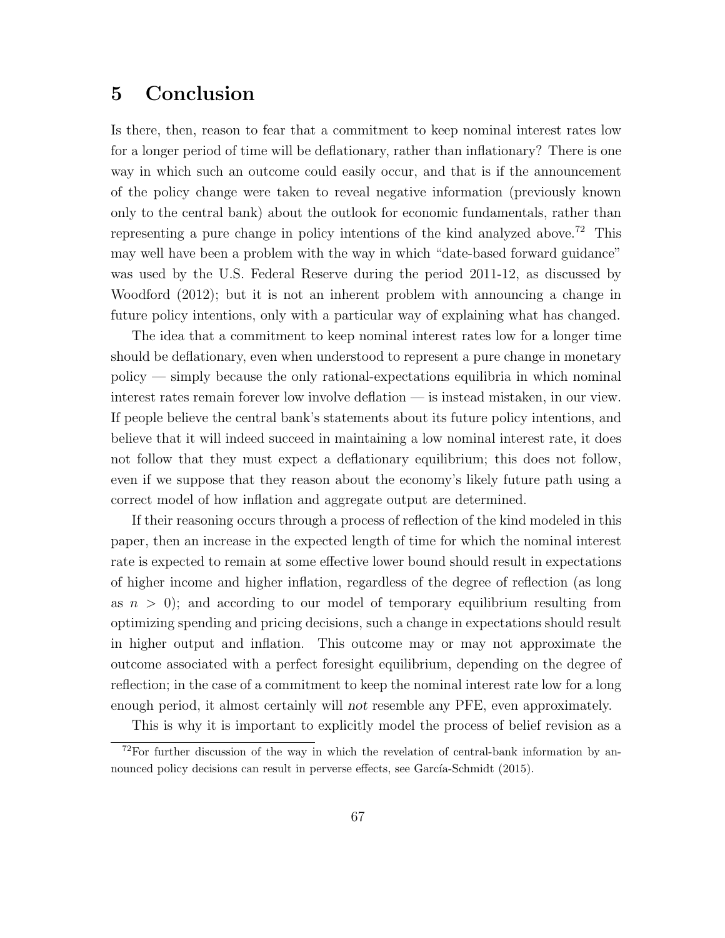### 5 Conclusion

Is there, then, reason to fear that a commitment to keep nominal interest rates low for a longer period of time will be deflationary, rather than inflationary? There is one way in which such an outcome could easily occur, and that is if the announcement of the policy change were taken to reveal negative information (previously known only to the central bank) about the outlook for economic fundamentals, rather than representing a pure change in policy intentions of the kind analyzed above.<sup>72</sup> This may well have been a problem with the way in which "date-based forward guidance" was used by the U.S. Federal Reserve during the period 2011-12, as discussed by Woodford (2012); but it is not an inherent problem with announcing a change in future policy intentions, only with a particular way of explaining what has changed.

The idea that a commitment to keep nominal interest rates low for a longer time should be deflationary, even when understood to represent a pure change in monetary policy — simply because the only rational-expectations equilibria in which nominal interest rates remain forever low involve deflation — is instead mistaken, in our view. If people believe the central bank's statements about its future policy intentions, and believe that it will indeed succeed in maintaining a low nominal interest rate, it does not follow that they must expect a deflationary equilibrium; this does not follow, even if we suppose that they reason about the economy's likely future path using a correct model of how inflation and aggregate output are determined.

If their reasoning occurs through a process of reflection of the kind modeled in this paper, then an increase in the expected length of time for which the nominal interest rate is expected to remain at some effective lower bound should result in expectations of higher income and higher inflation, regardless of the degree of reflection (as long as  $n > 0$ ; and according to our model of temporary equilibrium resulting from optimizing spending and pricing decisions, such a change in expectations should result in higher output and inflation. This outcome may or may not approximate the outcome associated with a perfect foresight equilibrium, depending on the degree of reflection; in the case of a commitment to keep the nominal interest rate low for a long enough period, it almost certainly will not resemble any PFE, even approximately.

This is why it is important to explicitly model the process of belief revision as a

 $72$ For further discussion of the way in which the revelation of central-bank information by announced policy decisions can result in perverse effects, see García-Schmidt (2015).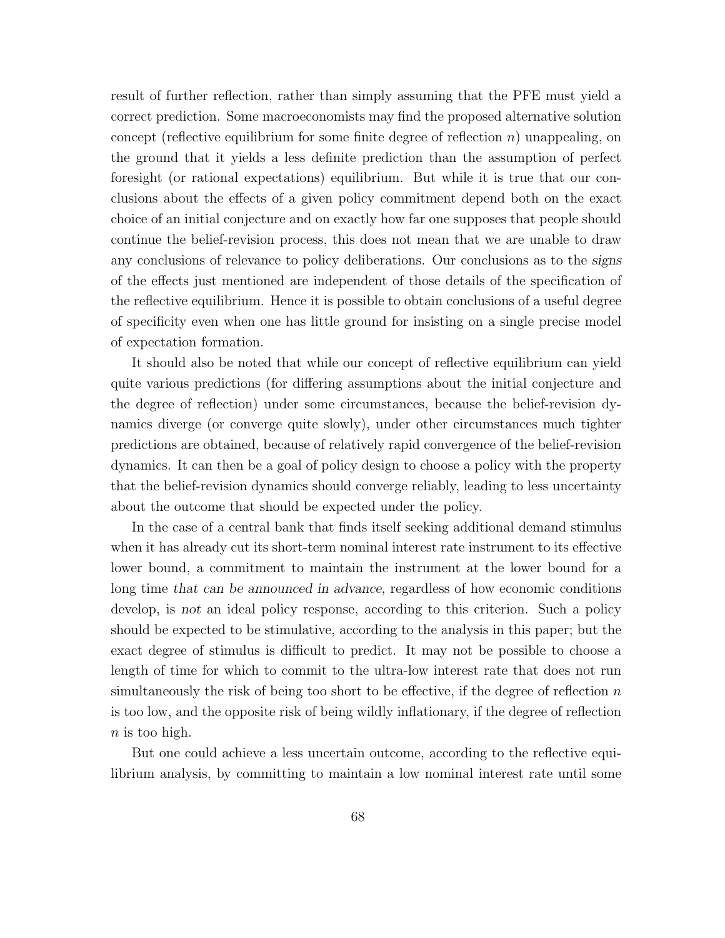result of further reflection, rather than simply assuming that the PFE must yield a correct prediction. Some macroeconomists may find the proposed alternative solution concept (reflective equilibrium for some finite degree of reflection  $n$ ) unappealing, on the ground that it yields a less definite prediction than the assumption of perfect foresight (or rational expectations) equilibrium. But while it is true that our conclusions about the effects of a given policy commitment depend both on the exact choice of an initial conjecture and on exactly how far one supposes that people should continue the belief-revision process, this does not mean that we are unable to draw any conclusions of relevance to policy deliberations. Our conclusions as to the signs of the effects just mentioned are independent of those details of the specification of the reflective equilibrium. Hence it is possible to obtain conclusions of a useful degree of specificity even when one has little ground for insisting on a single precise model of expectation formation.

It should also be noted that while our concept of reflective equilibrium can yield quite various predictions (for differing assumptions about the initial conjecture and the degree of reflection) under some circumstances, because the belief-revision dynamics diverge (or converge quite slowly), under other circumstances much tighter predictions are obtained, because of relatively rapid convergence of the belief-revision dynamics. It can then be a goal of policy design to choose a policy with the property that the belief-revision dynamics should converge reliably, leading to less uncertainty about the outcome that should be expected under the policy.

In the case of a central bank that finds itself seeking additional demand stimulus when it has already cut its short-term nominal interest rate instrument to its effective lower bound, a commitment to maintain the instrument at the lower bound for a long time that can be announced in advance, regardless of how economic conditions develop, is not an ideal policy response, according to this criterion. Such a policy should be expected to be stimulative, according to the analysis in this paper; but the exact degree of stimulus is difficult to predict. It may not be possible to choose a length of time for which to commit to the ultra-low interest rate that does not run simultaneously the risk of being too short to be effective, if the degree of reflection  $n$ is too low, and the opposite risk of being wildly inflationary, if the degree of reflection  $n$  is too high.

But one could achieve a less uncertain outcome, according to the reflective equilibrium analysis, by committing to maintain a low nominal interest rate until some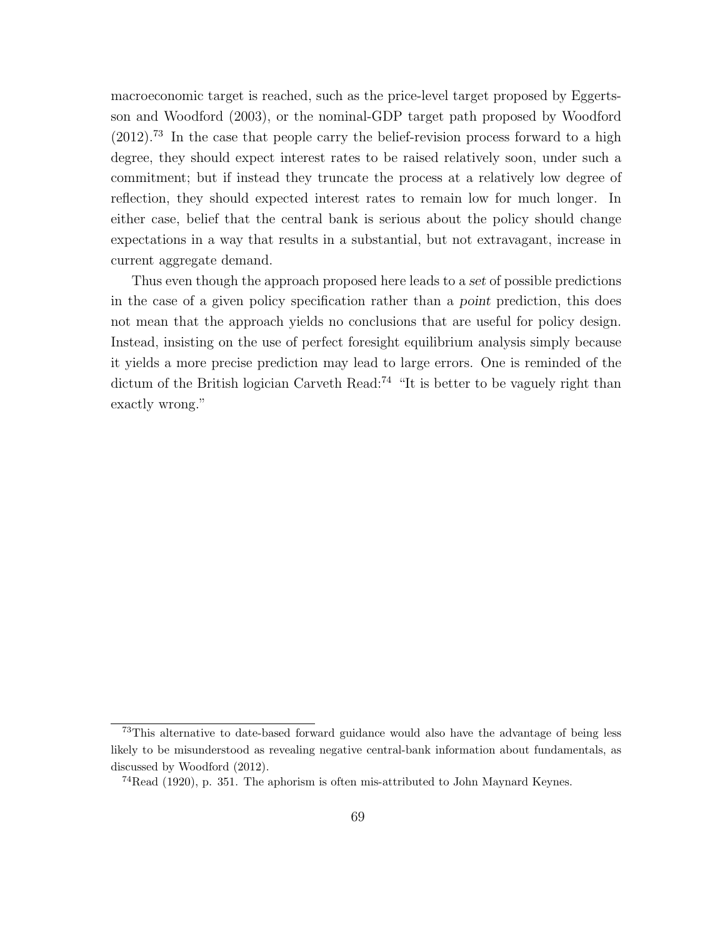macroeconomic target is reached, such as the price-level target proposed by Eggertsson and Woodford (2003), or the nominal-GDP target path proposed by Woodford  $(2012).^{73}$  In the case that people carry the belief-revision process forward to a high degree, they should expect interest rates to be raised relatively soon, under such a commitment; but if instead they truncate the process at a relatively low degree of reflection, they should expected interest rates to remain low for much longer. In either case, belief that the central bank is serious about the policy should change expectations in a way that results in a substantial, but not extravagant, increase in current aggregate demand.

Thus even though the approach proposed here leads to a set of possible predictions in the case of a given policy specification rather than a point prediction, this does not mean that the approach yields no conclusions that are useful for policy design. Instead, insisting on the use of perfect foresight equilibrium analysis simply because it yields a more precise prediction may lead to large errors. One is reminded of the dictum of the British logician Carveth Read:<sup>74</sup> "It is better to be vaguely right than exactly wrong."

<sup>73</sup>This alternative to date-based forward guidance would also have the advantage of being less likely to be misunderstood as revealing negative central-bank information about fundamentals, as discussed by Woodford (2012).

<sup>74</sup>Read (1920), p. 351. The aphorism is often mis-attributed to John Maynard Keynes.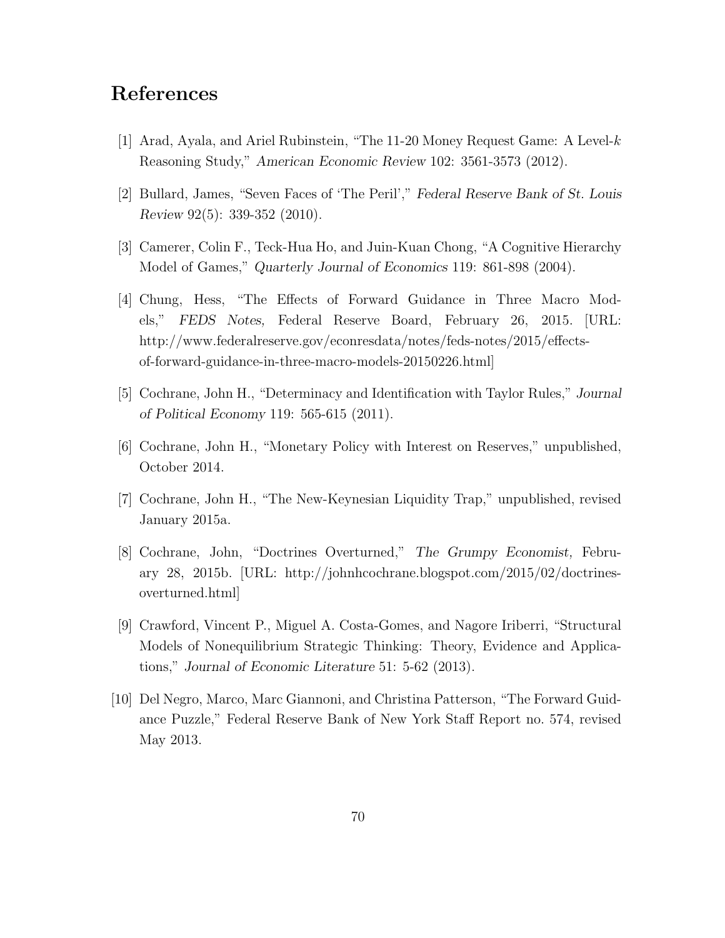## References

- [1] Arad, Ayala, and Ariel Rubinstein, "The 11-20 Money Request Game: A Level-k Reasoning Study," American Economic Review 102: 3561-3573 (2012).
- [2] Bullard, James, "Seven Faces of 'The Peril'," Federal Reserve Bank of St. Louis Review 92(5): 339-352 (2010).
- [3] Camerer, Colin F., Teck-Hua Ho, and Juin-Kuan Chong, "A Cognitive Hierarchy Model of Games," Quarterly Journal of Economics 119: 861-898 (2004).
- [4] Chung, Hess, "The Effects of Forward Guidance in Three Macro Models," FEDS Notes, Federal Reserve Board, February 26, 2015. [URL: http://www.federalreserve.gov/econresdata/notes/feds-notes/2015/effectsof-forward-guidance-in-three-macro-models-20150226.html]
- [5] Cochrane, John H., "Determinacy and Identification with Taylor Rules," Journal of Political Economy 119: 565-615 (2011).
- [6] Cochrane, John H., "Monetary Policy with Interest on Reserves," unpublished, October 2014.
- [7] Cochrane, John H., "The New-Keynesian Liquidity Trap," unpublished, revised January 2015a.
- [8] Cochrane, John, "Doctrines Overturned," The Grumpy Economist, February 28, 2015b. [URL: http://johnhcochrane.blogspot.com/2015/02/doctrinesoverturned.html]
- [9] Crawford, Vincent P., Miguel A. Costa-Gomes, and Nagore Iriberri, "Structural Models of Nonequilibrium Strategic Thinking: Theory, Evidence and Applications," Journal of Economic Literature 51: 5-62 (2013).
- [10] Del Negro, Marco, Marc Giannoni, and Christina Patterson, "The Forward Guidance Puzzle," Federal Reserve Bank of New York Staff Report no. 574, revised May 2013.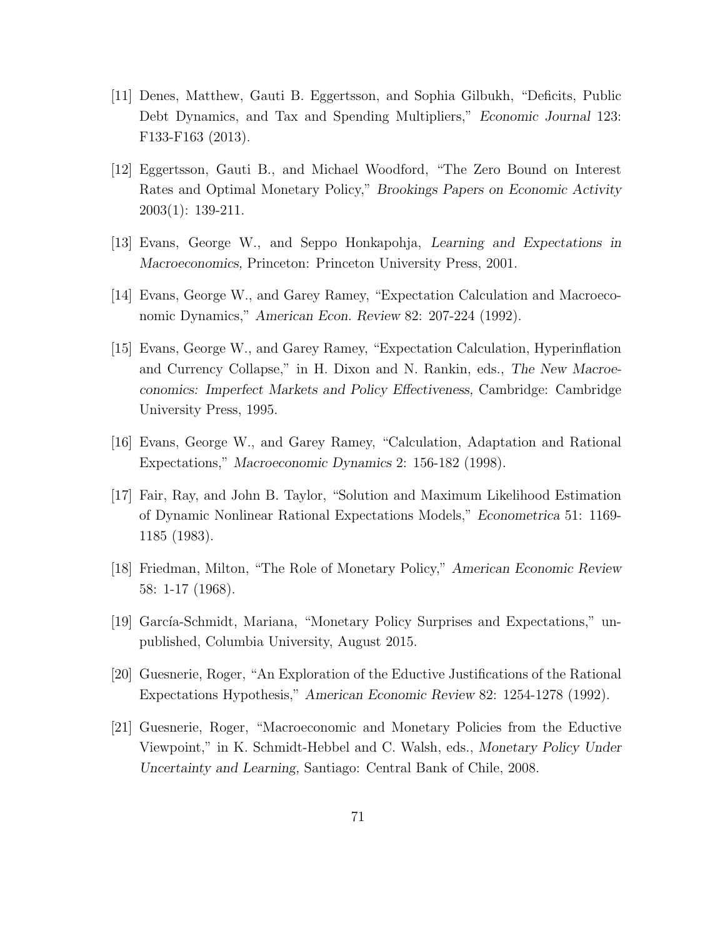- [11] Denes, Matthew, Gauti B. Eggertsson, and Sophia Gilbukh, "Deficits, Public Debt Dynamics, and Tax and Spending Multipliers," Economic Journal 123: F133-F163 (2013).
- [12] Eggertsson, Gauti B., and Michael Woodford, "The Zero Bound on Interest Rates and Optimal Monetary Policy," Brookings Papers on Economic Activity 2003(1): 139-211.
- [13] Evans, George W., and Seppo Honkapohja, Learning and Expectations in Macroeconomics, Princeton: Princeton University Press, 2001.
- [14] Evans, George W., and Garey Ramey, "Expectation Calculation and Macroeconomic Dynamics," American Econ. Review 82: 207-224 (1992).
- [15] Evans, George W., and Garey Ramey, "Expectation Calculation, Hyperinflation and Currency Collapse," in H. Dixon and N. Rankin, eds., The New Macroeconomics: Imperfect Markets and Policy Effectiveness, Cambridge: Cambridge University Press, 1995.
- [16] Evans, George W., and Garey Ramey, "Calculation, Adaptation and Rational Expectations," Macroeconomic Dynamics 2: 156-182 (1998).
- [17] Fair, Ray, and John B. Taylor, "Solution and Maximum Likelihood Estimation of Dynamic Nonlinear Rational Expectations Models," Econometrica 51: 1169- 1185 (1983).
- [18] Friedman, Milton, "The Role of Monetary Policy," American Economic Review 58: 1-17 (1968).
- [19] García-Schmidt, Mariana, "Monetary Policy Surprises and Expectations," unpublished, Columbia University, August 2015.
- [20] Guesnerie, Roger, "An Exploration of the Eductive Justifications of the Rational Expectations Hypothesis," American Economic Review 82: 1254-1278 (1992).
- [21] Guesnerie, Roger, "Macroeconomic and Monetary Policies from the Eductive Viewpoint," in K. Schmidt-Hebbel and C. Walsh, eds., Monetary Policy Under Uncertainty and Learning, Santiago: Central Bank of Chile, 2008.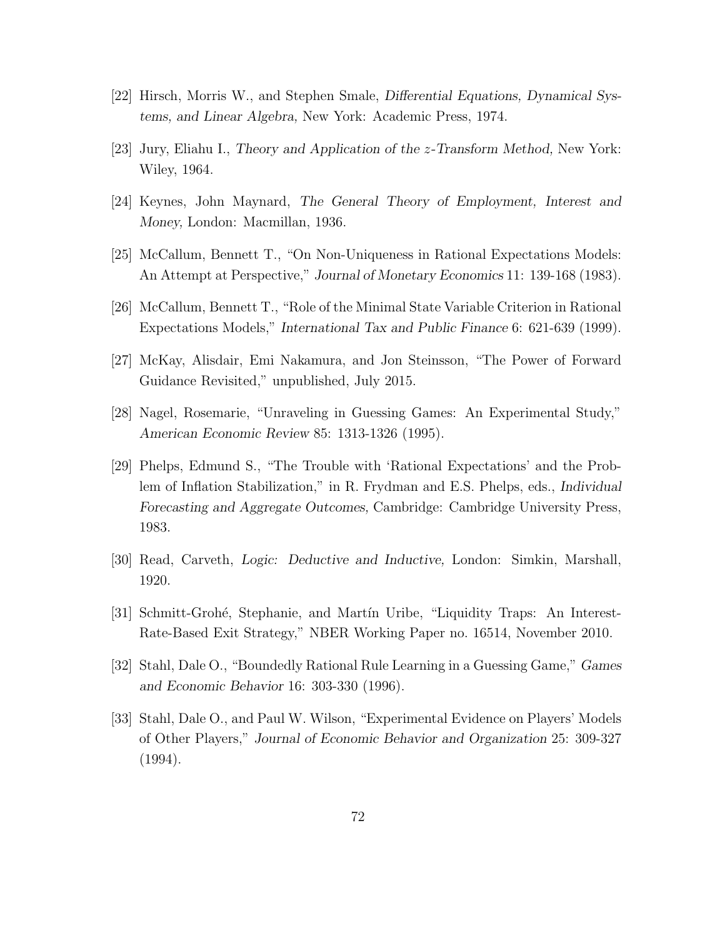- [22] Hirsch, Morris W., and Stephen Smale, Differential Equations, Dynamical Systems, and Linear Algebra, New York: Academic Press, 1974.
- [23] Jury, Eliahu I., Theory and Application of the z-Transform Method, New York: Wiley, 1964.
- [24] Keynes, John Maynard, The General Theory of Employment, Interest and Money, London: Macmillan, 1936.
- [25] McCallum, Bennett T., "On Non-Uniqueness in Rational Expectations Models: An Attempt at Perspective," Journal of Monetary Economics 11: 139-168 (1983).
- [26] McCallum, Bennett T., "Role of the Minimal State Variable Criterion in Rational Expectations Models," International Tax and Public Finance 6: 621-639 (1999).
- [27] McKay, Alisdair, Emi Nakamura, and Jon Steinsson, "The Power of Forward Guidance Revisited," unpublished, July 2015.
- [28] Nagel, Rosemarie, "Unraveling in Guessing Games: An Experimental Study," American Economic Review 85: 1313-1326 (1995).
- [29] Phelps, Edmund S., "The Trouble with 'Rational Expectations' and the Problem of Inflation Stabilization," in R. Frydman and E.S. Phelps, eds., Individual Forecasting and Aggregate Outcomes, Cambridge: Cambridge University Press, 1983.
- [30] Read, Carveth, Logic: Deductive and Inductive, London: Simkin, Marshall, 1920.
- [31] Schmitt-Grohé, Stephanie, and Martín Uribe, "Liquidity Traps: An Interest-Rate-Based Exit Strategy," NBER Working Paper no. 16514, November 2010.
- [32] Stahl, Dale O., "Boundedly Rational Rule Learning in a Guessing Game," Games and Economic Behavior 16: 303-330 (1996).
- [33] Stahl, Dale O., and Paul W. Wilson, "Experimental Evidence on Players' Models of Other Players," Journal of Economic Behavior and Organization 25: 309-327 (1994).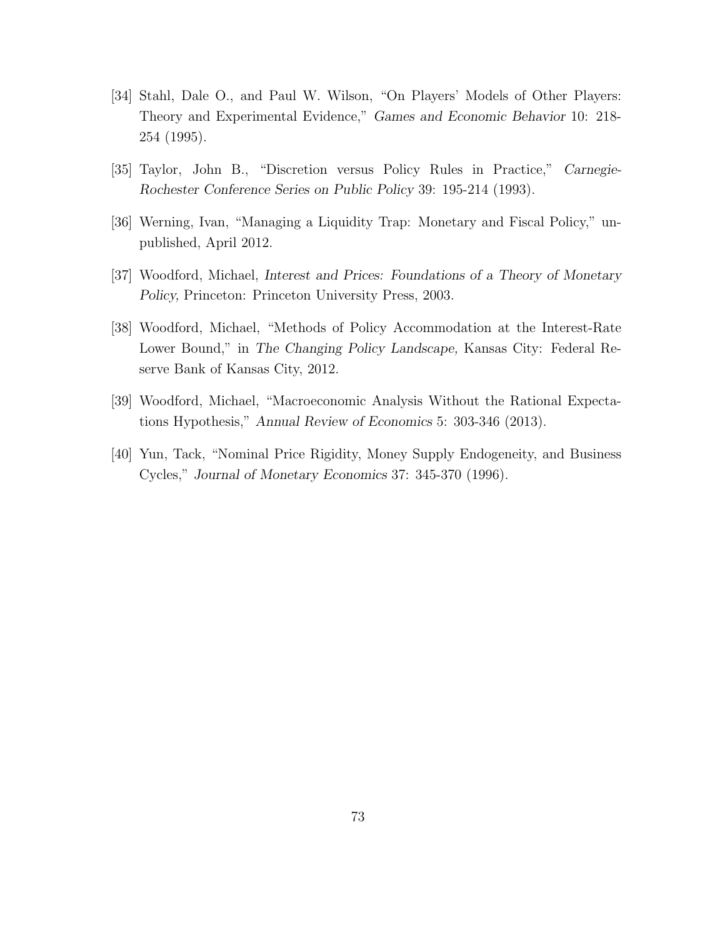- [34] Stahl, Dale O., and Paul W. Wilson, "On Players' Models of Other Players: Theory and Experimental Evidence," Games and Economic Behavior 10: 218- 254 (1995).
- [35] Taylor, John B., "Discretion versus Policy Rules in Practice," Carnegie-Rochester Conference Series on Public Policy 39: 195-214 (1993).
- [36] Werning, Ivan, "Managing a Liquidity Trap: Monetary and Fiscal Policy," unpublished, April 2012.
- [37] Woodford, Michael, Interest and Prices: Foundations of a Theory of Monetary Policy, Princeton: Princeton University Press, 2003.
- [38] Woodford, Michael, "Methods of Policy Accommodation at the Interest-Rate Lower Bound," in The Changing Policy Landscape, Kansas City: Federal Reserve Bank of Kansas City, 2012.
- [39] Woodford, Michael, "Macroeconomic Analysis Without the Rational Expectations Hypothesis," Annual Review of Economics 5: 303-346 (2013).
- [40] Yun, Tack, "Nominal Price Rigidity, Money Supply Endogeneity, and Business Cycles," Journal of Monetary Economics 37: 345-370 (1996).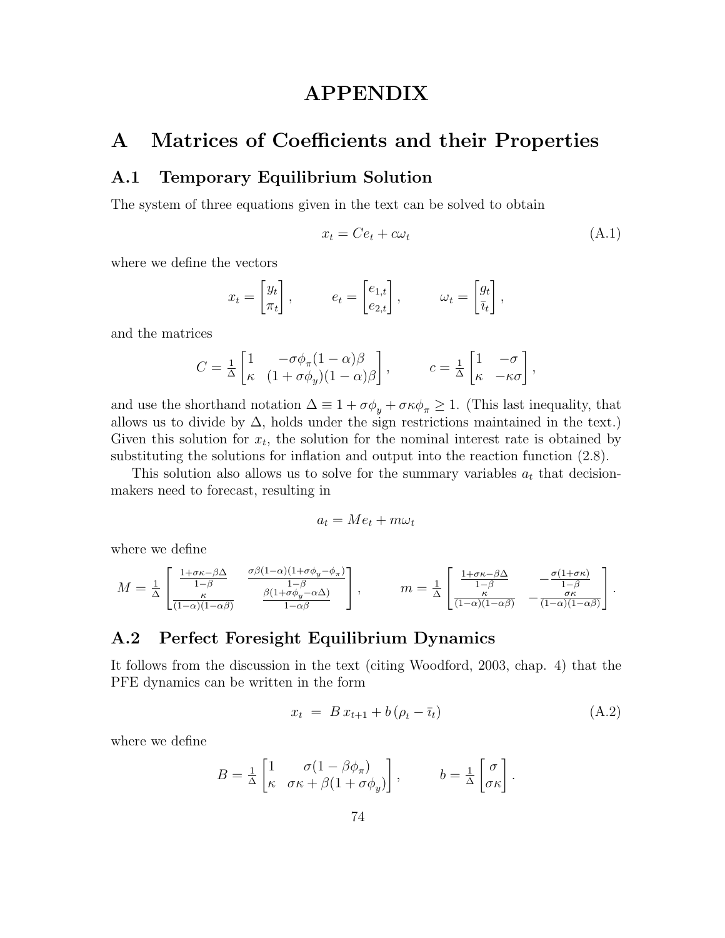# APPENDIX

# A Matrices of Coefficients and their Properties

## A.1 Temporary Equilibrium Solution

The system of three equations given in the text can be solved to obtain

$$
x_t = Ce_t + c\omega_t \tag{A.1}
$$

where we define the vectors

$$
x_t = \begin{bmatrix} y_t \\ \pi_t \end{bmatrix}, \qquad e_t = \begin{bmatrix} e_{1,t} \\ e_{2,t} \end{bmatrix}, \qquad \omega_t = \begin{bmatrix} g_t \\ \overline{i}_t \end{bmatrix},
$$

and the matrices

$$
C = \frac{1}{\Delta} \begin{bmatrix} 1 & -\sigma \phi_{\pi} (1 - \alpha) \beta \\ \kappa & (1 + \sigma \phi_{y}) (1 - \alpha) \beta \end{bmatrix}, \qquad c = \frac{1}{\Delta} \begin{bmatrix} 1 & -\sigma \\ \kappa & -\kappa \sigma \end{bmatrix},
$$

and use the shorthand notation  $\Delta \equiv 1 + \sigma \phi_y + \sigma \kappa \phi_\pi \geq 1$ . (This last inequality, that allows us to divide by  $\Delta$ , holds under the sign restrictions maintained in the text.) Given this solution for  $x_t$ , the solution for the nominal interest rate is obtained by substituting the solutions for inflation and output into the reaction function (2.8).

This solution also allows us to solve for the summary variables  $a_t$  that decisionmakers need to forecast, resulting in

$$
a_t = Me_t + m\omega_t
$$

where we define

$$
M = \frac{1}{\Delta} \begin{bmatrix} \frac{1+\sigma\kappa-\beta\Delta}{1-\beta} & \frac{\sigma\beta(1-\alpha)(1+\sigma\phi_y-\phi_\pi)}{1-\beta} \\ \frac{\kappa}{(1-\alpha)(1-\alpha\beta)} & \frac{\beta(1+\sigma\phi_y-\alpha\Delta)}{1-\alpha\beta} \end{bmatrix}, \qquad m = \frac{1}{\Delta} \begin{bmatrix} \frac{1+\sigma\kappa-\beta\Delta}{1-\beta} & -\frac{\sigma(1+\sigma\kappa)}{1-\beta} \\ \frac{\kappa}{(1-\alpha)(1-\alpha\beta)} & -\frac{\sigma\kappa}{(1-\alpha)(1-\alpha\beta)} \end{bmatrix}.
$$

# A.2 Perfect Foresight Equilibrium Dynamics

It follows from the discussion in the text (citing Woodford, 2003, chap. 4) that the PFE dynamics can be written in the form

$$
x_t = B x_{t+1} + b (\rho_t - \bar{u}_t) \tag{A.2}
$$

where we define

$$
B = \frac{1}{\Delta} \begin{bmatrix} 1 & \sigma(1 - \beta \phi_{\pi}) \\ \kappa & \sigma \kappa + \beta(1 + \sigma \phi_{y}) \end{bmatrix}, \qquad b = \frac{1}{\Delta} \begin{bmatrix} \sigma \\ \sigma \kappa \end{bmatrix}.
$$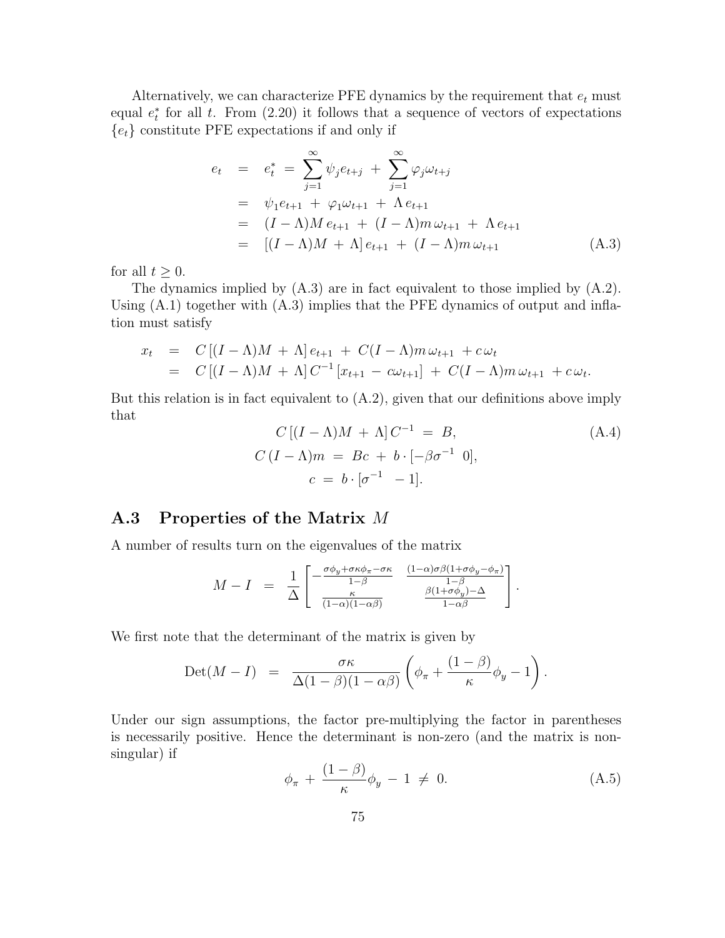Alternatively, we can characterize PFE dynamics by the requirement that  $e_t$  must equal  $e_t^*$  for all t. From (2.20) it follows that a sequence of vectors of expectations  ${e_t}$  constitute PFE expectations if and only if

$$
e_{t} = e_{t}^{*} = \sum_{j=1}^{\infty} \psi_{j} e_{t+j} + \sum_{j=1}^{\infty} \varphi_{j} \omega_{t+j}
$$
  
\n
$$
= \psi_{1} e_{t+1} + \varphi_{1} \omega_{t+1} + \Lambda e_{t+1}
$$
  
\n
$$
= (I - \Lambda) M e_{t+1} + (I - \Lambda) m \omega_{t+1} + \Lambda e_{t+1}
$$
  
\n
$$
= [(I - \Lambda) M + \Lambda] e_{t+1} + (I - \Lambda) m \omega_{t+1}
$$
(A.3)

for all  $t \geq 0$ .

The dynamics implied by (A.3) are in fact equivalent to those implied by (A.2). Using (A.1) together with (A.3) implies that the PFE dynamics of output and inflation must satisfy

$$
x_t = C [(I - \Lambda)M + \Lambda] e_{t+1} + C (I - \Lambda) m \omega_{t+1} + c \omega_t
$$
  
= 
$$
C [(I - \Lambda)M + \Lambda] C^{-1} [x_{t+1} - c \omega_{t+1}] + C (I - \Lambda) m \omega_{t+1} + c \omega_t.
$$

But this relation is in fact equivalent to  $(A.2)$ , given that our definitions above imply that

$$
C\left[(I - \Lambda)M + \Lambda\right]C^{-1} = B,
$$
\n
$$
C\left(I - \Lambda\right)m = Bc + b \cdot \left[-\beta\sigma^{-1} \quad 0\right],
$$
\n
$$
c = b \cdot \left[\sigma^{-1} \quad -1\right].
$$
\n(A.4)

### A.3 Properties of the Matrix M

A number of results turn on the eigenvalues of the matrix

$$
M-I \;\; = \;\; \frac{1}{\Delta} \left[\begin{matrix} -\frac{\sigma \phi_y + \sigma \kappa \phi_\pi - \sigma \kappa}{1-\beta} & \frac{(1-\alpha)\sigma \beta (1+\sigma \phi_y - \phi_\pi)}{1-\beta} \\ \frac{\kappa}{(1-\alpha)(1-\alpha \beta)} & \frac{\beta (1+\sigma \phi_y) - \Delta}{1-\alpha \beta} \end{matrix} \right].
$$

We first note that the determinant of the matrix is given by

$$
\mathrm{Det}(M - I) = \frac{\sigma \kappa}{\Delta (1 - \beta)(1 - \alpha \beta)} \left( \phi_{\pi} + \frac{(1 - \beta)}{\kappa} \phi_{y} - 1 \right).
$$

Under our sign assumptions, the factor pre-multiplying the factor in parentheses is necessarily positive. Hence the determinant is non-zero (and the matrix is nonsingular) if

$$
\phi_{\pi} + \frac{(1-\beta)}{\kappa} \phi_y - 1 \neq 0. \tag{A.5}
$$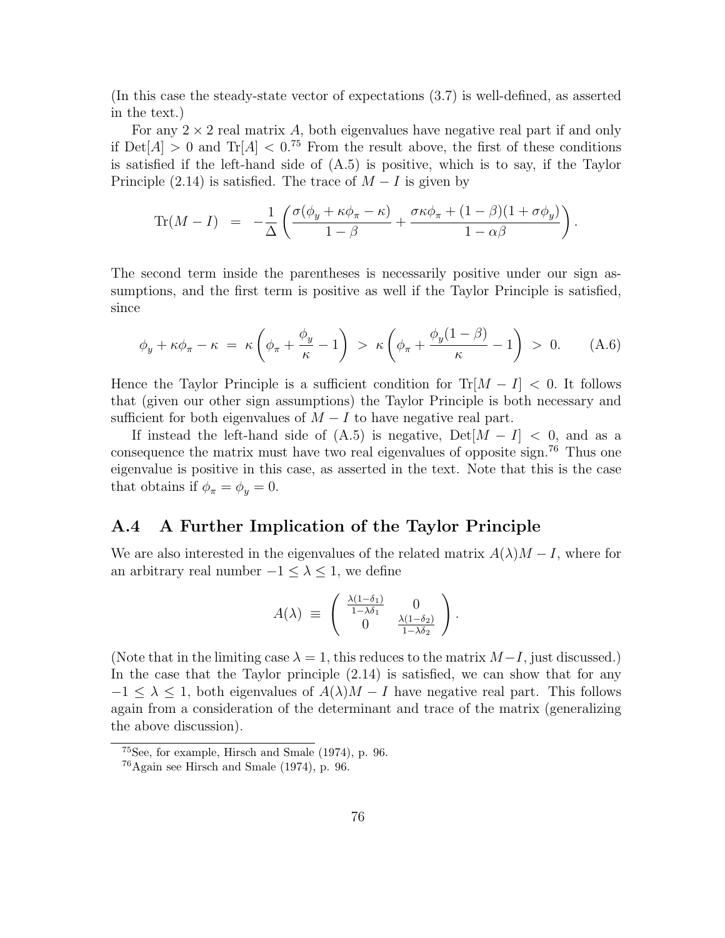(In this case the steady-state vector of expectations (3.7) is well-defined, as asserted in the text.)

For any  $2 \times 2$  real matrix A, both eigenvalues have negative real part if and only if  $Det[A] > 0$  and  $Tr[A] < 0^{75}$  From the result above, the first of these conditions is satisfied if the left-hand side of (A.5) is positive, which is to say, if the Taylor Principle (2.14) is satisfied. The trace of  $M - I$  is given by

$$
\text{Tr}(M-I) = -\frac{1}{\Delta} \left( \frac{\sigma(\phi_y + \kappa \phi_\pi - \kappa)}{1 - \beta} + \frac{\sigma \kappa \phi_\pi + (1 - \beta)(1 + \sigma \phi_y)}{1 - \alpha \beta} \right).
$$

The second term inside the parentheses is necessarily positive under our sign assumptions, and the first term is positive as well if the Taylor Principle is satisfied, since

$$
\phi_y + \kappa \phi_\pi - \kappa = \kappa \left( \phi_\pi + \frac{\phi_y}{\kappa} - 1 \right) > \kappa \left( \phi_\pi + \frac{\phi_y (1 - \beta)}{\kappa} - 1 \right) > 0. \tag{A.6}
$$

Hence the Taylor Principle is a sufficient condition for  $Tr[M - I] < 0$ . It follows that (given our other sign assumptions) the Taylor Principle is both necessary and sufficient for both eigenvalues of  $M-I$  to have negative real part.

If instead the left-hand side of  $(A.5)$  is negative,  $Det[M - I] < 0$ , and as a consequence the matrix must have two real eigenvalues of opposite sign.<sup>76</sup> Thus one eigenvalue is positive in this case, as asserted in the text. Note that this is the case that obtains if  $\phi_{\pi} = \phi_{\nu} = 0$ .

### A.4 A Further Implication of the Taylor Principle

We are also interested in the eigenvalues of the related matrix  $A(\lambda)M-I$ , where for an arbitrary real number  $-1 \leq \lambda \leq 1$ , we define

$$
A(\lambda) \equiv \begin{pmatrix} \frac{\lambda(1-\delta_1)}{1-\lambda\delta_1} & 0\\ 0 & \frac{\lambda(1-\delta_2)}{1-\lambda\delta_2} \end{pmatrix}.
$$

(Note that in the limiting case  $\lambda = 1$ , this reduces to the matrix  $M-I$ , just discussed.) In the case that the Taylor principle (2.14) is satisfied, we can show that for any  $-1 \leq \lambda \leq 1$ , both eigenvalues of  $A(\lambda)M - I$  have negative real part. This follows again from a consideration of the determinant and trace of the matrix (generalizing the above discussion).

<sup>75</sup>See, for example, Hirsch and Smale (1974), p. 96.

<sup>76</sup>Again see Hirsch and Smale (1974), p. 96.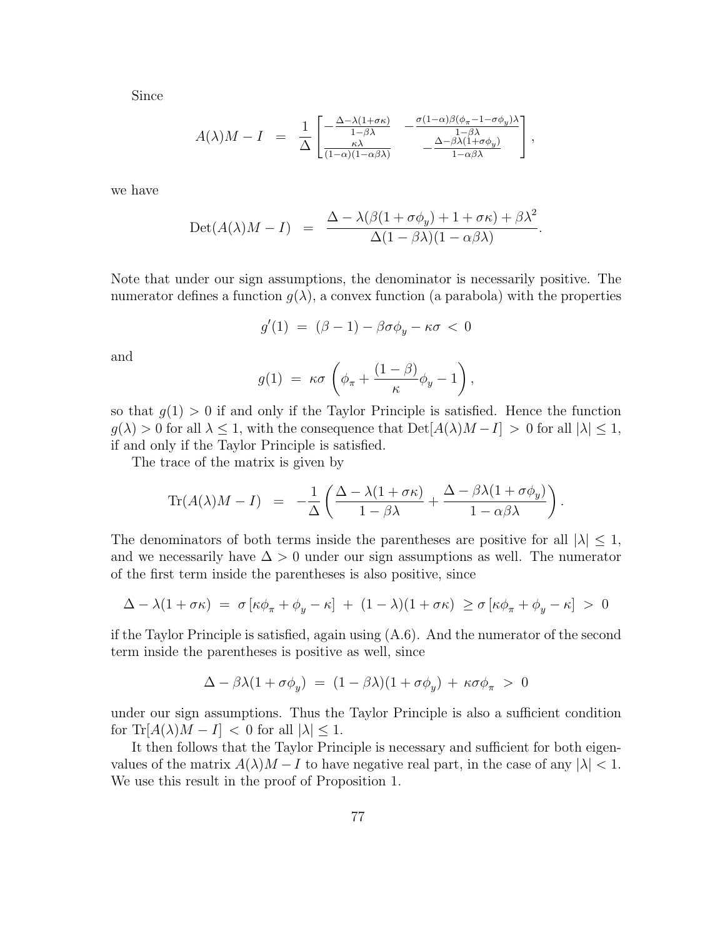Since

$$
A(\lambda)M-I = \frac{1}{\Delta} \begin{bmatrix} -\frac{\Delta-\lambda(1+\sigma\kappa)}{1-\beta\lambda} & -\frac{\sigma(1-\alpha)\beta(\phi_{\pi}-1-\sigma\phi_{y})\lambda}{1-\beta\lambda} \\ \frac{\kappa\lambda}{(1-\alpha)(1-\alpha\beta\lambda)} & -\frac{\Delta-\beta\lambda(1+\sigma\phi_{y})}{1-\alpha\beta\lambda} \end{bmatrix},
$$

we have

$$
Det(A(\lambda)M - I) = \frac{\Delta - \lambda(\beta(1 + \sigma\phi_y) + 1 + \sigma\kappa) + \beta\lambda^2}{\Delta(1 - \beta\lambda)(1 - \alpha\beta\lambda)}.
$$

Note that under our sign assumptions, the denominator is necessarily positive. The numerator defines a function  $g(\lambda)$ , a convex function (a parabola) with the properties

$$
g'(1) = (\beta - 1) - \beta \sigma \phi_y - \kappa \sigma < 0
$$

and

$$
g(1) = \kappa \sigma \left( \phi_{\pi} + \frac{(1-\beta)}{\kappa} \phi_y - 1 \right),
$$

so that  $g(1) > 0$  if and only if the Taylor Principle is satisfied. Hence the function  $g(\lambda) > 0$  for all  $\lambda \leq 1$ , with the consequence that  $\mathrm{Det}[A(\lambda)M - I] > 0$  for all  $|\lambda| \leq 1$ , if and only if the Taylor Principle is satisfied.

The trace of the matrix is given by

$$
\text{Tr}(A(\lambda)M - I) = -\frac{1}{\Delta} \left( \frac{\Delta - \lambda(1 + \sigma \kappa)}{1 - \beta \lambda} + \frac{\Delta - \beta \lambda (1 + \sigma \phi_y)}{1 - \alpha \beta \lambda} \right).
$$

The denominators of both terms inside the parentheses are positive for all  $|\lambda| \leq 1$ , and we necessarily have  $\Delta > 0$  under our sign assumptions as well. The numerator of the first term inside the parentheses is also positive, since

$$
\Delta - \lambda (1 + \sigma \kappa) = \sigma [\kappa \phi_{\pi} + \phi_y - \kappa] + (1 - \lambda)(1 + \sigma \kappa) \ge \sigma [\kappa \phi_{\pi} + \phi_y - \kappa] > 0
$$

if the Taylor Principle is satisfied, again using  $(A.6)$ . And the numerator of the second term inside the parentheses is positive as well, since

$$
\Delta - \beta \lambda (1 + \sigma \phi_y) = (1 - \beta \lambda)(1 + \sigma \phi_y) + \kappa \sigma \phi_\pi > 0
$$

under our sign assumptions. Thus the Taylor Principle is also a sufficient condition for  $\text{Tr}[A(\lambda)M - I] < 0$  for all  $|\lambda| \leq 1$ .

It then follows that the Taylor Principle is necessary and sufficient for both eigenvalues of the matrix  $A(\lambda)M - I$  to have negative real part, in the case of any  $|\lambda| < 1$ . We use this result in the proof of Proposition 1.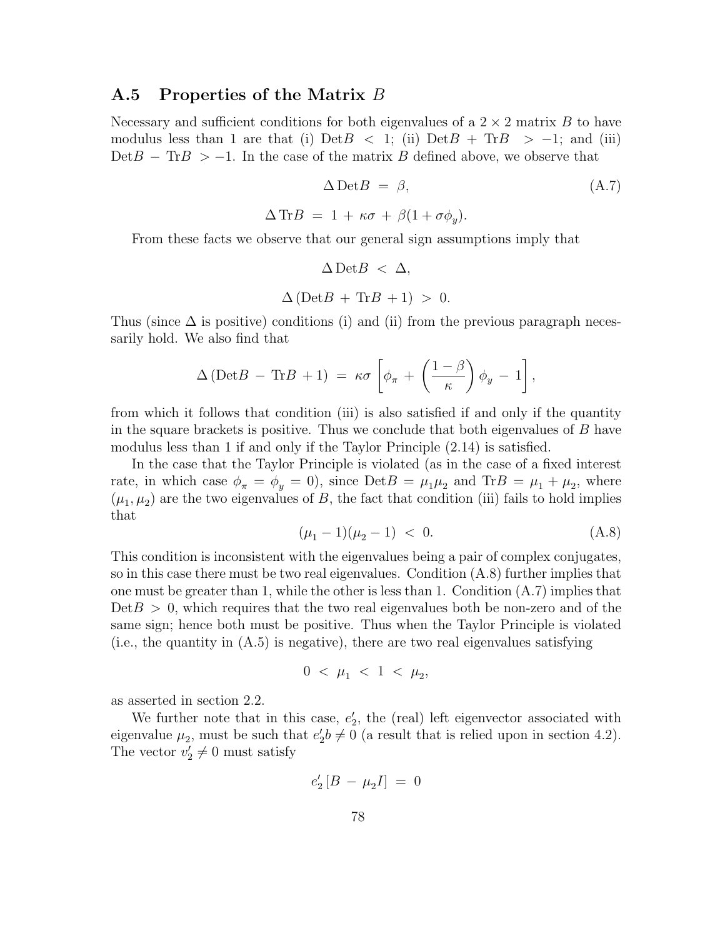#### A.5 Properties of the Matrix B

Necessary and sufficient conditions for both eigenvalues of a  $2 \times 2$  matrix B to have modulus less than 1 are that (i) Det $B \le 1$ ; (ii) Det $B + \text{Tr}B \ge -1$ ; and (iii)  $DetB - TrB > -1$ . In the case of the matrix B defined above, we observe that

$$
\Delta \operatorname{Det} B = \beta, \tag{A.7}
$$

$$
\Delta \text{Tr} B = 1 + \kappa \sigma + \beta (1 + \sigma \phi_y).
$$

From these facts we observe that our general sign assumptions imply that

$$
\Delta \operatorname{Det} B \, < \, \Delta,
$$
\n
$$
\Delta \left( \operatorname{Det} B \, + \, \operatorname{Tr} B \, + \, 1 \right) \, > \, 0.
$$

Thus (since  $\Delta$  is positive) conditions (i) and (ii) from the previous paragraph necessarily hold. We also find that

$$
\Delta \left( \text{Det} B - \text{Tr} B + 1 \right) \ = \ \kappa \sigma \left[ \phi_{\pi} + \left( \frac{1 - \beta}{\kappa} \right) \phi_{y} - 1 \right],
$$

from which it follows that condition (iii) is also satisfied if and only if the quantity in the square brackets is positive. Thus we conclude that both eigenvalues of  $B$  have modulus less than 1 if and only if the Taylor Principle (2.14) is satisfied.

In the case that the Taylor Principle is violated (as in the case of a fixed interest rate, in which case  $\phi_{\pi} = \phi_y = 0$ , since  $Det B = \mu_1 \mu_2$  and  $Tr B = \mu_1 + \mu_2$ , where  $(\mu_1, \mu_2)$  are the two eigenvalues of B, the fact that condition (iii) fails to hold implies that

$$
(\mu_1 - 1)(\mu_2 - 1) < 0. \tag{A.8}
$$

This condition is inconsistent with the eigenvalues being a pair of complex conjugates, so in this case there must be two real eigenvalues. Condition (A.8) further implies that one must be greater than 1, while the other is less than 1. Condition  $(A.7)$  implies that  $DetB > 0$ , which requires that the two real eigenvalues both be non-zero and of the same sign; hence both must be positive. Thus when the Taylor Principle is violated (i.e., the quantity in  $(A.5)$  is negative), there are two real eigenvalues satisfying

$$
0~<~\mu_1~<~1~<~\mu_2,
$$

as asserted in section 2.2.

We further note that in this case,  $e'_{2}$ , the (real) left eigenvector associated with eigenvalue  $\mu_2$ , must be such that  $e'_2b \neq 0$  (a result that is relied upon in section 4.2). The vector  $v_2' \neq 0$  must satisfy

$$
e_2'[B - \mu_2 I] = 0
$$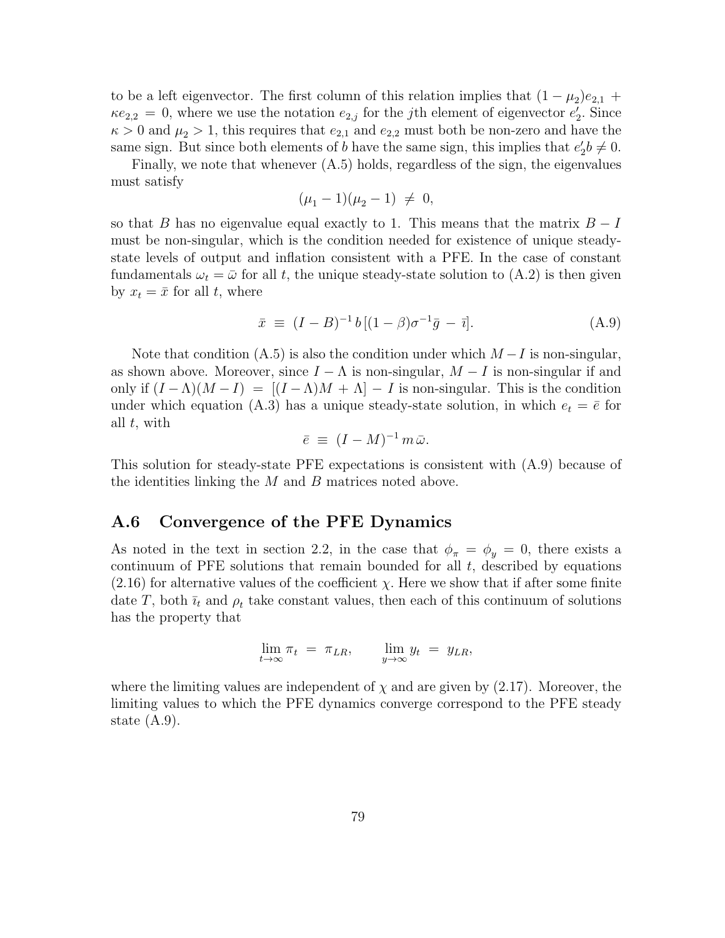to be a left eigenvector. The first column of this relation implies that  $(1 - \mu_2)e_{2,1}$  +  $\kappa e_{2,2} = 0$ , where we use the notation  $e_{2,j}$  for the *j*th element of eigenvector  $e'_2$ . Since  $\kappa > 0$  and  $\mu_2 > 1$ , this requires that  $e_{2,1}$  and  $e_{2,2}$  must both be non-zero and have the same sign. But since both elements of b have the same sign, this implies that  $e'_2b \neq 0$ .

Finally, we note that whenever (A.5) holds, regardless of the sign, the eigenvalues must satisfy

$$
(\mu_1 - 1)(\mu_2 - 1) \neq 0,
$$

so that B has no eigenvalue equal exactly to 1. This means that the matrix  $B - I$ must be non-singular, which is the condition needed for existence of unique steadystate levels of output and inflation consistent with a PFE. In the case of constant fundamentals  $\omega_t = \bar{\omega}$  for all t, the unique steady-state solution to (A.2) is then given by  $x_t = \bar{x}$  for all t, where

$$
\bar{x} \equiv (I - B)^{-1} b [(1 - \beta)\sigma^{-1}\bar{g} - \bar{\imath}]. \tag{A.9}
$$

Note that condition (A.5) is also the condition under which  $M-I$  is non-singular, as shown above. Moreover, since  $I - \Lambda$  is non-singular,  $M - I$  is non-singular if and only if  $(I - \Lambda)(M - I) = |(I - \Lambda)M + \Lambda| - I$  is non-singular. This is the condition under which equation (A.3) has a unique steady-state solution, in which  $e_t = \bar{e}$  for all  $t$ , with

$$
\bar{e} \equiv (I - M)^{-1} m \bar{\omega}.
$$

This solution for steady-state PFE expectations is consistent with (A.9) because of the identities linking the M and B matrices noted above.

### A.6 Convergence of the PFE Dynamics

As noted in the text in section 2.2, in the case that  $\phi_{\pi} = \phi_y = 0$ , there exists a continuum of PFE solutions that remain bounded for all  $t$ , described by equations  $(2.16)$  for alternative values of the coefficient  $\chi$ . Here we show that if after some finite date T, both  $\bar{\iota}_t$  and  $\rho_t$  take constant values, then each of this continuum of solutions has the property that

$$
\lim_{t \to \infty} \pi_t = \pi_{LR}, \qquad \lim_{y \to \infty} y_t = y_{LR},
$$

where the limiting values are independent of  $\chi$  and are given by (2.17). Moreover, the limiting values to which the PFE dynamics converge correspond to the PFE steady state (A.9).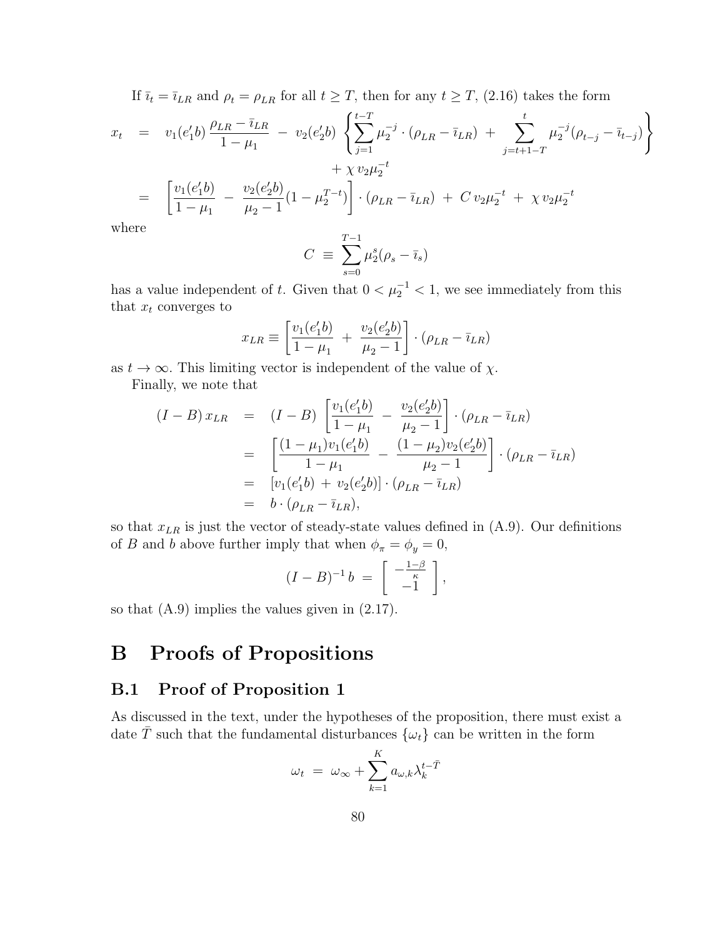If  $\bar{\imath}_t = \bar{\imath}_{LR}$  and  $\rho_t = \rho_{LR}$  for all  $t \geq T$ , then for any  $t \geq T$ , (2.16) takes the form

$$
x_{t} = v_{1}(e'_{1}b) \frac{\rho_{LR} - \bar{\imath}_{LR}}{1 - \mu_{1}} - v_{2}(e'_{2}b) \left\{ \sum_{j=1}^{t-T} \mu_{2}^{-j} \cdot (\rho_{LR} - \bar{\imath}_{LR}) + \sum_{j=t+1-T}^{t} \mu_{2}^{-j} (\rho_{t-j} - \bar{\imath}_{t-j}) \right\} + \chi v_{2} \mu_{2}^{-t}
$$
  
\n
$$
= \left[ \frac{v_{1}(e'_{1}b)}{1 - \mu_{1}} - \frac{v_{2}(e'_{2}b)}{\mu_{2} - 1} (1 - \mu_{2}^{T-t}) \right] \cdot (\rho_{LR} - \bar{\imath}_{LR}) + C v_{2} \mu_{2}^{-t} + \chi v_{2} \mu_{2}^{-t}
$$
  
\nwhere

where

$$
C \equiv \sum_{s=0}^{T-1} \mu_2^s (\rho_s - \bar{\imath}_s)
$$

has a value independent of t. Given that  $0 < \mu_2^{-1} < 1$ , we see immediately from this that  $x_t$  converges to

$$
x_{LR} \equiv \left[ \frac{v_1(e'_1 b)}{1 - \mu_1} + \frac{v_2(e'_2 b)}{\mu_2 - 1} \right] \cdot (\rho_{LR} - \bar{\imath}_{LR})
$$

as  $t \to \infty$ . This limiting vector is independent of the value of  $\chi$ .

Finally, we note that

$$
(I - B) x_{LR} = (I - B) \left[ \frac{v_1(e'_1 b)}{1 - \mu_1} - \frac{v_2(e'_2 b)}{\mu_2 - 1} \right] \cdot (\rho_{LR} - \bar{\imath}_{LR})
$$
  

$$
= \left[ \frac{(1 - \mu_1)v_1(e'_1 b)}{1 - \mu_1} - \frac{(1 - \mu_2)v_2(e'_2 b)}{\mu_2 - 1} \right] \cdot (\rho_{LR} - \bar{\imath}_{LR})
$$
  

$$
= [v_1(e'_1 b) + v_2(e'_2 b)] \cdot (\rho_{LR} - \bar{\imath}_{LR})
$$
  

$$
= b \cdot (\rho_{LR} - \bar{\imath}_{LR}),
$$

so that  $x_{LR}$  is just the vector of steady-state values defined in (A.9). Our definitions of B and b above further imply that when  $\phi_{\pi} = \phi_y = 0$ ,

$$
(I - B)^{-1} b = \begin{bmatrix} -\frac{1-\beta}{\kappa} \\ -1 \end{bmatrix},
$$

so that (A.9) implies the values given in (2.17).

# B Proofs of Propositions

## B.1 Proof of Proposition 1

As discussed in the text, under the hypotheses of the proposition, there must exist a date  $\overline{T}$  such that the fundamental disturbances  $\{\omega_t\}$  can be written in the form

$$
\omega_t = \omega_\infty + \sum_{k=1}^K a_{\omega,k} \lambda_k^{t-\bar{T}}
$$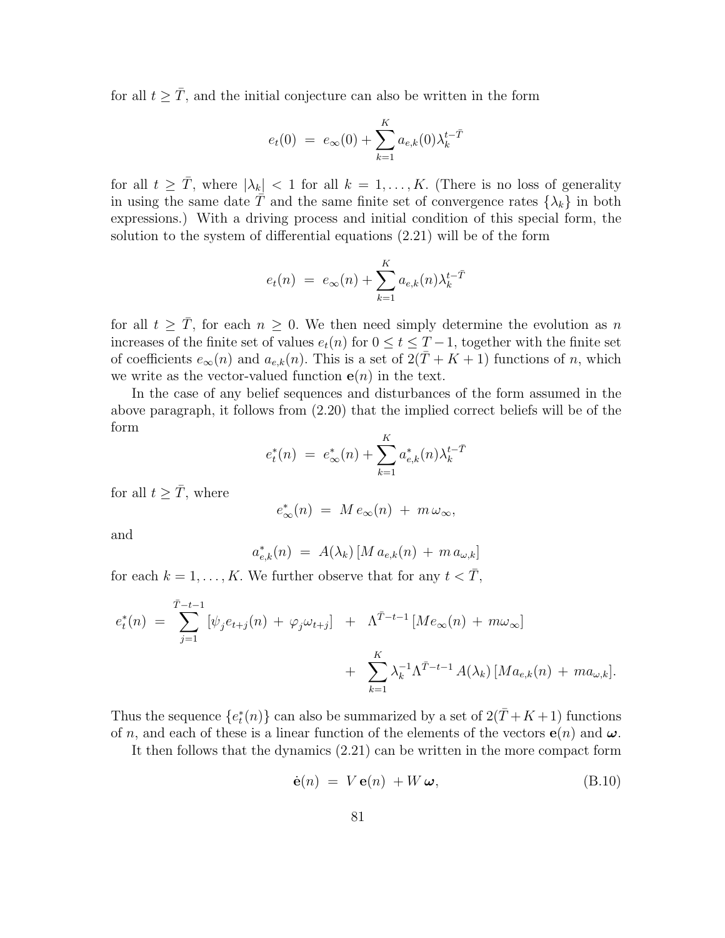for all  $t \geq \overline{T}$ , and the initial conjecture can also be written in the form

$$
e_t(0) = e_\infty(0) + \sum_{k=1}^K a_{e,k}(0) \lambda_k^{t-\bar{T}}
$$

for all  $t \geq \overline{T}$ , where  $|\lambda_k| < 1$  for all  $k = 1, ..., K$ . (There is no loss of generality in using the same date  $\overline{T}$  and the same finite set of convergence rates  $\{\lambda_k\}$  in both expressions.) With a driving process and initial condition of this special form, the solution to the system of differential equations (2.21) will be of the form

$$
e_t(n) = e_\infty(n) + \sum_{k=1}^K a_{e,k}(n) \lambda_k^{t-\bar{T}}
$$

for all  $t \geq \overline{T}$ , for each  $n \geq 0$ . We then need simply determine the evolution as n increases of the finite set of values  $e_t(n)$  for  $0 \le t \le T-1$ , together with the finite set of coefficients  $e_{\infty}(n)$  and  $a_{e,k}(n)$ . This is a set of  $2(\bar{T} + K + 1)$  functions of n, which we write as the vector-valued function  $e(n)$  in the text.

In the case of any belief sequences and disturbances of the form assumed in the above paragraph, it follows from (2.20) that the implied correct beliefs will be of the form

$$
e_t^*(n) = e_{\infty}^*(n) + \sum_{k=1}^K a_{e,k}^*(n) \lambda_k^{t-\bar{T}}
$$

for all  $t \geq \overline{T}$ , where

$$
e^*_\infty(n) \;=\; M\,e_\infty(n) \;+\; m\,\omega_\infty,
$$

and

$$
a_{e,k}^*(n) \; = \; A(\lambda_k) \, [M \, a_{e,k}(n) \; + \; m \, a_{\omega,k}]
$$

for each  $k = 1, \ldots, K$ . We further observe that for any  $t < \overline{T}$ ,

$$
e_t^*(n) = \sum_{j=1}^{\bar{T}-t-1} [\psi_j e_{t+j}(n) + \varphi_j \omega_{t+j}] + \Lambda^{\bar{T}-t-1} [M e_{\infty}(n) + m \omega_{\infty}] + \sum_{k=1}^K \lambda_k^{-1} \Lambda^{\bar{T}-t-1} A(\lambda_k) [M a_{e,k}(n) + m a_{\omega,k}].
$$

Thus the sequence  $\{e_t^*(n)\}$  can also be summarized by a set of  $2(\bar{T} + K + 1)$  functions of n, and each of these is a linear function of the elements of the vectors  $e(n)$  and  $\omega$ .

It then follows that the dynamics (2.21) can be written in the more compact form

$$
\dot{\mathbf{e}}(n) = V \mathbf{e}(n) + W \boldsymbol{\omega}, \tag{B.10}
$$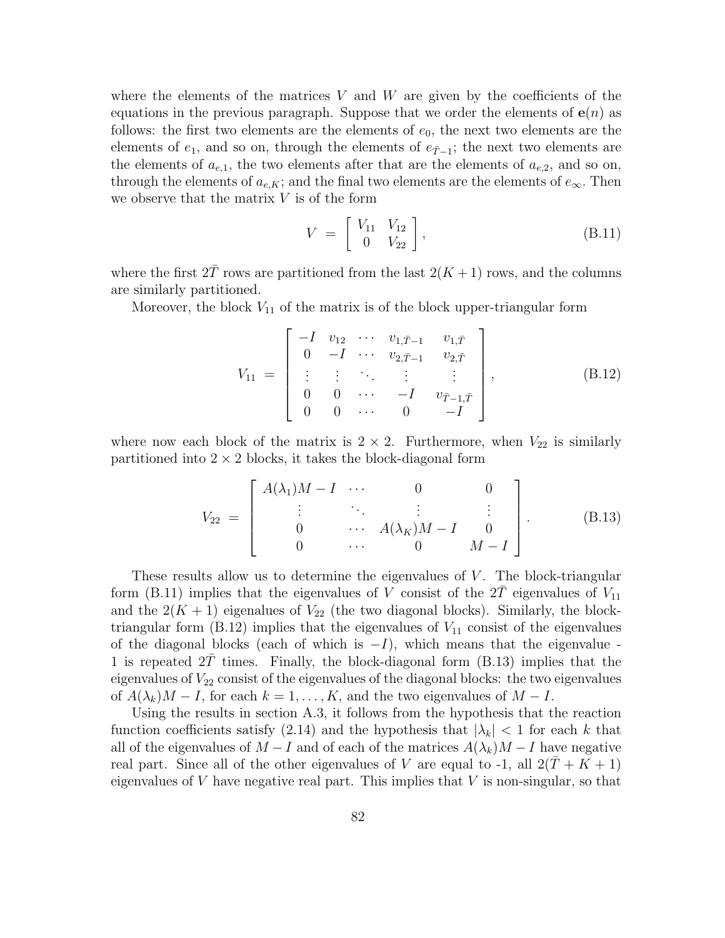where the elements of the matrices  $V$  and  $W$  are given by the coefficients of the equations in the previous paragraph. Suppose that we order the elements of  $e(n)$  as follows: the first two elements are the elements of  $e_0$ , the next two elements are the elements of  $e_1$ , and so on, through the elements of  $e_{\bar{T}-1}$ ; the next two elements are the elements of  $a_{e,1}$ , the two elements after that are the elements of  $a_{e,2}$ , and so on, through the elements of  $a_{e,K}$ ; and the final two elements are the elements of  $e_{\infty}$ . Then we observe that the matrix  $V$  is of the form

$$
V = \begin{bmatrix} V_{11} & V_{12} \\ 0 & V_{22} \end{bmatrix}, \tag{B.11}
$$

where the first  $2\overline{T}$  rows are partitioned from the last  $2(K+1)$  rows, and the columns are similarly partitioned.

Moreover, the block  $V_{11}$  of the matrix is of the block upper-triangular form

$$
V_{11} = \begin{bmatrix} -I & v_{12} & \cdots & v_{1,\bar{T}-1} & v_{1,\bar{T}} \\ 0 & -I & \cdots & v_{2,\bar{T}-1} & v_{2,\bar{T}} \\ \vdots & \vdots & \ddots & \vdots & \vdots \\ 0 & 0 & \cdots & -I & v_{\bar{T}-1,\bar{T}} \\ 0 & 0 & \cdots & 0 & -I \end{bmatrix}, \quad (B.12)
$$

where now each block of the matrix is  $2 \times 2$ . Furthermore, when  $V_{22}$  is similarly partitioned into  $2 \times 2$  blocks, it takes the block-diagonal form

$$
V_{22} = \begin{bmatrix} A(\lambda_1)M - I & \cdots & 0 & 0 \\ \vdots & \ddots & \vdots & \vdots \\ 0 & \cdots & A(\lambda_K)M - I & 0 \\ 0 & \cdots & 0 & M - I \end{bmatrix}.
$$
 (B.13)

These results allow us to determine the eigenvalues of  $V$ . The block-triangular form (B.11) implies that the eigenvalues of V consist of the 2T eigenvalues of  $V_{11}$ and the  $2(K + 1)$  eigenalues of  $V_{22}$  (the two diagonal blocks). Similarly, the blocktriangular form  $(B.12)$  implies that the eigenvalues of  $V_{11}$  consist of the eigenvalues of the diagonal blocks (each of which is  $-I$ ), which means that the eigenvalue -1 is repeated  $2T$  times. Finally, the block-diagonal form  $(B.13)$  implies that the eigenvalues of  $V_{22}$  consist of the eigenvalues of the diagonal blocks: the two eigenvalues of  $A(\lambda_k)M - I$ , for each  $k = 1, ..., K$ , and the two eigenvalues of  $M - I$ .

Using the results in section A.3, it follows from the hypothesis that the reaction function coefficients satisfy  $(2.14)$  and the hypothesis that  $|\lambda_k|$  < 1 for each k that all of the eigenvalues of  $M - I$  and of each of the matrices  $A(\lambda_k)M - I$  have negative real part. Since all of the other eigenvalues of V are equal to -1, all  $2(T+K+1)$ eigenvalues of V have negative real part. This implies that  $V$  is non-singular, so that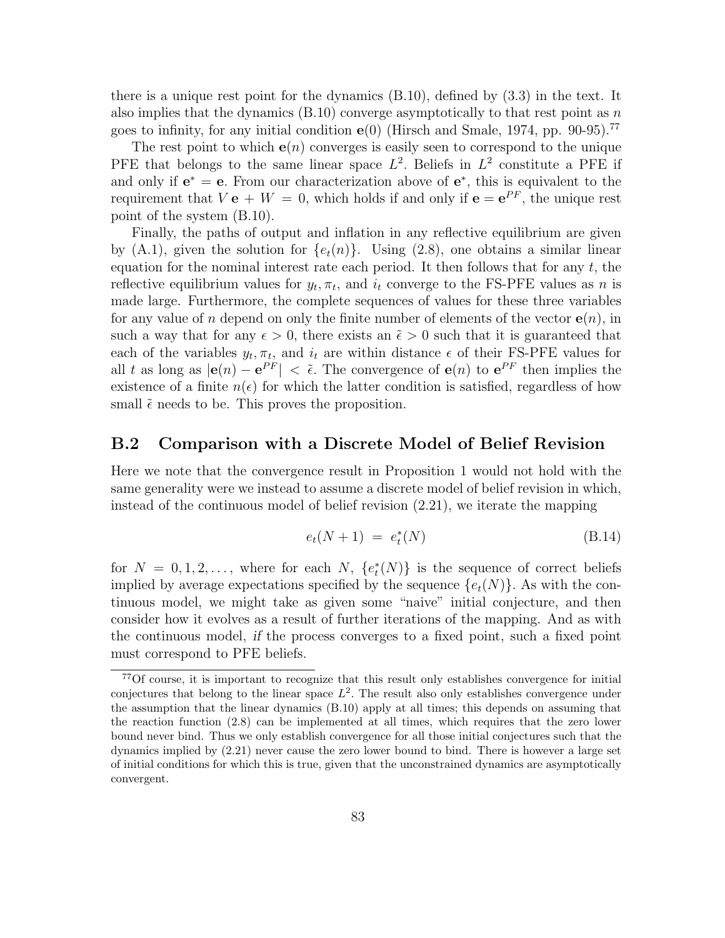there is a unique rest point for the dynamics (B.10), defined by (3.3) in the text. It also implies that the dynamics  $(B.10)$  converge asymptotically to that rest point as n goes to infinity, for any initial condition  $e(0)$  (Hirsch and Smale, 1974, pp. 90-95).<sup>77</sup>

The rest point to which  $e(n)$  converges is easily seen to correspond to the unique PFE that belongs to the same linear space  $L^2$ . Beliefs in  $L^2$  constitute a PFE if and only if  $e^* = e$ . From our characterization above of  $e^*$ , this is equivalent to the requirement that  $V \mathbf{e} + W = 0$ , which holds if and only if  $\mathbf{e} = \mathbf{e}^{PF}$ , the unique rest point of the system (B.10).

Finally, the paths of output and inflation in any reflective equilibrium are given by  $(A.1)$ , given the solution for  $\{e_t(n)\}\$ . Using  $(2.8)$ , one obtains a similar linear equation for the nominal interest rate each period. It then follows that for any  $t$ , the reflective equilibrium values for  $y_t, \pi_t$ , and  $i_t$  converge to the FS-PFE values as n is made large. Furthermore, the complete sequences of values for these three variables for any value of n depend on only the finite number of elements of the vector  $e(n)$ , in such a way that for any  $\epsilon > 0$ , there exists an  $\tilde{\epsilon} > 0$  such that it is guaranteed that each of the variables  $y_t, \pi_t$ , and  $i_t$  are within distance  $\epsilon$  of their FS-PFE values for all t as long as  $|e(n) - e^{PF}| < \tilde{\epsilon}$ . The convergence of  $e(n)$  to  $e^{PF}$  then implies the existence of a finite  $n(\epsilon)$  for which the latter condition is satisfied, regardless of how small  $\tilde{\epsilon}$  needs to be. This proves the proposition.

#### B.2 Comparison with a Discrete Model of Belief Revision

Here we note that the convergence result in Proposition 1 would not hold with the same generality were we instead to assume a discrete model of belief revision in which, instead of the continuous model of belief revision (2.21), we iterate the mapping

$$
e_t(N+1) = e_t^*(N)
$$
 (B.14)

for  $N = 0, 1, 2, \ldots$ , where for each  $N$ ,  $\{e_t^*(N)\}\$ is the sequence of correct beliefs implied by average expectations specified by the sequence  $\{e_t(N)\}\)$ . As with the continuous model, we might take as given some "naive" initial conjecture, and then consider how it evolves as a result of further iterations of the mapping. And as with the continuous model, if the process converges to a fixed point, such a fixed point must correspond to PFE beliefs.

<sup>77</sup>Of course, it is important to recognize that this result only establishes convergence for initial conjectures that belong to the linear space  $L^2$ . The result also only establishes convergence under the assumption that the linear dynamics (B.10) apply at all times; this depends on assuming that the reaction function (2.8) can be implemented at all times, which requires that the zero lower bound never bind. Thus we only establish convergence for all those initial conjectures such that the dynamics implied by (2.21) never cause the zero lower bound to bind. There is however a large set of initial conditions for which this is true, given that the unconstrained dynamics are asymptotically convergent.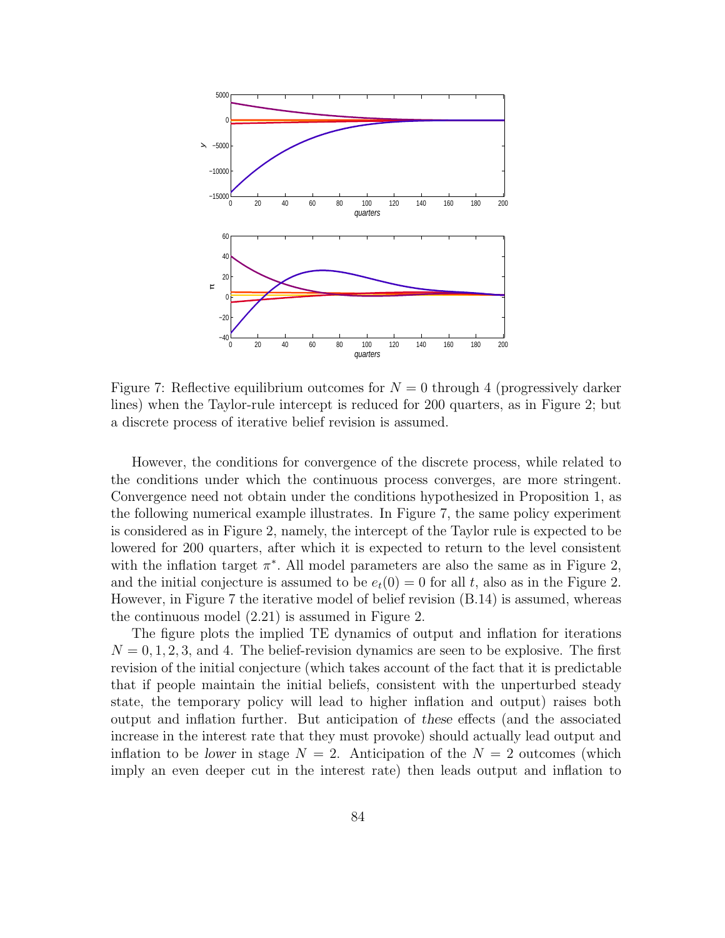

. . 1 1 : 1 : 1 1 : 000 · 1 Figure 7: Reflective equilibrium outcomes for  $N = 0$  through 4 (progressively darker a discrete process of iterative belief revision is assumed. lines) when the Taylor-rule intercept is reduced for 200 quarters, as in Figure 2; but

the conditions under which the continuous process converges, are more stringent. 1 However, the conditions for convergence of the discrete process, while related to Convergence need not obtain under the conditions hypothesized in Proposition 1, as the following numerical example illustrates. In Figure 7, the same policy experiment is considered as in Figure 2, namely, the intercept of the Taylor rule is expected to be lowered for 200 quarters, after which it is expected to return to the level consistent with the inflation target  $\pi^*$ . All model parameters are also the same as in Figure 2, and the initial conjecture is assumed to be  $e_t(0) = 0$  for all t, also as in the Figure 2. However, in Figure 7 the iterative model of belief revision (B.14) is assumed, whereas the continuous model (2.21) is assumed in Figure 2.

The figure plots the implied TE dynamics of output and inflation for iterations  $N = 0, 1, 2, 3$ , and 4. The belief-revision dynamics are seen to be explosive. The first revision of the initial conjecture (which takes account of the fact that it is predictable that if people maintain the initial beliefs, consistent with the unperturbed steady state, the temporary policy will lead to higher inflation and output) raises both output and inflation further. But anticipation of these effects (and the associated increase in the interest rate that they must provoke) should actually lead output and inflation to be lower in stage  $N = 2$ . Anticipation of the  $N = 2$  outcomes (which imply an even deeper cut in the interest rate) then leads output and inflation to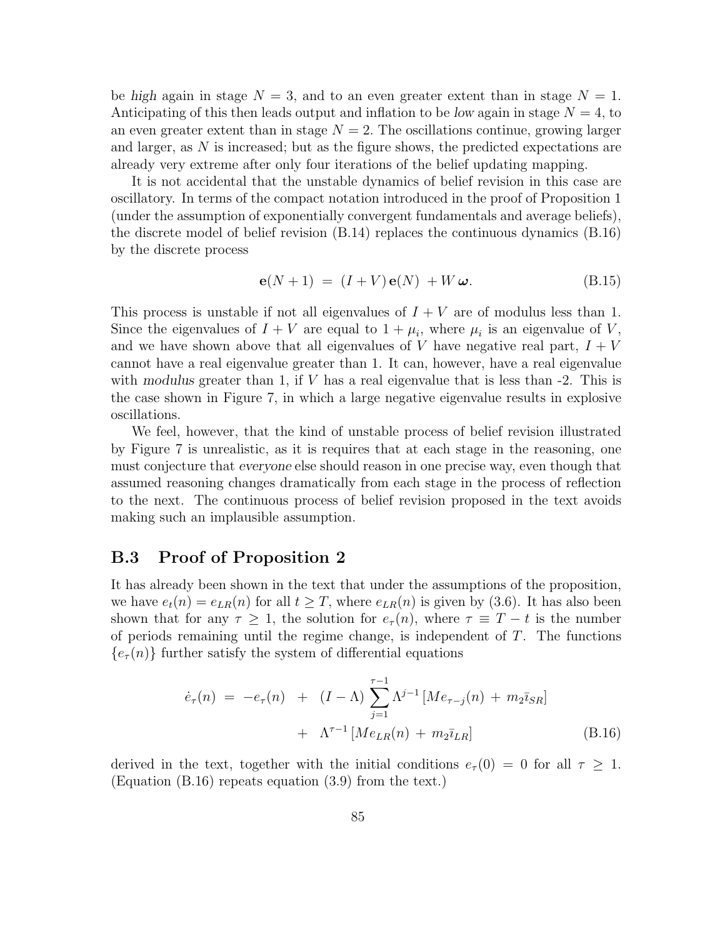be high again in stage  $N = 3$ , and to an even greater extent than in stage  $N = 1$ . Anticipating of this then leads output and inflation to be low again in stage  $N = 4$ , to an even greater extent than in stage  $N = 2$ . The oscillations continue, growing larger and larger, as  $N$  is increased; but as the figure shows, the predicted expectations are already very extreme after only four iterations of the belief updating mapping.

It is not accidental that the unstable dynamics of belief revision in this case are oscillatory. In terms of the compact notation introduced in the proof of Proposition 1 (under the assumption of exponentially convergent fundamentals and average beliefs), the discrete model of belief revision (B.14) replaces the continuous dynamics (B.16) by the discrete process

$$
\mathbf{e}(N+1) = (I+V)\mathbf{e}(N) + W\boldsymbol{\omega}.\tag{B.15}
$$

This process is unstable if not all eigenvalues of  $I + V$  are of modulus less than 1. Since the eigenvalues of  $I + V$  are equal to  $1 + \mu_i$ , where  $\mu_i$  is an eigenvalue of V, and we have shown above that all eigenvalues of V have negative real part,  $I + V$ cannot have a real eigenvalue greater than 1. It can, however, have a real eigenvalue with modulus greater than 1, if  $V$  has a real eigenvalue that is less than  $-2$ . This is the case shown in Figure 7, in which a large negative eigenvalue results in explosive oscillations.

We feel, however, that the kind of unstable process of belief revision illustrated by Figure 7 is unrealistic, as it is requires that at each stage in the reasoning, one must conjecture that everyone else should reason in one precise way, even though that assumed reasoning changes dramatically from each stage in the process of reflection to the next. The continuous process of belief revision proposed in the text avoids making such an implausible assumption.

### B.3 Proof of Proposition 2

It has already been shown in the text that under the assumptions of the proposition, we have  $e_t(n) = e_{LR}(n)$  for all  $t \geq T$ , where  $e_{LR}(n)$  is given by (3.6). It has also been shown that for any  $\tau \geq 1$ , the solution for  $e_{\tau}(n)$ , where  $\tau \equiv T - t$  is the number of periods remaining until the regime change, is independent of  $T$ . The functions  ${e_{\tau}(n)}$  further satisfy the system of differential equations

$$
\dot{e}_{\tau}(n) = -e_{\tau}(n) + (I - \Lambda) \sum_{j=1}^{\tau-1} \Lambda^{j-1} \left[ Me_{\tau-j}(n) + m_2 \bar{\imath}_{SR} \right] \n+ \Lambda^{\tau-1} \left[ Me_{LR}(n) + m_2 \bar{\imath}_{LR} \right]
$$
\n(B.16)

derived in the text, together with the initial conditions  $e_{\tau}(0) = 0$  for all  $\tau \geq 1$ . (Equation (B.16) repeats equation (3.9) from the text.)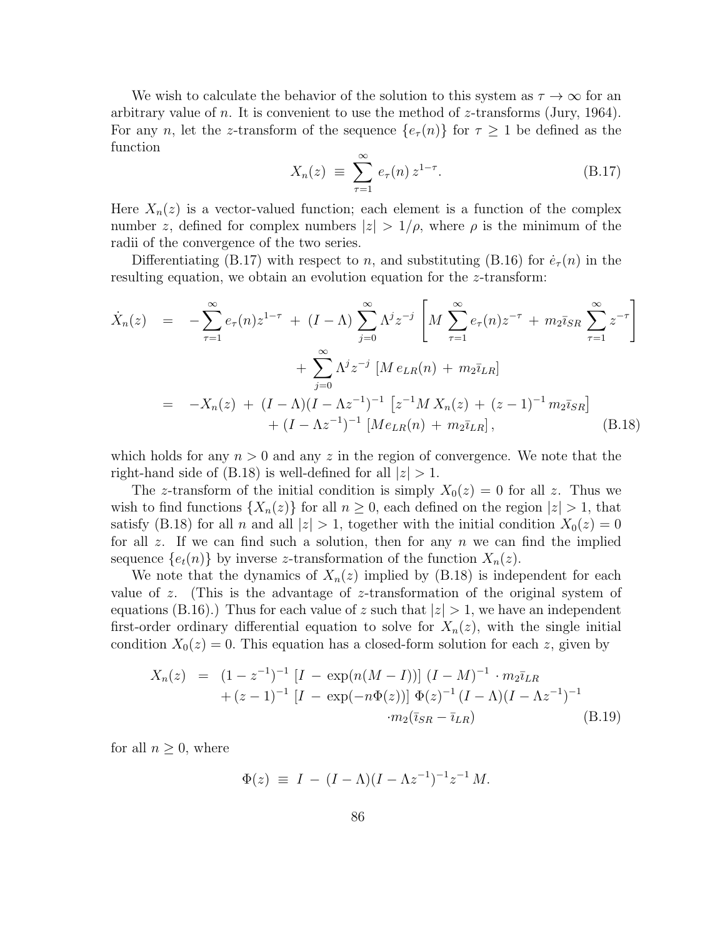We wish to calculate the behavior of the solution to this system as  $\tau \to \infty$  for an arbitrary value of  $n$ . It is convenient to use the method of  $z$ -transforms (Jury, 1964). For any n, let the z-transform of the sequence  $\{e_{\tau}(n)\}\$ for  $\tau \geq 1$  be defined as the function

$$
X_n(z) \equiv \sum_{\tau=1}^{\infty} e_{\tau}(n) z^{1-\tau}.
$$
 (B.17)

Here  $X_n(z)$  is a vector-valued function; each element is a function of the complex number z, defined for complex numbers  $|z| > 1/\rho$ , where  $\rho$  is the minimum of the radii of the convergence of the two series.

Differentiating (B.17) with respect to n, and substituting (B.16) for  $\dot{e}_{\tau}(n)$  in the resulting equation, we obtain an evolution equation for the z-transform:

$$
\dot{X}_n(z) = -\sum_{\tau=1}^{\infty} e_{\tau}(n) z^{1-\tau} + (I - \Lambda) \sum_{j=0}^{\infty} \Lambda^j z^{-j} \left[ M \sum_{\tau=1}^{\infty} e_{\tau}(n) z^{-\tau} + m_2 \bar{\imath}_{SR} \sum_{\tau=1}^{\infty} z^{-\tau} \right] \n+ \sum_{j=0}^{\infty} \Lambda^j z^{-j} \left[ M e_{LR}(n) + m_2 \bar{\imath}_{LR} \right] \n= -X_n(z) + (I - \Lambda)(I - \Lambda z^{-1})^{-1} \left[ z^{-1} M X_n(z) + (z - 1)^{-1} m_2 \bar{\imath}_{SR} \right] \n+ (I - \Lambda z^{-1})^{-1} \left[ M e_{LR}(n) + m_2 \bar{\imath}_{LR} \right], \tag{B.18}
$$

which holds for any  $n > 0$  and any z in the region of convergence. We note that the right-hand side of  $(B.18)$  is well-defined for all  $|z| > 1$ .

The z-transform of the initial condition is simply  $X_0(z) = 0$  for all z. Thus we wish to find functions  $\{X_n(z)\}\$ for all  $n \geq 0$ , each defined on the region  $|z| > 1$ , that satisfy (B.18) for all n and all  $|z| > 1$ , together with the initial condition  $X_0(z) = 0$ for all z. If we can find such a solution, then for any n we can find the implied sequence  $\{e_t(n)\}\$  by inverse z-transformation of the function  $X_n(z)$ .

We note that the dynamics of  $X_n(z)$  implied by (B.18) is independent for each value of z. (This is the advantage of z-transformation of the original system of equations (B.16).) Thus for each value of z such that  $|z| > 1$ , we have an independent first-order ordinary differential equation to solve for  $X_n(z)$ , with the single initial condition  $X_0(z) = 0$ . This equation has a closed-form solution for each z, given by

$$
X_n(z) = (1 - z^{-1})^{-1} [I - \exp(n(M - I))] (I - M)^{-1} \cdot m_2 \bar{\imath}_{LR} + (z - 1)^{-1} [I - \exp(-n\Phi(z))] \Phi(z)^{-1} (I - \Lambda)(I - \Lambda z^{-1})^{-1} \cdot m_2(\bar{\imath}_{SR} - \bar{\imath}_{LR})
$$
(B.19)

for all  $n \geq 0$ , where

$$
\Phi(z) \ \equiv \ I \ - \ (I - \Lambda)(I - \Lambda z^{-1})^{-1} z^{-1} \, M.
$$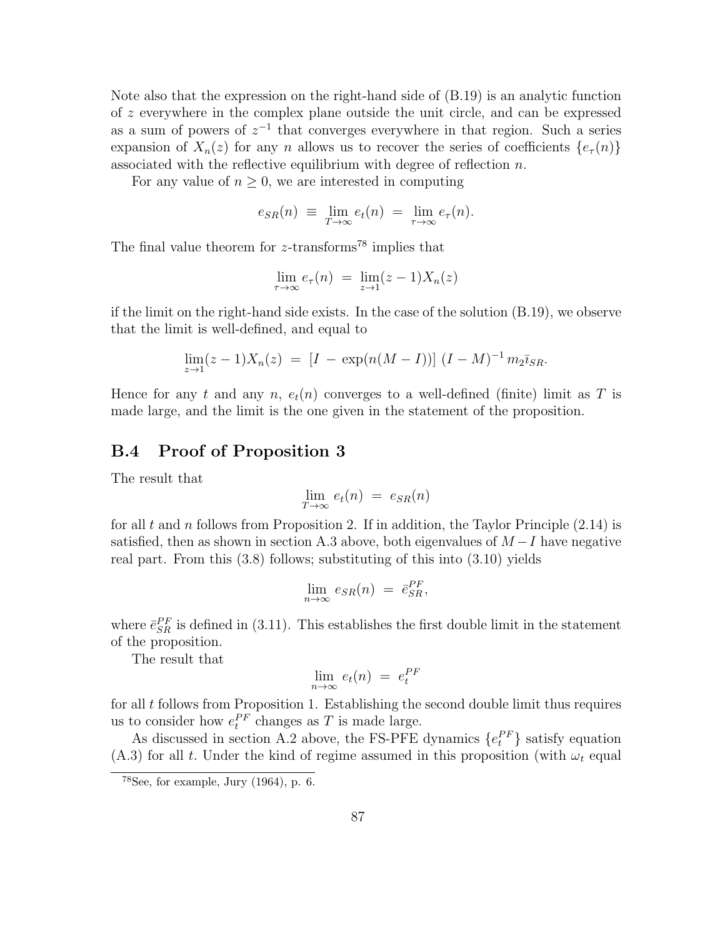Note also that the expression on the right-hand side of (B.19) is an analytic function of z everywhere in the complex plane outside the unit circle, and can be expressed as a sum of powers of  $z^{-1}$  that converges everywhere in that region. Such a series expansion of  $X_n(z)$  for any n allows us to recover the series of coefficients  $\{e_\tau(n)\}$ associated with the reflective equilibrium with degree of reflection  $n$ .

For any value of  $n \geq 0$ , we are interested in computing

$$
e_{SR}(n) \equiv \lim_{T \to \infty} e_t(n) = \lim_{\tau \to \infty} e_{\tau}(n).
$$

The final value theorem for  $z$ -transforms<sup>78</sup> implies that

$$
\lim_{\tau \to \infty} e_{\tau}(n) = \lim_{z \to 1} (z - 1) X_n(z)
$$

if the limit on the right-hand side exists. In the case of the solution (B.19), we observe that the limit is well-defined, and equal to

$$
\lim_{z \to 1} (z - 1)X_n(z) = [I - \exp(n(M - I))] (I - M)^{-1} m_2 \bar{\imath}_{SR}.
$$

Hence for any t and any n,  $e_t(n)$  converges to a well-defined (finite) limit as T is made large, and the limit is the one given in the statement of the proposition.

### B.4 Proof of Proposition 3

The result that

$$
\lim_{T \to \infty} e_t(n) = e_{SR}(n)
$$

for all t and n follows from Proposition 2. If in addition, the Taylor Principle  $(2.14)$  is satisfied, then as shown in section A.3 above, both eigenvalues of  $M-I$  have negative real part. From this (3.8) follows; substituting of this into (3.10) yields

$$
\lim_{n \to \infty} e_{SR}(n) = \bar{e}_{SR}^{PF},
$$

where  $\bar{e}_{SR}^{PF}$  is defined in (3.11). This establishes the first double limit in the statement of the proposition.

The result that

$$
\lim_{n \to \infty} e_t(n) = e_t^{PF}
$$

for all  $t$  follows from Proposition 1. Establishing the second double limit thus requires us to consider how  $e_t^{PF}$  changes as T is made large.

As discussed in section A.2 above, the FS-PFE dynamics  $\{e_t^{PF}\}$  satisfy equation (A.3) for all t. Under the kind of regime assumed in this proposition (with  $\omega_t$  equal

 $78$ See, for example, Jury (1964), p. 6.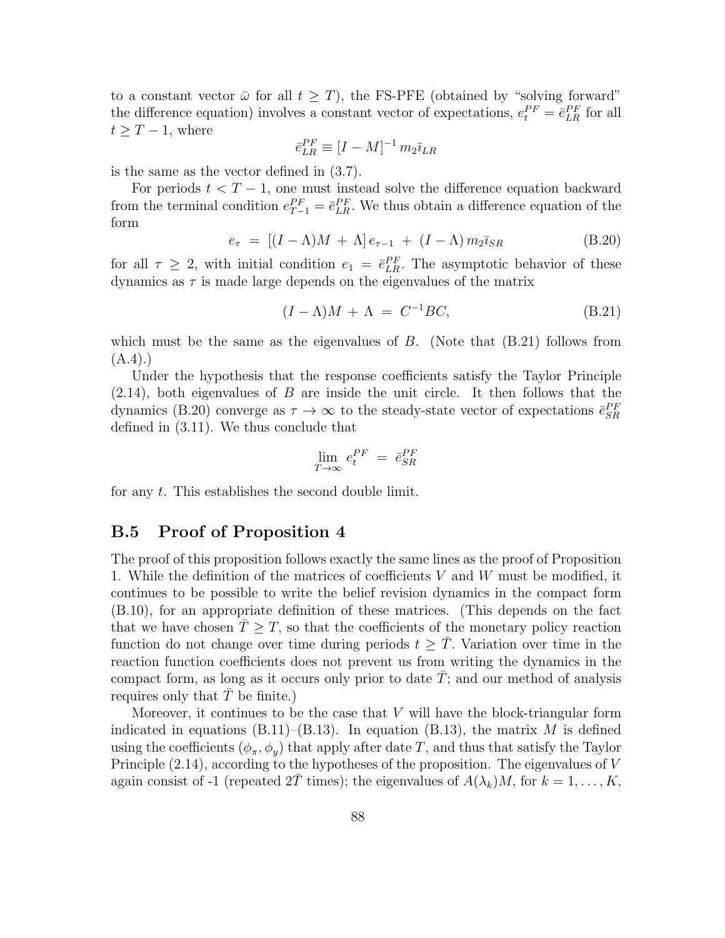to a constant vector  $\bar{\omega}$  for all  $t \geq T$ ), the FS-PFE (obtained by "solving forward" the difference equation) involves a constant vector of expectations,  $e_t^{PF} = \bar{e}_{LR}^{PF}$  for all  $t \geq T-1$ , where

$$
\bar{e}_{LR}^{PF} \equiv [I - M]^{-1} m_2 \bar{\imath}_{LR}
$$

is the same as the vector defined in (3.7).

For periods  $t < T - 1$ , one must instead solve the difference equation backward from the terminal condition  $e_{T-1}^{PF} = \bar{e}_{LR}^{PF}$ . We thus obtain a difference equation of the form

$$
e_{\tau} = \left[ (I - \Lambda)M + \Lambda \right] e_{\tau - 1} + (I - \Lambda) m_2 \bar{\imath}_{SR} \tag{B.20}
$$

for all  $\tau \geq 2$ , with initial condition  $e_1 = \bar{e}^{PF}_{LR}$ . The asymptotic behavior of these dynamics as  $\tau$  is made large depends on the eigenvalues of the matrix

$$
(I - \Lambda)M + \Lambda = C^{-1}BC,
$$
 (B.21)

which must be the same as the eigenvalues of  $B$ . (Note that  $(B.21)$  follows from  $(A.4).$ 

Under the hypothesis that the response coefficients satisfy the Taylor Principle  $(2.14)$ , both eigenvalues of B are inside the unit circle. It then follows that the dynamics (B.20) converge as  $\tau \to \infty$  to the steady-state vector of expectations  $\bar{e}^{PF}_{SR}$ defined in (3.11). We thus conclude that

$$
\lim_{T \to \infty} e_t^{PF} = \bar{e}_{SR}^{PF}
$$

for any t. This establishes the second double limit.

### B.5 Proof of Proposition 4

The proof of this proposition follows exactly the same lines as the proof of Proposition 1. While the definition of the matrices of coefficients V and W must be modified, it continues to be possible to write the belief revision dynamics in the compact form (B.10), for an appropriate definition of these matrices. (This depends on the fact that we have chosen  $\overline{T} > T$ , so that the coefficients of the monetary policy reaction function do not change over time during periods  $t \geq \overline{T}$ . Variation over time in the reaction function coefficients does not prevent us from writing the dynamics in the compact form, as long as it occurs only prior to date  $\overline{T}$ ; and our method of analysis requires only that  $T$  be finite.)

Moreover, it continues to be the case that  $V$  will have the block-triangular form indicated in equations (B.11)–(B.13). In equation (B.13), the matrix M is defined using the coefficients  $(\phi_{\pi}, \phi_y)$  that apply after date T, and thus that satisfy the Taylor Principle (2.14), according to the hypotheses of the proposition. The eigenvalues of V again consist of -1 (repeated  $2\overline{T}$  times); the eigenvalues of  $A(\lambda_k)M$ , for  $k = 1, \ldots, K$ ,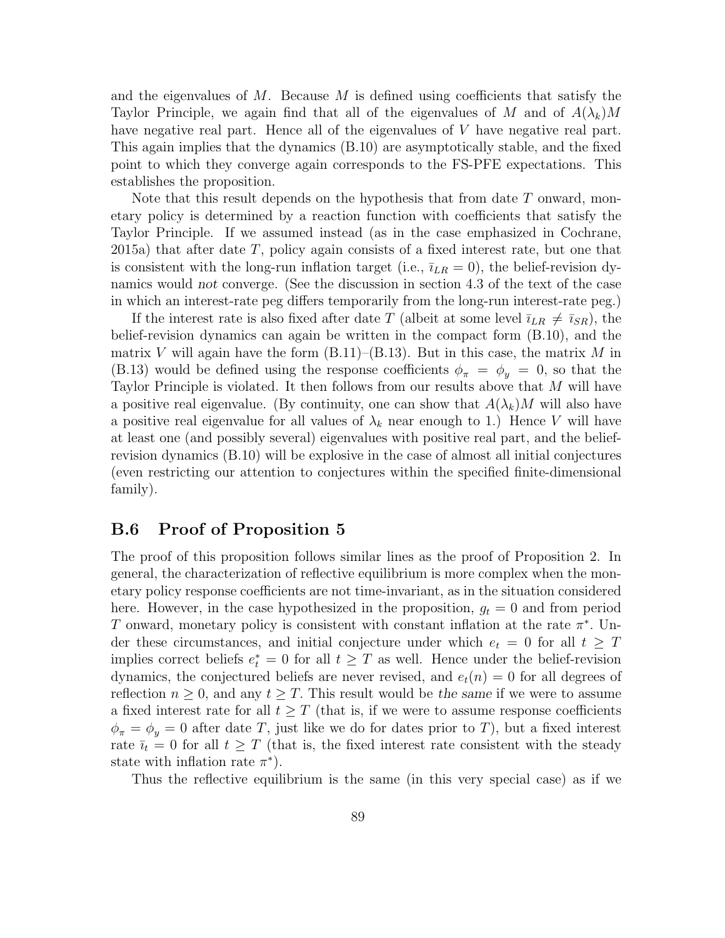and the eigenvalues of  $M$ . Because  $M$  is defined using coefficients that satisfy the Taylor Principle, we again find that all of the eigenvalues of M and of  $A(\lambda_k)M$ have negative real part. Hence all of the eigenvalues of V have negative real part. This again implies that the dynamics (B.10) are asymptotically stable, and the fixed point to which they converge again corresponds to the FS-PFE expectations. This establishes the proposition.

Note that this result depends on the hypothesis that from date  $T$  onward, monetary policy is determined by a reaction function with coefficients that satisfy the Taylor Principle. If we assumed instead (as in the case emphasized in Cochrane, 2015a) that after date T, policy again consists of a fixed interest rate, but one that is consistent with the long-run inflation target (i.e.,  $\bar{\imath}_{LR} = 0$ ), the belief-revision dynamics would not converge. (See the discussion in section 4.3 of the text of the case in which an interest-rate peg differs temporarily from the long-run interest-rate peg.)

If the interest rate is also fixed after date T (albeit at some level  $\bar{\imath}_{LR} \neq \bar{\imath}_{SR}$ ), the belief-revision dynamics can again be written in the compact form (B.10), and the matrix V will again have the form  $(B.11)$ – $(B.13)$ . But in this case, the matrix M in (B.13) would be defined using the response coefficients  $\phi_{\pi} = \phi_{\nu} = 0$ , so that the Taylor Principle is violated. It then follows from our results above that M will have a positive real eigenvalue. (By continuity, one can show that  $A(\lambda_k)M$  will also have a positive real eigenvalue for all values of  $\lambda_k$  near enough to 1.) Hence V will have at least one (and possibly several) eigenvalues with positive real part, and the beliefrevision dynamics (B.10) will be explosive in the case of almost all initial conjectures (even restricting our attention to conjectures within the specified finite-dimensional family).

### B.6 Proof of Proposition 5

The proof of this proposition follows similar lines as the proof of Proposition 2. In general, the characterization of reflective equilibrium is more complex when the monetary policy response coefficients are not time-invariant, as in the situation considered here. However, in the case hypothesized in the proposition,  $g_t = 0$  and from period T onward, monetary policy is consistent with constant inflation at the rate  $\pi^*$ . Under these circumstances, and initial conjecture under which  $e_t = 0$  for all  $t \geq T$ implies correct beliefs  $e_t^* = 0$  for all  $t \geq T$  as well. Hence under the belief-revision dynamics, the conjectured beliefs are never revised, and  $e_t(n) = 0$  for all degrees of reflection  $n \geq 0$ , and any  $t \geq T$ . This result would be the same if we were to assume a fixed interest rate for all  $t \geq T$  (that is, if we were to assume response coefficients  $\phi_{\pi} = \phi_y = 0$  after date T, just like we do for dates prior to T), but a fixed interest rate  $\bar{i}_t = 0$  for all  $t \geq T$  (that is, the fixed interest rate consistent with the steady state with inflation rate  $\pi^*$ ).

Thus the reflective equilibrium is the same (in this very special case) as if we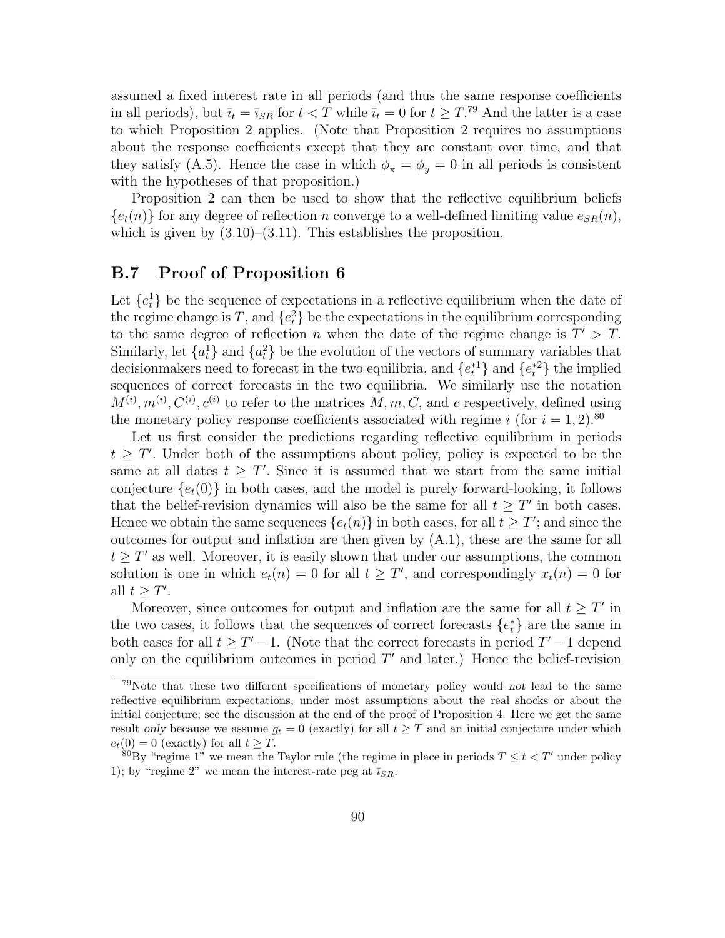assumed a fixed interest rate in all periods (and thus the same response coefficients in all periods), but  $\bar{i}_t = \bar{i}_{SR}$  for  $t < T$  while  $\bar{i}_t = 0$  for  $t \geq T$ .<sup>79</sup> And the latter is a case to which Proposition 2 applies. (Note that Proposition 2 requires no assumptions about the response coefficients except that they are constant over time, and that they satisfy (A.5). Hence the case in which  $\phi_{\pi} = \phi_{\theta} = 0$  in all periods is consistent with the hypotheses of that proposition.)

Proposition 2 can then be used to show that the reflective equilibrium beliefs  $\{e_t(n)\}\$  for any degree of reflection n converge to a well-defined limiting value  $e_{SR}(n)$ , which is given by  $(3.10)$ – $(3.11)$ . This establishes the proposition.

# B.7 Proof of Proposition 6

Let  $\{e_t^1\}$  be the sequence of expectations in a reflective equilibrium when the date of the regime change is T, and  $\{e_t^2\}$  be the expectations in the equilibrium corresponding to the same degree of reflection n when the date of the regime change is  $T' > T$ . Similarly, let  $\{a_t^1\}$  and  $\{a_t^2\}$  be the evolution of the vectors of summary variables that decision makers need to forecast in the two equilibria, and  $\{e_t^{\ast 1}\}\$  and  $\{e_t^{\ast 2}\}\$ the implied sequences of correct forecasts in the two equilibria. We similarly use the notation  $M^{(i)}, m^{(i)}, C^{(i)}, c^{(i)}$  to refer to the matrices  $M, m, C$ , and c respectively, defined using the monetary policy response coefficients associated with regime i (for  $i = 1, 2$ ).<sup>80</sup>

Let us first consider the predictions regarding reflective equilibrium in periods  $t \geq T'$ . Under both of the assumptions about policy, policy is expected to be the same at all dates  $t \geq T'$ . Since it is assumed that we start from the same initial conjecture  $\{e_t(0)\}\$ in both cases, and the model is purely forward-looking, it follows that the belief-revision dynamics will also be the same for all  $t \geq T'$  in both cases. Hence we obtain the same sequences  $\{e_t(n)\}\$ in both cases, for all  $t \geq T'$ ; and since the outcomes for output and inflation are then given by (A.1), these are the same for all  $t \geq T'$  as well. Moreover, it is easily shown that under our assumptions, the common solution is one in which  $e_t(n) = 0$  for all  $t \geq T'$ , and correspondingly  $x_t(n) = 0$  for all  $t \geq T'$ .

Moreover, since outcomes for output and inflation are the same for all  $t \geq T'$  in the two cases, it follows that the sequences of correct forecasts  ${e_t^*}$  are the same in both cases for all  $t \geq T' - 1$ . (Note that the correct forecasts in period  $T' - 1$  depend only on the equilibrium outcomes in period  $T'$  and later.) Hence the belief-revision

<sup>79</sup>Note that these two different specifications of monetary policy would not lead to the same reflective equilibrium expectations, under most assumptions about the real shocks or about the initial conjecture; see the discussion at the end of the proof of Proposition 4. Here we get the same result only because we assume  $g_t = 0$  (exactly) for all  $t \geq T$  and an initial conjecture under which  $e_t(0) = 0$  (exactly) for all  $t \geq T$ .

<sup>&</sup>lt;sup>80</sup>By "regime 1" we mean the Taylor rule (the regime in place in periods  $T \leq t < T'$  under policy 1); by "regime 2" we mean the interest-rate peg at  $\bar{\iota}_{SR}$ .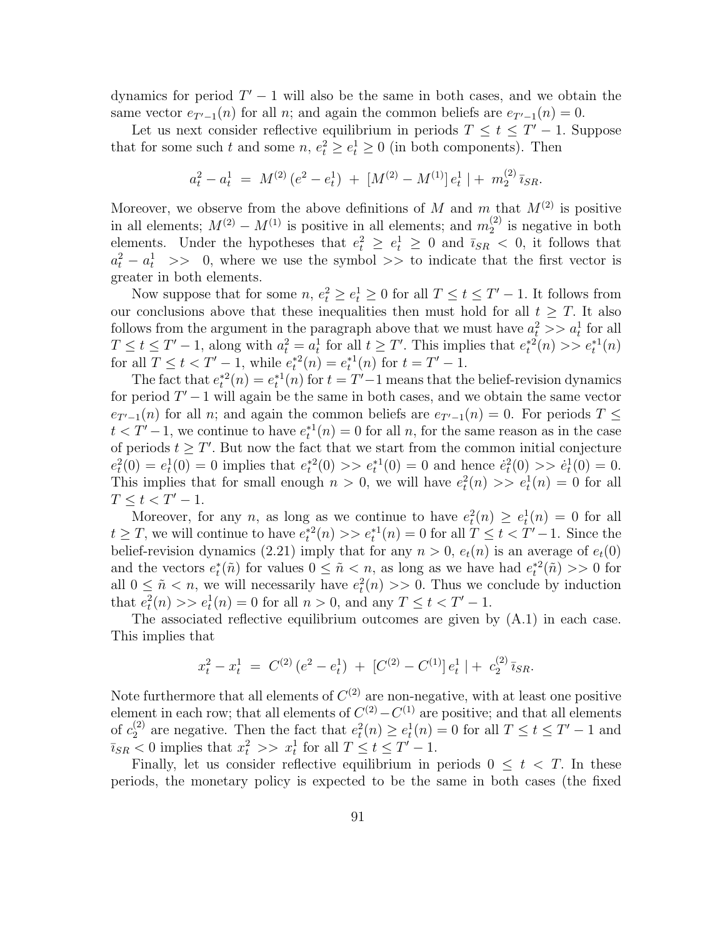dynamics for period  $T' - 1$  will also be the same in both cases, and we obtain the same vector  $e_{T'-1}(n)$  for all n; and again the common beliefs are  $e_{T'-1}(n) = 0$ .

Let us next consider reflective equilibrium in periods  $T \le t \le T' - 1$ . Suppose that for some such t and some  $n, e_t^2 \ge e_t^1 \ge 0$  (in both components). Then

$$
a_t^2 - a_t^1 \ = \ M^{(2)}\left(e^2 - e_t^1\right) \ + \ \left[M^{(2)} - M^{(1)}\right]e_t^1 \ | + \ m_2^{(2)}\ \bar{\imath}_{SR}.
$$

Moreover, we observe from the above definitions of M and  $m$  that  $M^{(2)}$  is positive in all elements;  $M^{(2)} - M^{(1)}$  is positive in all elements; and  $m_2^{(2)}$  $2^{(2)}$  is negative in both elements. Under the hypotheses that  $e_t^2 \geq e_t^1 \geq 0$  and  $\bar{\iota}_{SR} < 0$ , it follows that  $a_t^2 - a_t^1 \ \ \gg \ \ 0$ , where we use the symbol  $\ \gt$  to indicate that the first vector is greater in both elements.

Now suppose that for some  $n, e_t^2 \ge e_t^1 \ge 0$  for all  $T \le t \le T' - 1$ . It follows from our conclusions above that these inequalities then must hold for all  $t \geq T$ . It also follows from the argument in the paragraph above that we must have  $a_t^2 >> a_t^1$  for all  $T \leq t \leq T'-1$ , along with  $a_t^2 = a_t^1$  for all  $t \geq T'$ . This implies that  $e_t^{*2}(n) >> e_t^{*1}(n)$ for all  $T \le t < T' - 1$ , while  $e_t^{*2}(n) = e_t^{*1}(n)$  for  $t = T' - 1$ .

The fact that  $e_t^{*2}(n) = e_t^{*1}(n)$  for  $t = T'-1$  means that the belief-revision dynamics for period  $T' - 1$  will again be the same in both cases, and we obtain the same vector  $e_{T'-1}(n)$  for all n; and again the common beliefs are  $e_{T'-1}(n) = 0$ . For periods  $T \leq$  $t < T' - 1$ , we continue to have  $e_t^{*1}(n) = 0$  for all n, for the same reason as in the case of periods  $t \geq T'$ . But now the fact that we start from the common initial conjecture  $e_t^2(0) = e_t^1(0) = 0$  implies that  $e_t^{*2}(0) >> e_t^{*1}(0) = 0$  and hence  $\dot{e}_t^2(0) >> \dot{e}_t^1(0) = 0$ . This implies that for small enough  $n > 0$ , we will have  $e_t^2(n) >> e_t^1(n) = 0$  for all  $T \le t < T' - 1$ .

Moreover, for any n, as long as we continue to have  $e_t^2(n) \geq e_t^1(n) = 0$  for all  $t \geq T$ , we will continue to have  $e_t^{*2}(n) >> e_t^{*1}(n) = 0$  for all  $T \leq t < T' - 1$ . Since the belief-revision dynamics (2.21) imply that for any  $n > 0$ ,  $e_t(n)$  is an average of  $e_t(0)$ and the vectors  $e_t^*(\tilde{n})$  for values  $0 \leq \tilde{n} < n$ , as long as we have had  $e_t^{*2}(\tilde{n}) >> 0$  for all  $0 \leq \tilde{n} < n$ , we will necessarily have  $e_t^2(n) > > 0$ . Thus we conclude by induction that  $e_t^2(n) >> e_t^1(n) = 0$  for all  $n > 0$ , and any  $T \le t < T' - 1$ .

The associated reflective equilibrium outcomes are given by (A.1) in each case. This implies that

$$
x_t^2 - x_t^1 \ = \ C^{(2)}\left(e^2 - e_t^1\right) \ + \ \left[C^{(2)} - C^{(1)}\right]e_t^1 \ | \ + \ c_2^{(2)} \ \bar{\imath}_{SR}.
$$

Note furthermore that all elements of  $C^{(2)}$  are non-negative, with at least one positive element in each row; that all elements of  $C^{(2)} - C^{(1)}$  are positive; and that all elements of  $c_2^{(2)}$ <sup>(2)</sup>) are negative. Then the fact that  $e_t^2(n) \geq e_t^1(n) = 0$  for all  $T \leq t \leq T' - 1$  and  $\overline{\iota}_{SR} < 0$  implies that  $x_t^2 >> x_t^1$  for all  $T \le t \le T' - 1$ .

Finally, let us consider reflective equilibrium in periods  $0 \leq t < T$ . In these periods, the monetary policy is expected to be the same in both cases (the fixed